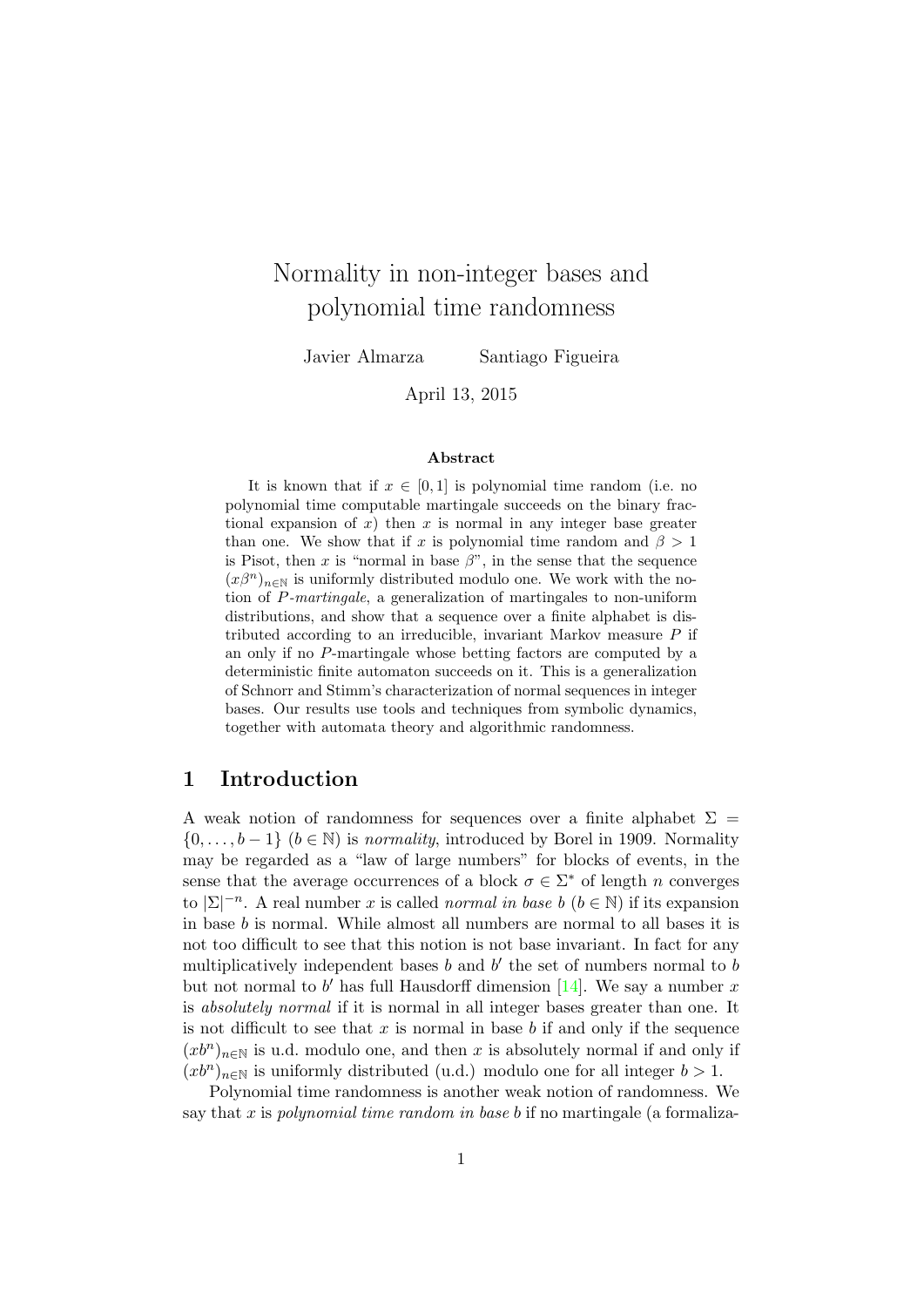# Normality in non-integer bases and polynomial time randomness

Javier Almarza Santiago Figueira

April 13, 2015

#### Abstract

It is known that if  $x \in [0, 1]$  is polynomial time random (i.e. no polynomial time computable martingale succeeds on the binary fractional expansion of x) then x is normal in any integer base greater than one. We show that if x is polynomial time random and  $\beta > 1$ is Pisot, then x is "normal in base  $\beta$ ", in the sense that the sequence  $(x\beta^{n})_{n\in\mathbb{N}}$  is uniformly distributed modulo one. We work with the notion of P-martingale, a generalization of martingales to non-uniform distributions, and show that a sequence over a finite alphabet is distributed according to an irreducible, invariant Markov measure P if an only if no P-martingale whose betting factors are computed by a deterministic finite automaton succeeds on it. This is a generalization of Schnorr and Stimm's characterization of normal sequences in integer bases. Our results use tools and techniques from symbolic dynamics, together with automata theory and algorithmic randomness.

# 1 Introduction

A weak notion of randomness for sequences over a finite alphabet  $\Sigma =$  $\{0, \ldots, b-1\}$   $(b \in \mathbb{N})$  is normality, introduced by Borel in 1909. Normality may be regarded as a "law of large numbers" for blocks of events, in the sense that the average occurrences of a block  $\sigma \in \Sigma^*$  of length n converges to  $|\Sigma|^{-n}$ . A real number x is called normal in base b  $(b \in \mathbb{N})$  if its expansion in base b is normal. While almost all numbers are normal to all bases it is not too difficult to see that this notion is not base invariant. In fact for any multiplicatively independent bases  $b$  and  $b'$  the set of numbers normal to  $b$ but not normal to b' has full Hausdorff dimension  $[14]$ . We say a number x is absolutely normal if it is normal in all integer bases greater than one. It is not difficult to see that  $x$  is normal in base  $b$  if and only if the sequence  $(xb^n)_{n\in\mathbb{N}}$  is u.d. modulo one, and then x is absolutely normal if and only if  $(xb^n)_{n\in\mathbb{N}}$  is uniformly distributed (u.d.) modulo one for all integer  $b>1$ .

Polynomial time randomness is another weak notion of randomness. We say that x is polynomial time random in base b if no martingale (a formaliza-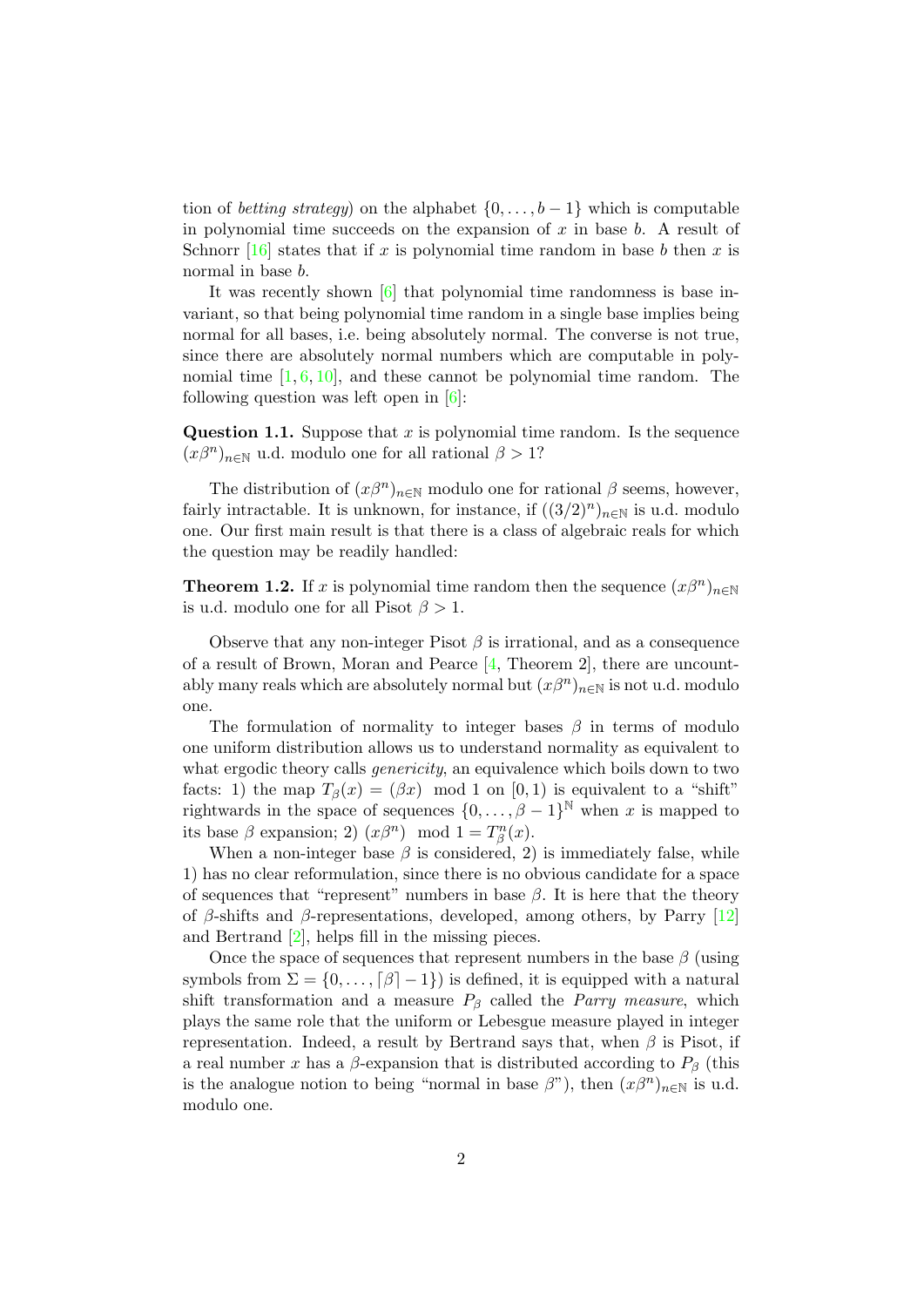tion of *betting strategy*) on the alphabet  $\{0, \ldots, b-1\}$  which is computable in polynomial time succeeds on the expansion of  $x$  in base  $b$ . A result of Schnorr  $[16]$  states that if x is polynomial time random in base b then x is normal in base b.

It was recently shown [\[6\]](#page-46-2) that polynomial time randomness is base invariant, so that being polynomial time random in a single base implies being normal for all bases, i.e. being absolutely normal. The converse is not true, since there are absolutely normal numbers which are computable in polynomial time  $[1, 6, 10]$  $[1, 6, 10]$  $[1, 6, 10]$  $[1, 6, 10]$  $[1, 6, 10]$ , and these cannot be polynomial time random. The following question was left open in  $[6]$ :

Question 1.1. Suppose that  $x$  is polynomial time random. Is the sequence  $(x\beta^{n})_{n\in\mathbb{N}}$  u.d. modulo one for all rational  $\beta > 1$ ?

The distribution of  $(x\beta^{n})_{n\in\mathbb{N}}$  modulo one for rational  $\beta$  seems, however, fairly intractable. It is unknown, for instance, if  $((3/2)^n)_{n\in\mathbb{N}}$  is u.d. modulo one. Our first main result is that there is a class of algebraic reals for which the question may be readily handled:

<span id="page-1-0"></span>**Theorem 1.2.** If x is polynomial time random then the sequence  $(x\beta^n)_{n\in\mathbb{N}}$ is u.d. modulo one for all Pisot  $\beta > 1$ .

Observe that any non-integer Pisot  $\beta$  is irrational, and as a consequence of a result of Brown, Moran and Pearce [\[4,](#page-46-5) Theorem 2], there are uncountably many reals which are absolutely normal but  $(x\beta^{n})_{n\in\mathbb{N}}$  is not u.d. modulo one.

The formulation of normality to integer bases  $\beta$  in terms of modulo one uniform distribution allows us to understand normality as equivalent to what ergodic theory calls *genericity*, an equivalence which boils down to two facts: 1) the map  $T_\beta(x) = (\beta x) \mod 1$  on  $[0, 1)$  is equivalent to a "shift" rightwards in the space of sequences  $\{0, \ldots, \beta-1\}^{\mathbb{N}}$  when x is mapped to its base  $\beta$  expansion; 2)  $(x\beta^n) \mod 1 = T_\beta^n(x)$ .

When a non-integer base  $\beta$  is considered, 2) is immediately false, while 1) has no clear reformulation, since there is no obvious candidate for a space of sequences that "represent" numbers in base  $\beta$ . It is here that the theory of  $\beta$ -shifts and  $\beta$ -representations, developed, among others, by Parry [\[12\]](#page-46-6) and Bertrand [\[2\]](#page-46-7), helps fill in the missing pieces.

Once the space of sequences that represent numbers in the base  $\beta$  (using symbols from  $\Sigma = \{0, \ldots, \lceil \beta \rceil - 1\}$  is defined, it is equipped with a natural shift transformation and a measure  $P_\beta$  called the *Parry measure*, which plays the same role that the uniform or Lebesgue measure played in integer representation. Indeed, a result by Bertrand says that, when  $\beta$  is Pisot, if a real number x has a  $\beta$ -expansion that is distributed according to  $P_\beta$  (this is the analogue notion to being "normal in base  $\beta$ "), then  $(x\beta^{n})_{n\in\mathbb{N}}$  is u.d. modulo one.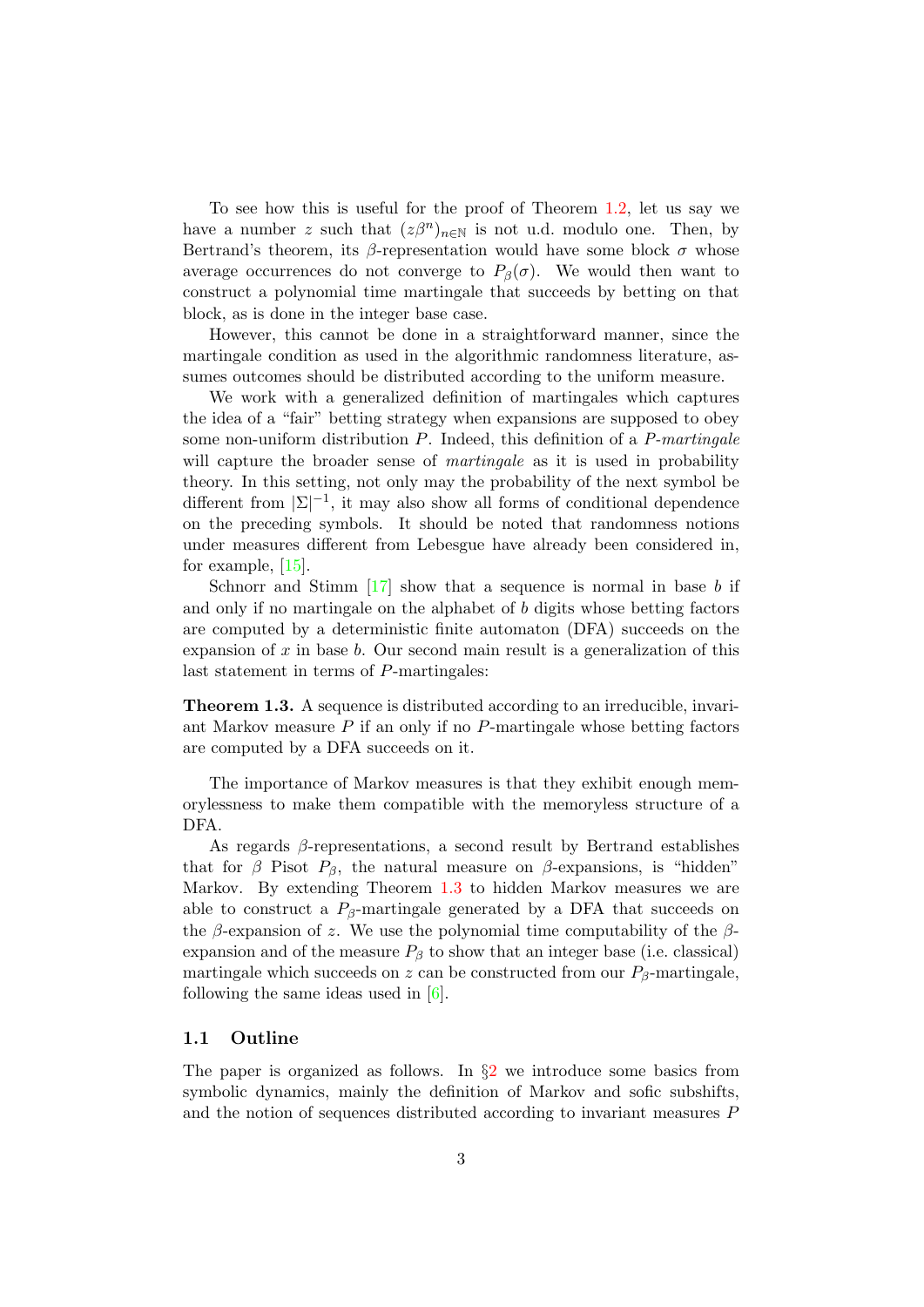To see how this is useful for the proof of Theorem [1.2,](#page-1-0) let us say we have a number z such that  $(z\beta^n)_{n\in\mathbb{N}}$  is not u.d. modulo one. Then, by Bertrand's theorem, its β-representation would have some block  $\sigma$  whose average occurrences do not converge to  $P_\beta(\sigma)$ . We would then want to construct a polynomial time martingale that succeeds by betting on that block, as is done in the integer base case.

However, this cannot be done in a straightforward manner, since the martingale condition as used in the algorithmic randomness literature, assumes outcomes should be distributed according to the uniform measure.

We work with a generalized definition of martingales which captures the idea of a "fair" betting strategy when expansions are supposed to obey some non-uniform distribution  $P$ . Indeed, this definition of a  $P-martingale$ will capture the broader sense of *martingale* as it is used in probability theory. In this setting, not only may the probability of the next symbol be different from  $|\Sigma|^{-1}$ , it may also show all forms of conditional dependence on the preceding symbols. It should be noted that randomness notions under measures different from Lebesgue have already been considered in, for example, [\[15\]](#page-46-8).

Schnorr and Stimm  $\left[17\right]$  show that a sequence is normal in base b if and only if no martingale on the alphabet of b digits whose betting factors are computed by a deterministic finite automaton (DFA) succeeds on the expansion of  $x$  in base  $b$ . Our second main result is a generalization of this last statement in terms of P-martingales:

<span id="page-2-0"></span>Theorem 1.3. A sequence is distributed according to an irreducible, invariant Markov measure  $P$  if an only if no  $P$ -martingale whose betting factors are computed by a DFA succeeds on it.

The importance of Markov measures is that they exhibit enough memorylessness to make them compatible with the memoryless structure of a DFA.

As regards  $\beta$ -representations, a second result by Bertrand establishes that for  $\beta$  Pisot  $P_{\beta}$ , the natural measure on  $\beta$ -expansions, is "hidden" Markov. By extending Theorem [1.3](#page-2-0) to hidden Markov measures we are able to construct a  $P_8$ -martingale generated by a DFA that succeeds on the β-expansion of z. We use the polynomial time computability of the  $\beta$ expansion and of the measure  $P_\beta$  to show that an integer base (i.e. classical) martingale which succeeds on z can be constructed from our  $P_\beta$ -martingale, following the same ideas used in [\[6\]](#page-46-2).

#### 1.1 Outline

The paper is organized as follows. In  $\S2$  $\S2$  we introduce some basics from symbolic dynamics, mainly the definition of Markov and sofic subshifts, and the notion of sequences distributed according to invariant measures P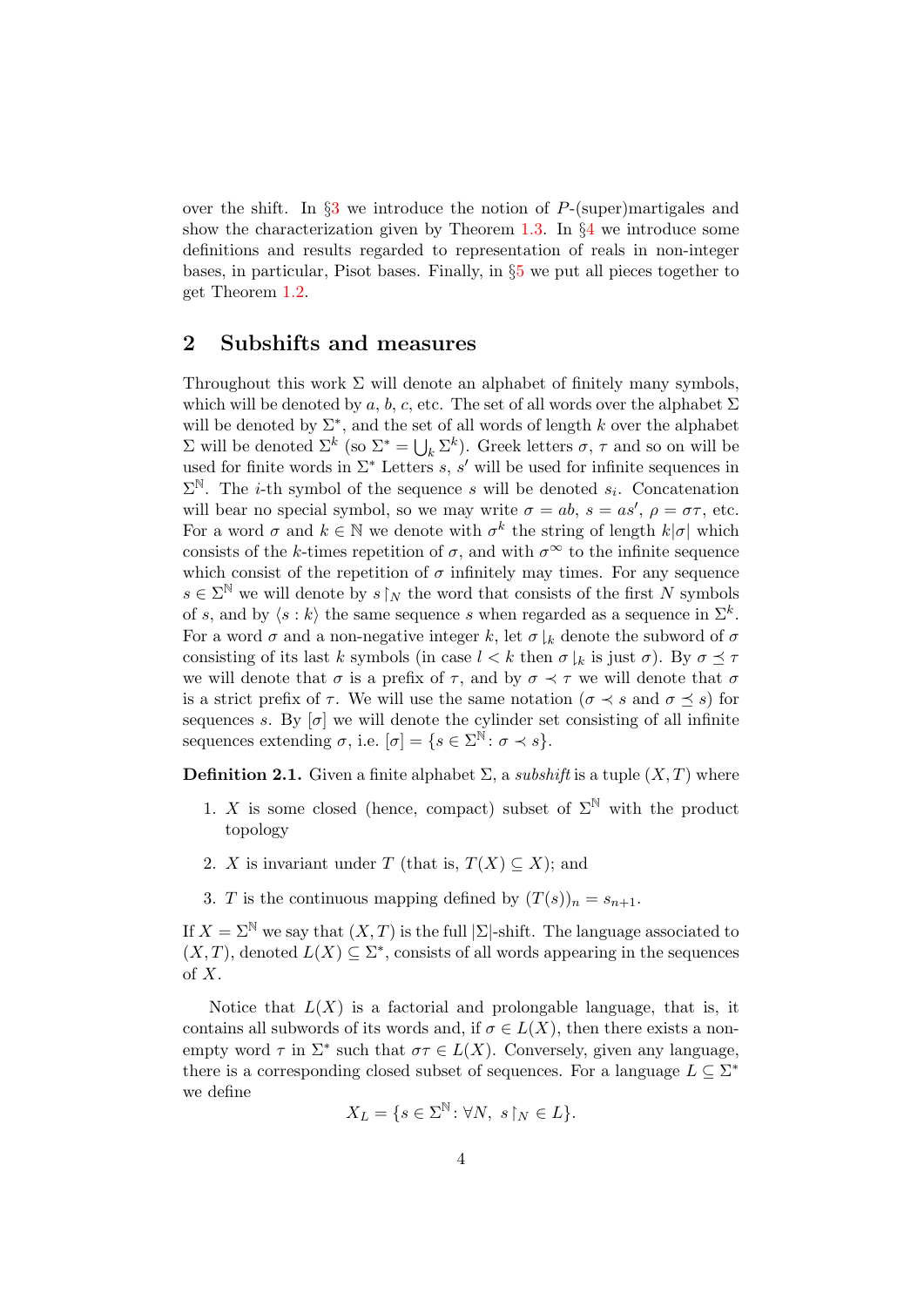over the shift. In  $\S$ [3](#page-6-0) we introduce the notion of P-(super)martigales and show the characterization given by Theorem [1.3.](#page-2-0) In  $\S4$  $\S4$  we introduce some definitions and results regarded to representation of reals in non-integer bases, in particular, Pisot bases. Finally, in §[5](#page-33-0) we put all pieces together to get Theorem [1.2.](#page-1-0)

## <span id="page-3-0"></span>2 Subshifts and measures

Throughout this work  $\Sigma$  will denote an alphabet of finitely many symbols, which will be denoted by a, b, c, etc. The set of all words over the alphabet  $\Sigma$ will be denoted by  $\Sigma^*$ , and the set of all words of length k over the alphabet  $Σ$  will be denoted  $Σ<sup>k</sup>$  (so  $Σ<sup>*</sup> = ∪<sub>k</sub> Σ<sup>k</sup>$ ). Greek letters  $σ, τ$  and so on will be used for finite words in  $\Sigma^*$  Letters s, s' will be used for infinite sequences in  $\Sigma^{\mathbb{N}}$ . The *i*-th symbol of the sequence *s* will be denoted  $s_i$ . Concatenation will bear no special symbol, so we may write  $\sigma = ab$ ,  $s = as'$ ,  $\rho = \sigma \tau$ , etc. For a word  $\sigma$  and  $k \in \mathbb{N}$  we denote with  $\sigma^k$  the string of length  $k|\sigma|$  which consists of the k-times repetition of  $\sigma$ , and with  $\sigma^{\infty}$  to the infinite sequence which consist of the repetition of  $\sigma$  infinitely may times. For any sequence  $s \in \Sigma^{\mathbb{N}}$  we will denote by  $s \upharpoonright_N$  the word that consists of the first N symbols of s, and by  $\langle s : k \rangle$  the same sequence s when regarded as a sequence in  $\Sigma^k$ . For a word  $\sigma$  and a non-negative integer k, let  $\sigma|_k$  denote the subword of  $\sigma$ consisting of its last k symbols (in case  $l < k$  then  $\sigma \downharpoonright_k$  is just  $\sigma$ ). By  $\sigma \preceq \tau$ we will denote that  $\sigma$  is a prefix of  $\tau$ , and by  $\sigma \prec \tau$  we will denote that  $\sigma$ is a strict prefix of  $\tau$ . We will use the same notation  $(\sigma \prec s \text{ and } \sigma \prec s)$  for sequences s. By  $[\sigma]$  we will denote the cylinder set consisting of all infinite sequences extending  $\sigma$ , i.e.  $[\sigma] = \{s \in \Sigma^{\mathbb{N}} : \sigma \prec s\}.$ 

**Definition 2.1.** Given a finite alphabet  $\Sigma$ , a *subshift* is a tuple  $(X, T)$  where

- 1. X is some closed (hence, compact) subset of  $\Sigma^{\mathbb{N}}$  with the product topology
- 2. X is invariant under T (that is,  $T(X) \subseteq X$ ); and
- 3. T is the continuous mapping defined by  $(T(s))_n = s_{n+1}$ .

If  $X = \Sigma^{\mathbb{N}}$  we say that  $(X, T)$  is the full  $|\Sigma|$ -shift. The language associated to  $(X, T)$ , denoted  $L(X) \subseteq \Sigma^*$ , consists of all words appearing in the sequences of X.

Notice that  $L(X)$  is a factorial and prolongable language, that is, it contains all subwords of its words and, if  $\sigma \in L(X)$ , then there exists a nonempty word  $\tau$  in  $\Sigma^*$  such that  $\sigma\tau \in L(X)$ . Conversely, given any language, there is a corresponding closed subset of sequences. For a language  $L \subseteq \Sigma^*$ we define

$$
X_L = \{ s \in \Sigma^{\mathbb{N}} \colon \forall N, \ s \upharpoonright_N \in L \}.
$$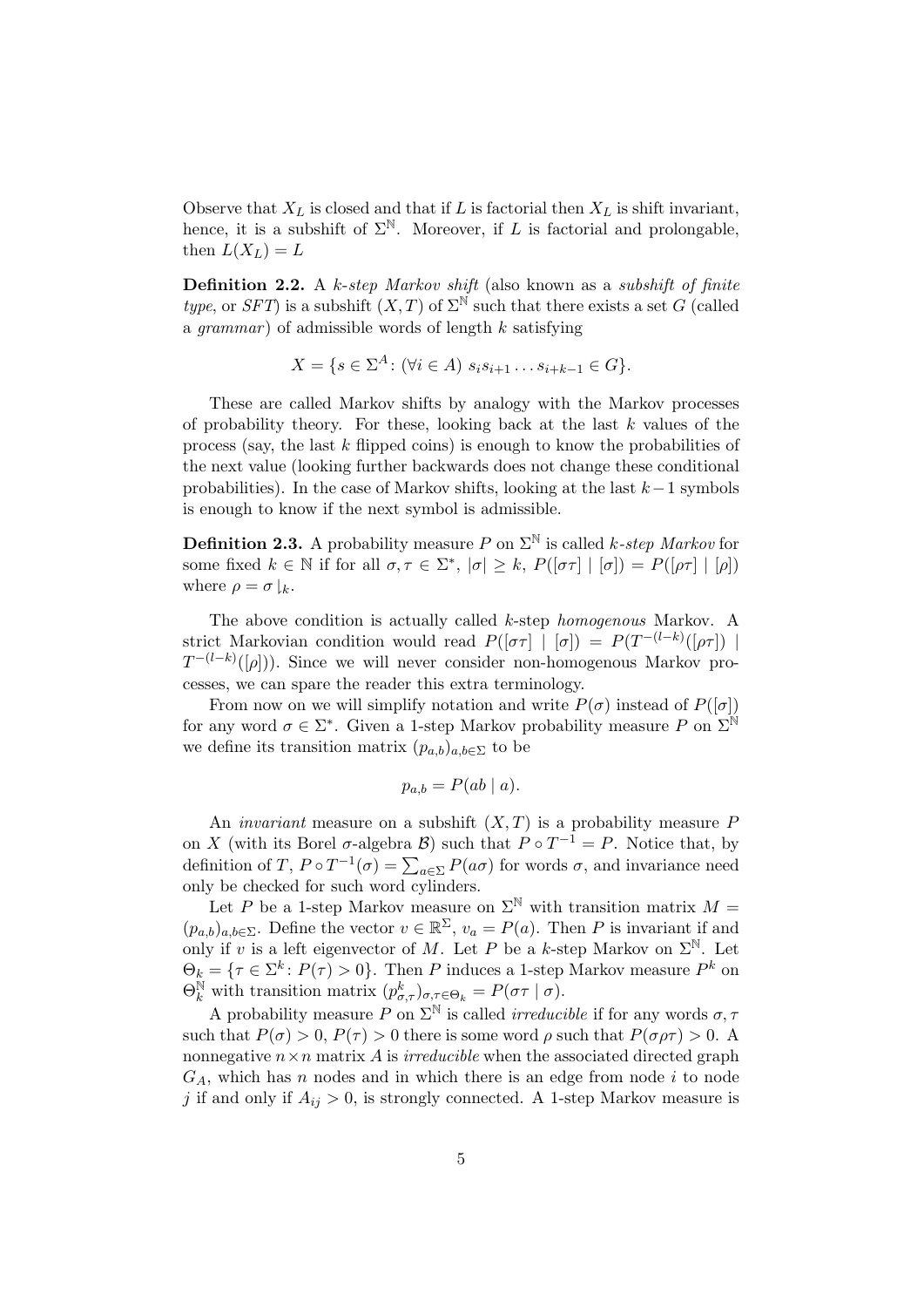Observe that  $X_L$  is closed and that if L is factorial then  $X_L$  is shift invariant, hence, it is a subshift of  $\Sigma^{\mathbb{N}}$ . Moreover, if L is factorial and prolongable, then  $L(X_L) = L$ 

Definition 2.2. A k-step Markov shift (also known as a subshift of finite type, or SFT) is a subshift  $(X, T)$  of  $\Sigma^{\mathbb{N}}$  such that there exists a set G (called a grammar) of admissible words of length  $k$  satisfying

$$
X = \{ s \in \Sigma^A \colon (\forall i \in A) \ s_i s_{i+1} \dots s_{i+k-1} \in G \}.
$$

These are called Markov shifts by analogy with the Markov processes of probability theory. For these, looking back at the last  $k$  values of the process (say, the last k flipped coins) is enough to know the probabilities of the next value (looking further backwards does not change these conditional probabilities). In the case of Markov shifts, looking at the last  $k-1$  symbols is enough to know if the next symbol is admissible.

**Definition 2.3.** A probability measure P on  $\Sigma^{\mathbb{N}}$  is called k-step Markov for some fixed  $k \in \mathbb{N}$  if for all  $\sigma, \tau \in \Sigma^*$ ,  $|\sigma| \geq k$ ,  $P(|\sigma \tau| | [\sigma]) = P(|\rho \tau| | [\rho])$ where  $\rho = \sigma \downharpoonright_k$ .

The above condition is actually called k-step homogenous Markov. A strict Markovian condition would read  $P([\sigma \tau] | [\sigma]) = P(T^{-(l-k)}([\rho \tau]) |$  $T^{-(l-k)}([\rho])$ . Since we will never consider non-homogenous Markov processes, we can spare the reader this extra terminology.

From now on we will simplify notation and write  $P(\sigma)$  instead of  $P([\sigma])$ for any word  $\sigma \in \Sigma^*$ . Given a 1-step Markov probability measure P on  $\Sigma^{\mathbb{N}}$ we define its transition matrix  $(p_{a,b})_{a,b\in\Sigma}$  to be

$$
p_{a,b} = P(ab \mid a).
$$

An *invariant* measure on a subshift  $(X, T)$  is a probability measure P on X (with its Borel  $\sigma$ -algebra  $\mathcal{B}$ ) such that  $P \circ T^{-1} = P$ . Notice that, by definition of T,  $P \circ T^{-1}(\sigma) = \sum_{a \in \Sigma} P(a\sigma)$  for words  $\sigma$ , and invariance need only be checked for such word cylinders.

Let P be a 1-step Markov measure on  $\Sigma^{\mathbb{N}}$  with transition matrix  $M =$  $(p_{a,b})_{a,b\in\Sigma}$ . Define the vector  $v \in \mathbb{R}^{\Sigma}$ ,  $v_a = P(a)$ . Then P is invariant if and only if v is a left eigenvector of M. Let P be a k-step Markov on  $\Sigma^{\mathbb{N}}$ . Let  $\Theta_k = \{ \tau \in \Sigma^k \colon P(\tau) > 0 \}.$  Then P induces a 1-step Markov measure  $P^k$  on  $\Theta_k^{\mathbb{N}}$  with transition matrix  $(p_{\sigma,\tau}^k)_{\sigma,\tau \in \Theta_k} = P(\sigma \tau \mid \sigma)$ .

A probability measure P on  $\Sigma^{\mathbb{N}}$  is called *irreducible* if for any words  $\sigma$ ,  $\tau$ such that  $P(\sigma) > 0$ ,  $P(\tau) > 0$  there is some word  $\rho$  such that  $P(\sigma \rho \tau) > 0$ . A nonnegative  $n \times n$  matrix A is *irreducible* when the associated directed graph  $G_A$ , which has n nodes and in which there is an edge from node i to node j if and only if  $A_{ij} > 0$ , is strongly connected. A 1-step Markov measure is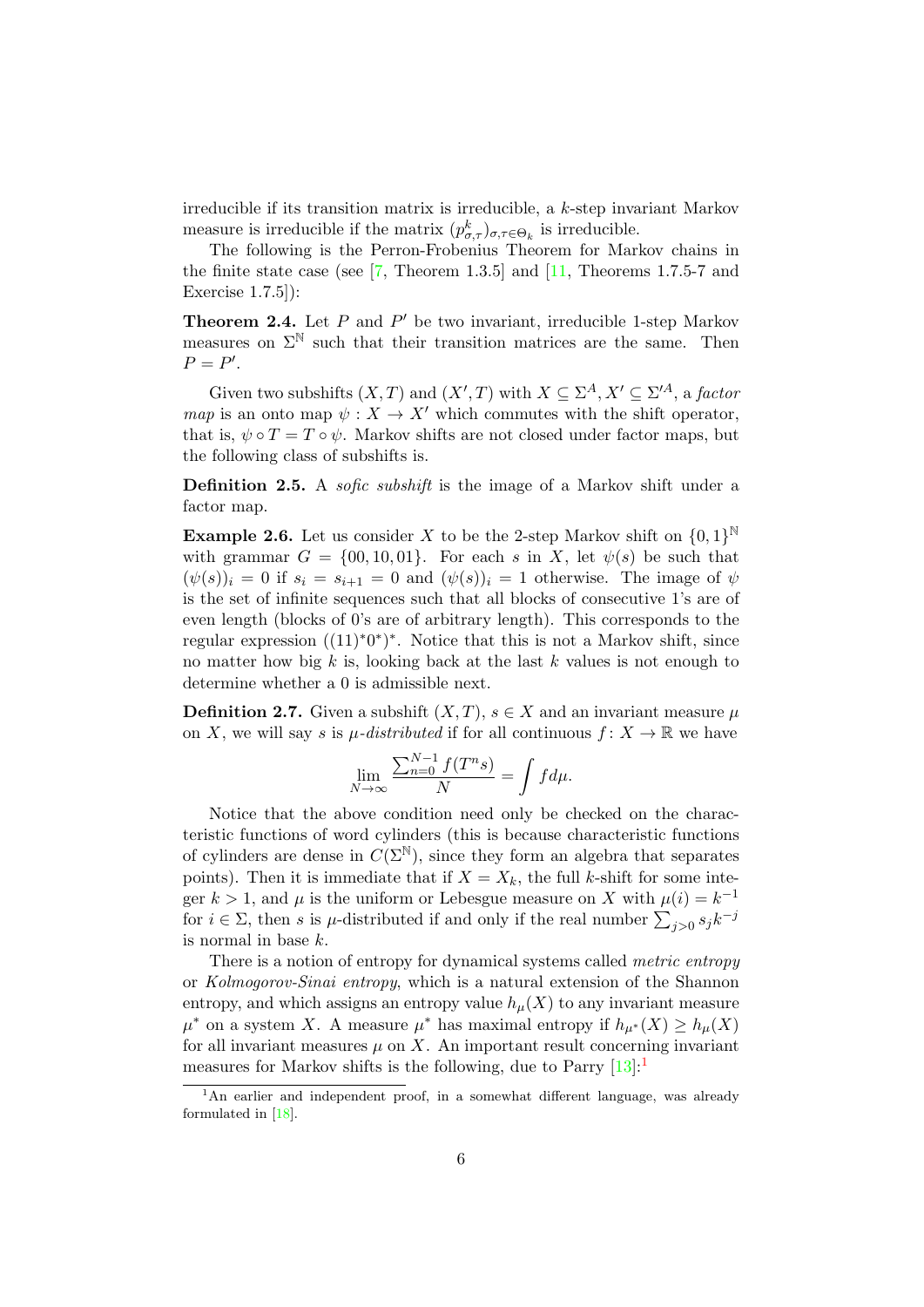irreducible if its transition matrix is irreducible, a k-step invariant Markov measure is irreducible if the matrix  $(p_{\sigma,\tau}^k)_{\sigma,\tau \in \Theta_k}$  is irreducible.

The following is the Perron-Frobenius Theorem for Markov chains in the finite state case (see  $[7,$  Theorem 1.3.5] and  $[11,$  Theorems 1.7.5-7 and Exercise 1.7.5]):

<span id="page-5-1"></span>**Theorem 2.4.** Let  $P$  and  $P'$  be two invariant, irreducible 1-step Markov measures on  $\Sigma^{\mathbb{N}}$  such that their transition matrices are the same. Then  $P = P'.$ 

Given two subshifts  $(X, T)$  and  $(X', T)$  with  $X \subseteq \Sigma^A, X' \subseteq \Sigma'^A$ , a factor map is an onto map  $\psi: X \to X'$  which commutes with the shift operator, that is,  $\psi \circ T = T \circ \psi$ . Markov shifts are not closed under factor maps, but the following class of subshifts is.

Definition 2.5. A *sofic subshift* is the image of a Markov shift under a factor map.

<span id="page-5-2"></span>**Example 2.6.** Let us consider X to be the 2-step Markov shift on  $\{0,1\}^{\mathbb{N}}$ with grammar  $G = \{00, 10, 01\}$ . For each s in X, let  $\psi(s)$  be such that  $(\psi(s))_i = 0$  if  $s_i = s_{i+1} = 0$  and  $(\psi(s))_i = 1$  otherwise. The image of  $\psi$ is the set of infinite sequences such that all blocks of consecutive 1's are of even length (blocks of 0's are of arbitrary length). This corresponds to the regular expression  $((11)^*0^*)^*$ . Notice that this is not a Markov shift, since no matter how big k is, looking back at the last k values is not enough to determine whether a 0 is admissible next.

**Definition 2.7.** Given a subshift  $(X, T)$ ,  $s \in X$  and an invariant measure  $\mu$ on X, we will say s is  $\mu$ -distributed if for all continuous  $f: X \to \mathbb{R}$  we have

$$
\lim_{N \to \infty} \frac{\sum_{n=0}^{N-1} f(T^n s)}{N} = \int f d\mu.
$$

Notice that the above condition need only be checked on the characteristic functions of word cylinders (this is because characteristic functions of cylinders are dense in  $C(\Sigma^{\mathbb{N}})$ , since they form an algebra that separates points). Then it is immediate that if  $X = X_k$ , the full k-shift for some integer  $k > 1$ , and  $\mu$  is the uniform or Lebesgue measure on X with  $\mu(i) = k^{-1}$ for  $i \in \Sigma$ , then s is  $\mu$ -distributed if and only if the real number  $\sum_{j>0} s_j k^{-j}$ is normal in base k.

There is a notion of entropy for dynamical systems called *metric entropy* or Kolmogorov-Sinai entropy, which is a natural extension of the Shannon entropy, and which assigns an entropy value  $h<sub>\mu</sub>(X)$  to any invariant measure  $\mu^*$  on a system X. A measure  $\mu^*$  has maximal entropy if  $h_{\mu^*}(X) \geq h_{\mu}(X)$ for all invariant measures  $\mu$  on X. An important result concerning invariant measures for Markov shifts is the following, due to Parry  $[13]:$  $[13]:$ <sup>[1](#page-5-0)</sup>

<span id="page-5-0"></span><sup>&</sup>lt;sup>1</sup>An earlier and independent proof, in a somewhat different language, was already formulated in [\[18\]](#page-46-13).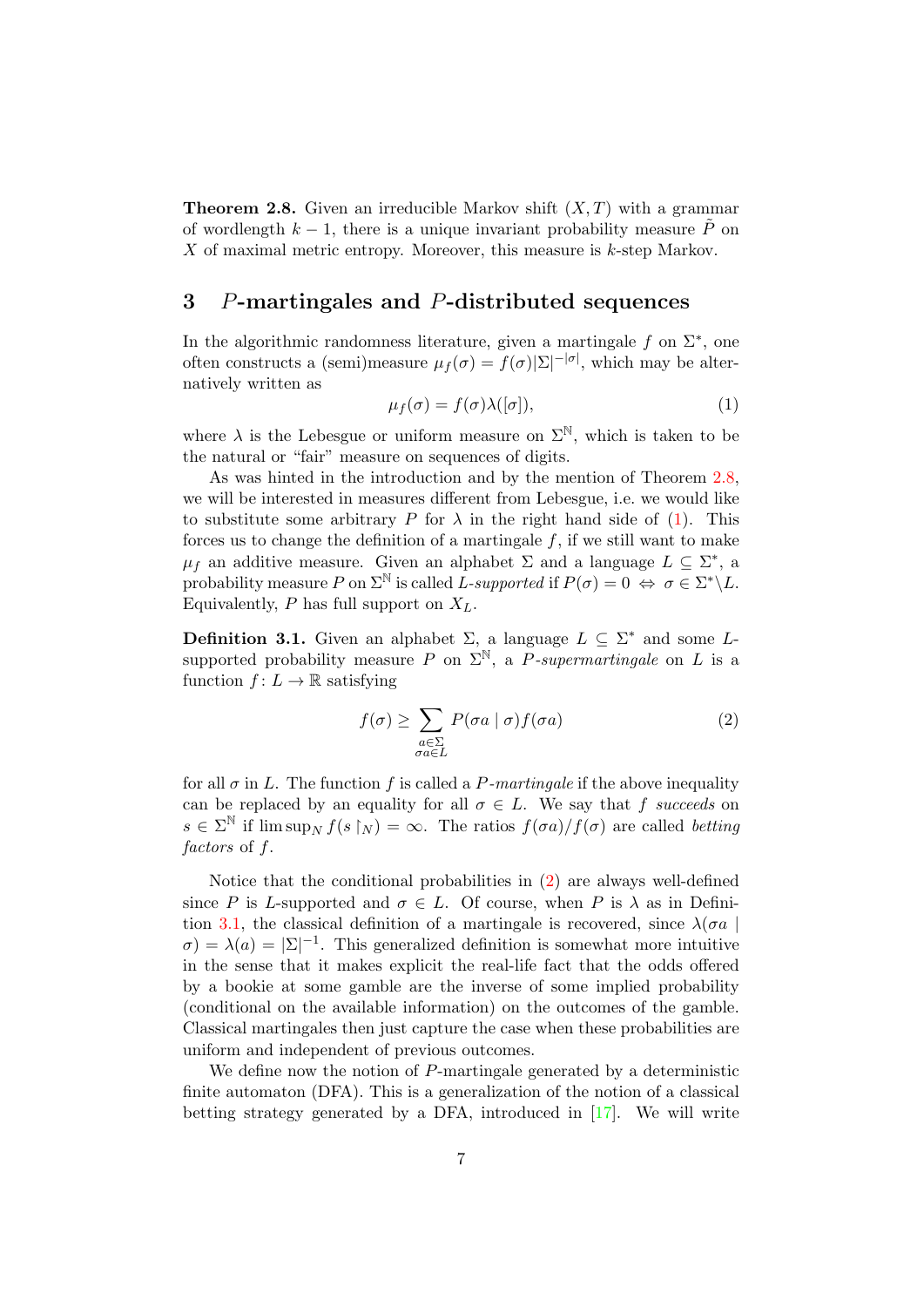<span id="page-6-1"></span>**Theorem 2.8.** Given an irreducible Markov shift  $(X, T)$  with a grammar of wordlength  $k - 1$ , there is a unique invariant probability measure  $\tilde{P}$  on  $X$  of maximal metric entropy. Moreover, this measure is  $k$ -step Markov.

# <span id="page-6-0"></span>3 P-martingales and P-distributed sequences

In the algorithmic randomness literature, given a martingale  $f$  on  $\Sigma^*$ , one often constructs a (semi)measure  $\mu_f(\sigma) = f(\sigma)|\Sigma|^{-|\sigma|}$ , which may be alternatively written as

<span id="page-6-2"></span>
$$
\mu_f(\sigma) = f(\sigma)\lambda([\sigma]),\tag{1}
$$

where  $\lambda$  is the Lebesgue or uniform measure on  $\Sigma^{\mathbb{N}}$ , which is taken to be the natural or "fair" measure on sequences of digits.

As was hinted in the introduction and by the mention of Theorem [2.8,](#page-6-1) we will be interested in measures different from Lebesgue, i.e. we would like to substitute some arbitrary P for  $\lambda$  in the right hand side of [\(1\)](#page-6-2). This forces us to change the definition of a martingale  $f$ , if we still want to make  $\mu_f$  an additive measure. Given an alphabet  $\Sigma$  and a language  $L \subseteq \Sigma^*$ , a probability measure P on  $\Sigma^{\mathbb{N}}$  is called L-supported if  $P(\sigma) = 0 \iff \sigma \in \Sigma^* \backslash L$ . Equivalently,  $P$  has full support on  $X_L$ .

<span id="page-6-4"></span>**Definition 3.1.** Given an alphabet  $\Sigma$ , a language  $L \subseteq \Sigma^*$  and some Lsupported probability measure P on  $\Sigma^{\mathbb{N}}$ , a P-supermartingale on L is a function  $f: L \to \mathbb{R}$  satisfying

<span id="page-6-3"></span>
$$
f(\sigma) \ge \sum_{\substack{a \in \Sigma \\ \sigma a \in L}} P(\sigma a \mid \sigma) f(\sigma a) \tag{2}
$$

for all  $\sigma$  in L. The function f is called a P-martingale if the above inequality can be replaced by an equality for all  $\sigma \in L$ . We say that f succeeds on  $s \in \Sigma^{\mathbb{N}}$  if  $\limsup_{N} f(s \upharpoonright N) = \infty$ . The ratios  $f(\sigma a)/f(\sigma)$  are called betting factors of f.

Notice that the conditional probabilities in [\(2\)](#page-6-3) are always well-defined since P is L-supported and  $\sigma \in L$ . Of course, when P is  $\lambda$  as in Defini-tion [3.1,](#page-6-4) the classical definition of a martingale is recovered, since  $\lambda(\sigma a)$  $\sigma$ ) =  $\lambda$ (a) =  $|\Sigma|^{-1}$ . This generalized definition is somewhat more intuitive in the sense that it makes explicit the real-life fact that the odds offered by a bookie at some gamble are the inverse of some implied probability (conditional on the available information) on the outcomes of the gamble. Classical martingales then just capture the case when these probabilities are uniform and independent of previous outcomes.

We define now the notion of P-martingale generated by a deterministic finite automaton (DFA). This is a generalization of the notion of a classical betting strategy generated by a DFA, introduced in [\[17\]](#page-46-9). We will write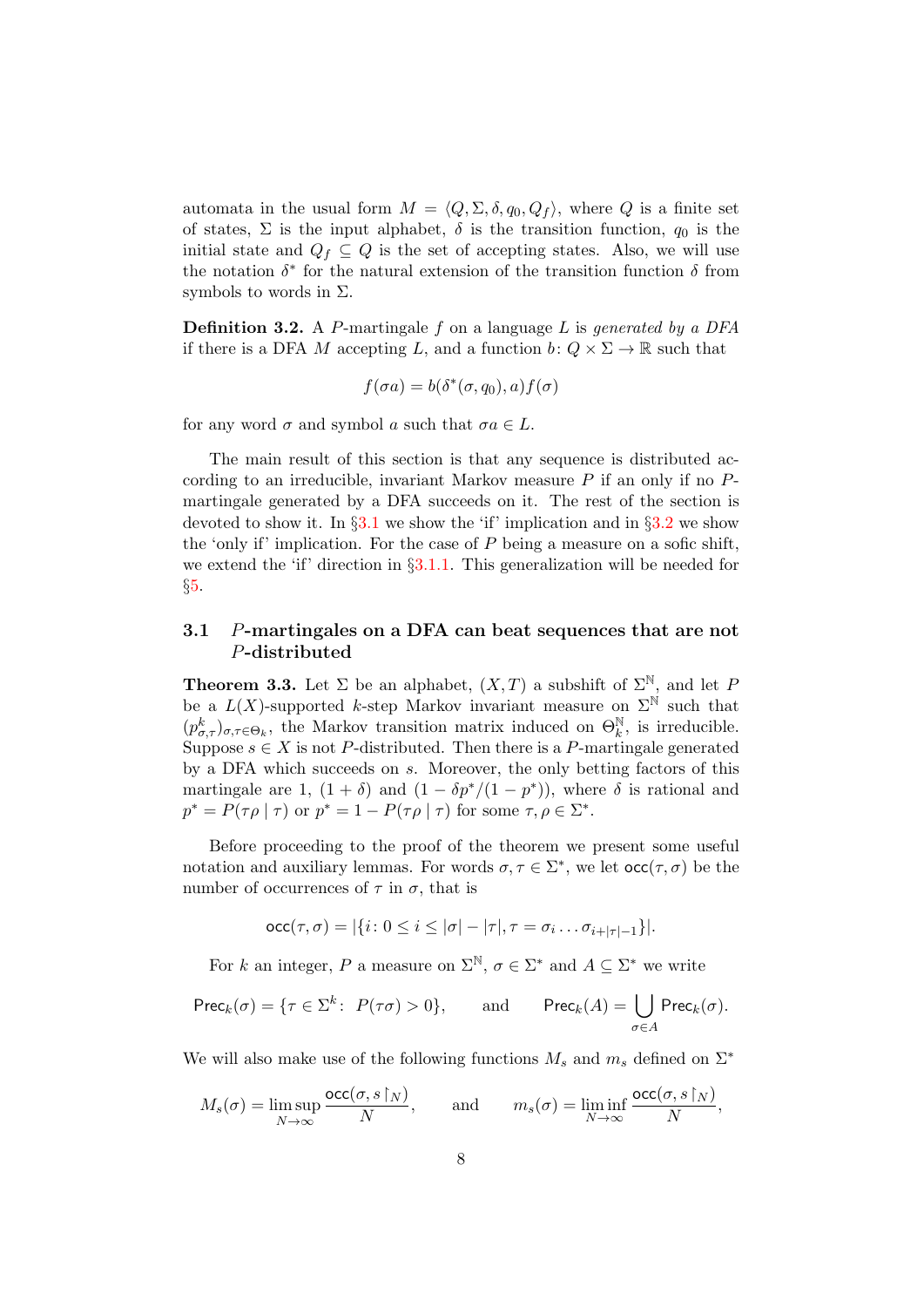automata in the usual form  $M = \langle Q, \Sigma, \delta, q_0, Q_f \rangle$ , where Q is a finite set of states,  $\Sigma$  is the input alphabet,  $\delta$  is the transition function,  $q_0$  is the initial state and  $Q_f \subseteq Q$  is the set of accepting states. Also, we will use the notation  $\delta^*$  for the natural extension of the transition function  $\delta$  from symbols to words in  $\Sigma$ .

**Definition 3.2.** A P-martingale  $f$  on a language  $L$  is generated by a DFA if there is a DFA M accepting L, and a function  $b: Q \times \Sigma \to \mathbb{R}$  such that

$$
f(\sigma a) = b(\delta^*(\sigma, q_0), a) f(\sigma)
$$

for any word  $\sigma$  and symbol a such that  $\sigma a \in L$ .

The main result of this section is that any sequence is distributed according to an irreducible, invariant Markov measure  $P$  if an only if no  $P$ martingale generated by a DFA succeeds on it. The rest of the section is devoted to show it. In  $\S3.1$  $\S3.1$  we show the 'if' implication and in  $\S3.2$  $\S3.2$  we show the 'only if' implication. For the case of  $P$  being a measure on a sofic shift, we extend the 'if' direction in  $\S3.1.1$ . This generalization will be needed for §[5.](#page-33-0)

## <span id="page-7-0"></span>3.1 P-martingales on a DFA can beat sequences that are not P-distributed

<span id="page-7-1"></span>**Theorem 3.3.** Let  $\Sigma$  be an alphabet,  $(X, T)$  a subshift of  $\Sigma^{\mathbb{N}}$ , and let P be a  $L(X)$ -supported k-step Markov invariant measure on  $\Sigma^{\mathbb{N}}$  such that  $(p_{\sigma,\tau}^k)_{\sigma,\tau \in \Theta_k}$ , the Markov transition matrix induced on  $\Theta_k^{\mathbb{N}}$ , is irreducible. Suppose  $s \in X$  is not P-distributed. Then there is a P-martingale generated by a DFA which succeeds on s. Moreover, the only betting factors of this martingale are 1,  $(1 + \delta)$  and  $(1 - \delta p^*/(1 - p^*))$ , where  $\delta$  is rational and  $p^* = P(\tau \rho \mid \tau)$  or  $p^* = 1 - P(\tau \rho \mid \tau)$  for some  $\tau, \rho \in \Sigma^*$ .

Before proceeding to the proof of the theorem we present some useful notation and auxiliary lemmas. For words  $\sigma, \tau \in \Sigma^*$ , we let  $\operatorname{occ}(\tau, \sigma)$  be the number of occurrences of  $\tau$  in  $\sigma$ , that is

$$
\mathrm{occ}(\tau,\sigma)=|\{i\colon 0\leq i\leq |\sigma|-|\tau|, \tau=\sigma_i\dots \sigma_{i+|\tau|-1}\}|.
$$

For k an integer, P a measure on  $\Sigma^{\mathbb{N}}, \sigma \in \Sigma^*$  and  $A \subseteq \Sigma^*$  we write

$$
\mathsf{Prec}_k(\sigma) = \{ \tau \in \Sigma^k \colon \ P(\tau \sigma) > 0 \}, \qquad \text{and} \qquad \mathsf{Prec}_k(A) = \bigcup_{\sigma \in A} \mathsf{Prec}_k(\sigma).
$$

We will also make use of the following functions  $M_s$  and  $m_s$  defined on  $\Sigma^*$ 

$$
M_s(\sigma)=\limsup_{N\to\infty}\frac{\mathrm{occ}(\sigma,s\!\upharpoonright_N)}{N},\qquad\text{and}\qquad m_s(\sigma)=\liminf_{N\to\infty}\frac{\mathrm{occ}(\sigma,s\!\upharpoonright_N)}{N},
$$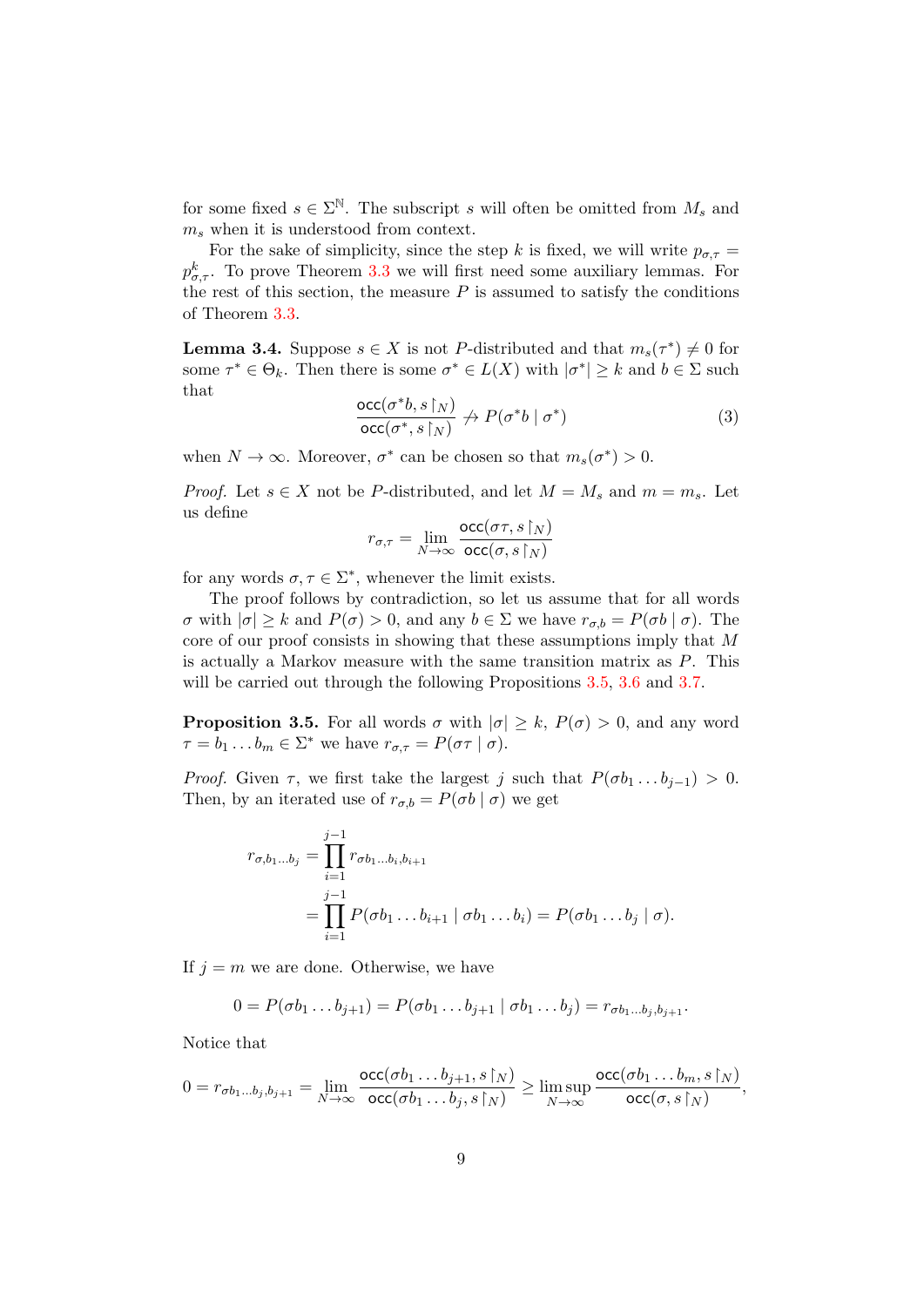for some fixed  $s \in \Sigma^{\mathbb{N}}$ . The subscript s will often be omitted from  $M_s$  and  $m_s$  when it is understood from context.

For the sake of simplicity, since the step k is fixed, we will write  $p_{\sigma,\tau} =$  $p_{\sigma,\tau}^k$ . To prove Theorem [3.3](#page-7-1) we will first need some auxiliary lemmas. For the rest of this section, the measure  $P$  is assumed to satisfy the conditions of Theorem [3.3.](#page-7-1)

<span id="page-8-2"></span>**Lemma 3.4.** Suppose  $s \in X$  is not P-distributed and that  $m_s(\tau^*) \neq 0$  for some  $\tau^* \in \Theta_k$ . Then there is some  $\sigma^* \in L(X)$  with  $|\sigma^*| \geq k$  and  $b \in \Sigma$  such that

<span id="page-8-1"></span>
$$
\frac{\operatorname{occ}(\sigma^*b, s\upharpoonright_N)}{\operatorname{occ}(\sigma^*, s\upharpoonright_N)} \nrightarrow P(\sigma^*b \mid \sigma^*)
$$
\n(3)

when  $N \to \infty$ . Moreover,  $\sigma^*$  can be chosen so that  $m_s(\sigma^*) > 0$ .

*Proof.* Let  $s \in X$  not be P-distributed, and let  $M = M_s$  and  $m = m_s$ . Let us define

$$
r_{\sigma,\tau} = \lim_{N\to\infty} \frac{\text{occ}(\sigma\tau,s\!\upharpoonright_N)}{\text{occ}(\sigma,s\!\upharpoonright_N)}
$$

for any words  $\sigma, \tau \in \Sigma^*$ , whenever the limit exists.

The proof follows by contradiction, so let us assume that for all words  $σ$  with  $|\sigma|$  ≥ k and  $P(σ) > 0$ , and any  $b ∈ Σ$  we have  $r_{σ, b} = P(σb | σ)$ . The core of our proof consists in showing that these assumptions imply that M is actually a Markov measure with the same transition matrix as  $P$ . This will be carried out through the following Propositions [3.5,](#page-8-0) [3.6](#page-9-0) and [3.7.](#page-11-0)

<span id="page-8-0"></span>**Proposition 3.5.** For all words  $\sigma$  with  $|\sigma| > k$ ,  $P(\sigma) > 0$ , and any word  $\tau = b_1 \dots b_m \in \Sigma^*$  we have  $r_{\sigma,\tau} = P(\sigma \tau \mid \sigma)$ .

*Proof.* Given  $\tau$ , we first take the largest j such that  $P(\sigma b_1 \dots b_{j-1}) > 0$ . Then, by an iterated use of  $r_{\sigma,b} = P(\sigma b \mid \sigma)$  we get

$$
r_{\sigma,b_1...b_j} = \prod_{i=1}^{j-1} r_{\sigma b_1...b_i,b_{i+1}}
$$
  
= 
$$
\prod_{i=1}^{j-1} P(\sigma b_1 ... b_{i+1} | \sigma b_1 ... b_i) = P(\sigma b_1 ... b_j | \sigma).
$$

If  $j = m$  we are done. Otherwise, we have

$$
0 = P(\sigma b_1 \dots b_{j+1}) = P(\sigma b_1 \dots b_{j+1} | \sigma b_1 \dots b_j) = r_{\sigma b_1 \dots b_j, b_{j+1}}.
$$

Notice that

$$
0 = r_{\sigma b_1 \dots b_j, b_{j+1}} = \lim_{N \to \infty} \frac{\operatorname{occ}(\sigma b_1 \dots b_{j+1}, s \upharpoonright_N)}{\operatorname{occ}(\sigma b_1 \dots b_j, s \upharpoonright_N)} \ge \limsup_{N \to \infty} \frac{\operatorname{occ}(\sigma b_1 \dots b_m, s \upharpoonright_N)}{\operatorname{occ}(\sigma, s \upharpoonright_N)},
$$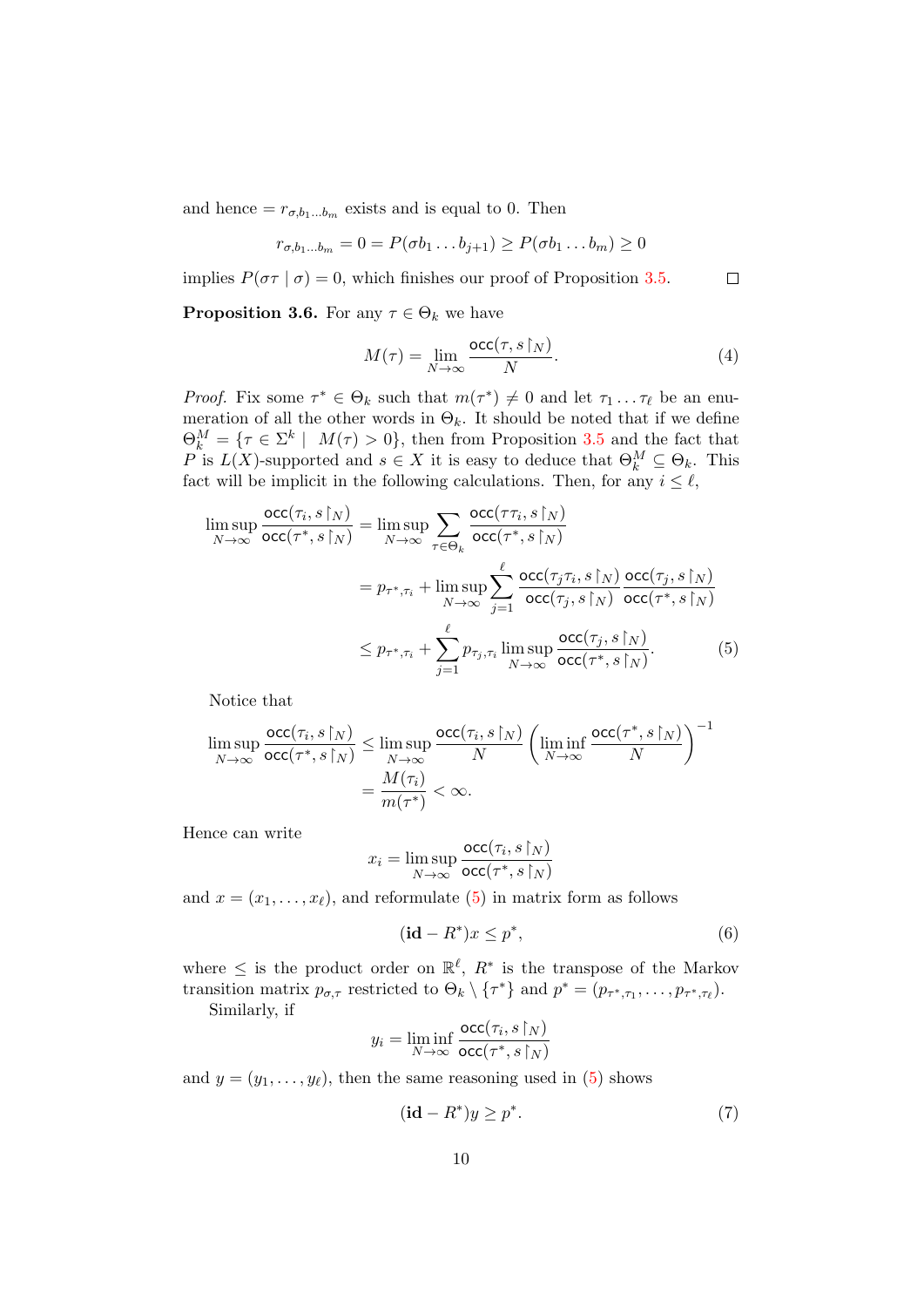and hence  $=r_{\sigma,b_1...b_m}$  exists and is equal to 0. Then

$$
r_{\sigma,b_1...b_m} = 0 = P(\sigma b_1 \dots b_{j+1}) \ge P(\sigma b_1 \dots b_m) \ge 0
$$

implies  $P(\sigma \tau | \sigma) = 0$ , which finishes our proof of Proposition [3.5.](#page-8-0)  $\Box$ 

<span id="page-9-0"></span>**Proposition 3.6.** For any  $\tau \in \Theta_k$  we have

<span id="page-9-4"></span>
$$
M(\tau) = \lim_{N \to \infty} \frac{\text{occ}(\tau, s \upharpoonright_N)}{N}.
$$
 (4)

*Proof.* Fix some  $\tau^* \in \Theta_k$  such that  $m(\tau^*) \neq 0$  and let  $\tau_1 \dots \tau_\ell$  be an enumeration of all the other words in  $\Theta_k$ . It should be noted that if we define  $\Theta_k^M = \{ \tau \in \Sigma^k \mid M(\tau) > 0 \},\$  then from Proposition [3.5](#page-8-0) and the fact that P is  $L(X)$ -supported and  $s \in X$  it is easy to deduce that  $\Theta_k^M \subseteq \Theta_k$ . This fact will be implicit in the following calculations. Then, for any  $i \leq \ell$ ,

$$
\limsup_{N \to \infty} \frac{\operatorname{occ}(\tau_i, s \upharpoonright_N)}{\operatorname{occ}(\tau^*, s \upharpoonright_N)} = \limsup_{N \to \infty} \sum_{\tau \in \Theta_k} \frac{\operatorname{occ}(\tau \tau_i, s \upharpoonright_N)}{\operatorname{occ}(\tau^*, s \upharpoonright_N)}
$$
\n
$$
= p_{\tau^*, \tau_i} + \limsup_{N \to \infty} \sum_{j=1}^{\ell} \frac{\operatorname{occ}(\tau_j \tau_i, s \upharpoonright_N)}{\operatorname{occ}(\tau_j, s \upharpoonright_N)} \frac{\operatorname{occ}(\tau_j, s \upharpoonright_N)}{\operatorname{occ}(\tau^*, s \upharpoonright_N)}
$$
\n
$$
\leq p_{\tau^*, \tau_i} + \sum_{j=1}^{\ell} p_{\tau_j, \tau_i} \limsup_{N \to \infty} \frac{\operatorname{occ}(\tau_j, s \upharpoonright_N)}{\operatorname{occ}(\tau^*, s \upharpoonright_N)}.
$$
\n(5)

Notice that

$$
\limsup_{N \to \infty} \frac{\operatorname{occ}(\tau_i, s \upharpoonright_N)}{\operatorname{occ}(\tau^*, s \upharpoonright_N)} \le \limsup_{N \to \infty} \frac{\operatorname{occ}(\tau_i, s \upharpoonright_N)}{N} \left( \liminf_{N \to \infty} \frac{\operatorname{occ}(\tau^*, s \upharpoonright_N)}{N} \right)^{-1}
$$
\n
$$
= \frac{M(\tau_i)}{m(\tau^*)} < \infty.
$$

Hence can write

<span id="page-9-1"></span>
$$
x_i = \limsup_{N \to \infty} \frac{\text{occ}(\tau_i, s \restriction_N)}{\text{occ}(\tau^*, s \restriction_N)}
$$

and  $x = (x_1, \ldots, x_\ell)$ , and reformulate [\(5\)](#page-9-1) in matrix form as follows

<span id="page-9-2"></span>
$$
(\mathbf{id} - R^*)x \le p^*,\tag{6}
$$

where  $\leq$  is the product order on  $\mathbb{R}^{\ell}$ ,  $R^*$  is the transpose of the Markov transition matrix  $p_{\sigma,\tau}$  restricted to  $\Theta_k \setminus {\tau^*}$  and  $p^* = (p_{\tau^*,\tau_1}, \ldots, p_{\tau^*,\tau_\ell}).$ 

Similarly, if

$$
y_i = \liminf_{N \to \infty} \frac{\text{occ}(\tau_i, s \upharpoonright_N)}{\text{occ}(\tau^*, s \upharpoonright_N)}
$$

and  $y = (y_1, \ldots, y_\ell)$ , then the same reasoning used in [\(5\)](#page-9-1) shows

<span id="page-9-3"></span>
$$
(\mathbf{id} - R^*)y \ge p^*.\tag{7}
$$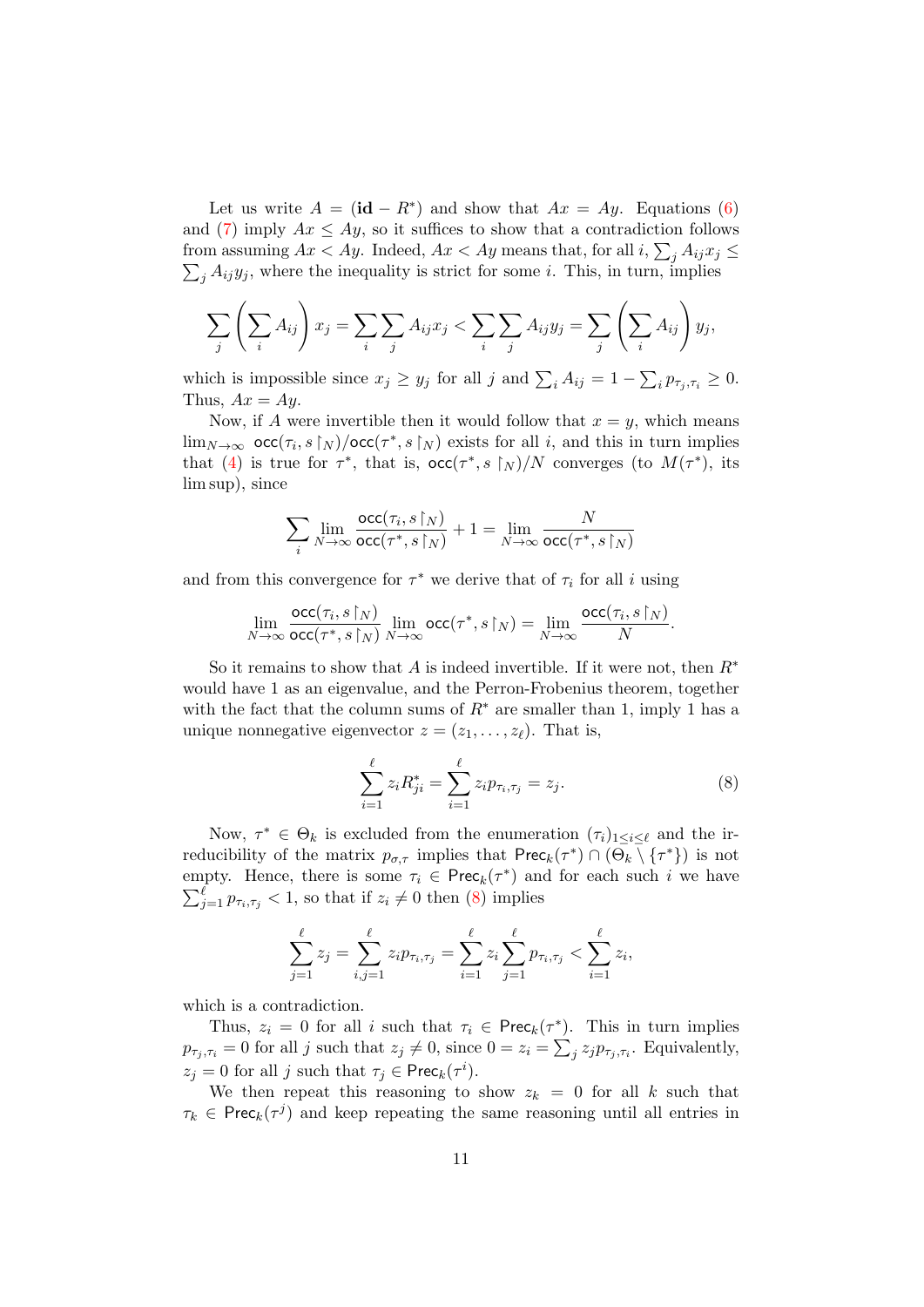Let us write  $A = (\mathbf{id} - R^*)$  and show that  $Ax = Ay$ . Equations [\(6\)](#page-9-2) and [\(7\)](#page-9-3) imply  $Ax \le Ay$ , so it suffices to show that a contradiction follows from assuming  $Ax < Ay$ . Indeed,  $Ax < Ay$  means that, for all  $i, \sum_j A_{ij} x_j \leq$  $\sum_j A_{ij}y_j$ , where the inequality is strict for some *i*. This, in turn, implies

$$
\sum_{j} \left( \sum_{i} A_{ij} \right) x_j = \sum_{i} \sum_{j} A_{ij} x_j < \sum_{i} \sum_{j} A_{ij} y_j = \sum_{j} \left( \sum_{i} A_{ij} \right) y_j,
$$

which is impossible since  $x_j \ge y_j$  for all j and  $\sum_i A_{ij} = 1 - \sum_i p_{\tau_j, \tau_i} \ge 0$ . Thus,  $Ax = Ay$ .

Now, if A were invertible then it would follow that  $x = y$ , which means  $\lim_{N\to\infty}$  occ $(\tau_i, s\upharpoonright_N)/$ occ $(\tau^*, s\upharpoonright_N)$  exists for all i, and this in turn implies that [\(4\)](#page-9-4) is true for  $\tau^*$ , that is,  $\operatorname{occ}(\tau^*, s \upharpoonright_N)/N$  converges (to  $M(\tau^*)$ , its lim sup), since

$$
\sum_i \lim_{N \to \infty} \frac{\mathrm{occ}(\tau_i, s \restriction_N)}{\mathrm{occ}(\tau^*, s \restriction_N)} + 1 = \lim_{N \to \infty} \frac{N}{\mathrm{occ}(\tau^*, s \restriction_N)}
$$

and from this convergence for  $\tau^*$  we derive that of  $\tau_i$  for all i using

$$
\lim_{N \to \infty} \frac{\mathrm{occ}(\tau_i, s \upharpoonright_N)}{\mathrm{occ}(\tau^*, s \upharpoonright_N)} \lim_{N \to \infty} \mathrm{occ}(\tau^*, s \upharpoonright_N) = \lim_{N \to \infty} \frac{\mathrm{occ}(\tau_i, s \upharpoonright_N)}{N}.
$$

So it remains to show that A is indeed invertible. If it were not, then  $R^*$ would have 1 as an eigenvalue, and the Perron-Frobenius theorem, together with the fact that the column sums of  $R^*$  are smaller than 1, imply 1 has a unique nonnegative eigenvector  $z = (z_1, \ldots, z_\ell)$ . That is,

<span id="page-10-0"></span>
$$
\sum_{i=1}^{\ell} z_i R_{ji}^* = \sum_{i=1}^{\ell} z_i p_{\tau_i, \tau_j} = z_j.
$$
 (8)

Now,  $\tau^* \in \Theta_k$  is excluded from the enumeration  $(\tau_i)_{1 \leq i \leq \ell}$  and the irreducibility of the matrix  $p_{\sigma,\tau}$  implies that  $\mathsf{Prec}_k(\tau^*) \cap (\Theta_k \setminus {\{\tau^*\}})$  is not empty. Hence, there is some  $\tau_i \in \text{Prec}_k(\tau^*)$  and for each such i we have  $\sum_{j=1}^{\ell} p_{\tau_i,\tau_j} < 1$ , so that if  $z_i \neq 0$  then [\(8\)](#page-10-0) implies

$$
\sum_{j=1}^{\ell} z_j = \sum_{i,j=1}^{\ell} z_i p_{\tau_i, \tau_j} = \sum_{i=1}^{\ell} z_i \sum_{j=1}^{\ell} p_{\tau_i, \tau_j} < \sum_{i=1}^{\ell} z_i,
$$

which is a contradiction.

Thus,  $z_i = 0$  for all i such that  $\tau_i \in \text{Prec}_k(\tau^*)$ . This in turn implies  $p_{\tau_j, \tau_i} = 0$  for all j such that  $z_j \neq 0$ , since  $0 = z_i = \sum_j z_j p_{\tau_j, \tau_i}$ . Equivalently,  $z_j = 0$  for all j such that  $\tau_j \in \text{Prec}_k(\tau^i)$ .

We then repeat this reasoning to show  $z_k = 0$  for all k such that  $\tau_k \in \text{Prec}_k(\tau^j)$  and keep repeating the same reasoning until all entries in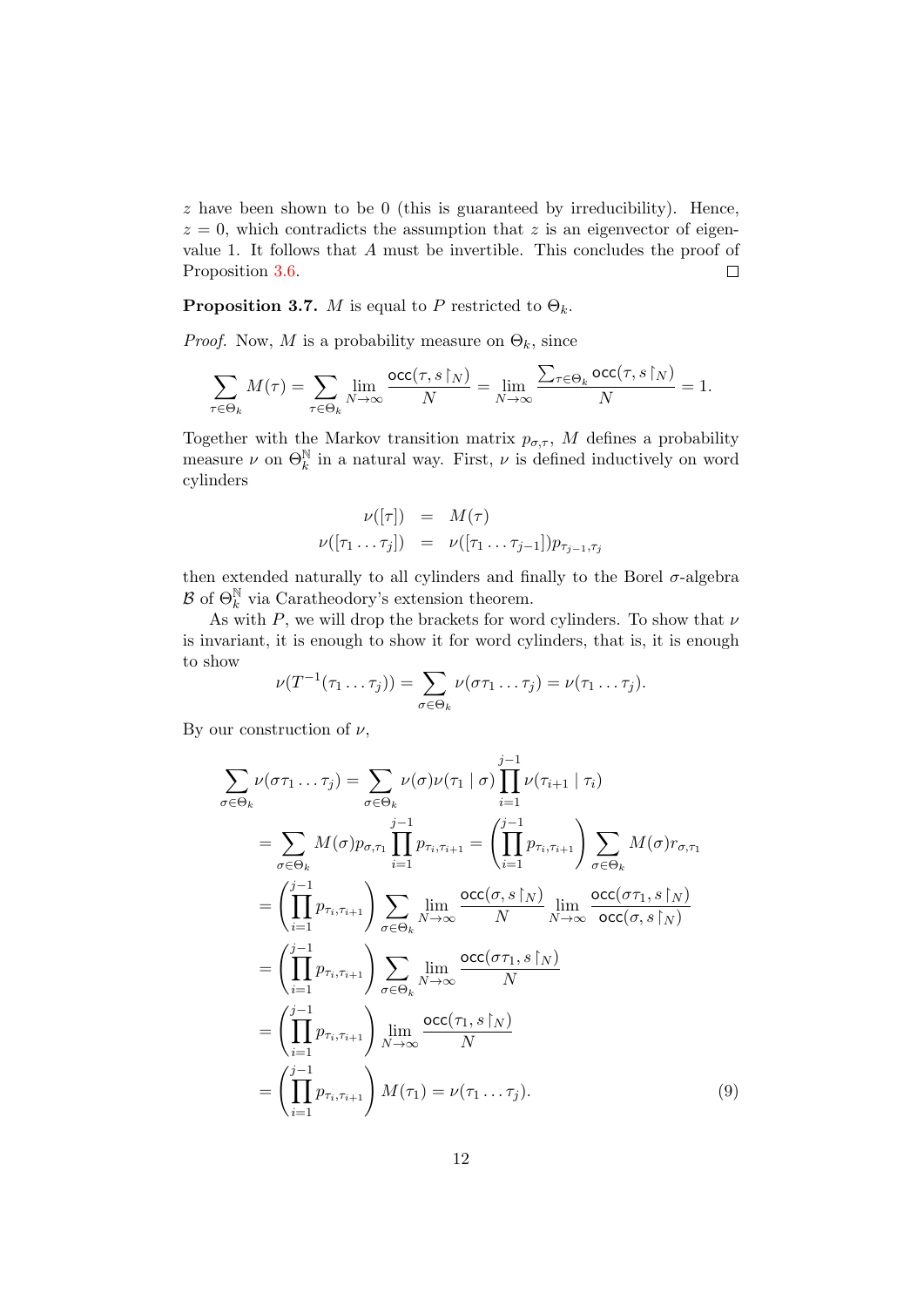$z$  have been shown to be 0 (this is guaranteed by irreducibility). Hence,  $z = 0$ , which contradicts the assumption that z is an eigenvector of eigenvalue 1. It follows that A must be invertible. This concludes the proof of Proposition [3.6.](#page-9-0)  $\Box$ 

<span id="page-11-0"></span>**Proposition 3.7.** *M* is equal to *P* restricted to  $\Theta_k$ .

*Proof.* Now, M is a probability measure on  $\Theta_k$ , since

$$
\sum_{\tau \in \Theta_k} M(\tau) = \sum_{\tau \in \Theta_k} \lim_{N \to \infty} \frac{\mathrm{occ}(\tau, s \!\upharpoonright_N)}{N} = \lim_{N \to \infty} \frac{\sum_{\tau \in \Theta_k} \mathrm{occ}(\tau, s \!\upharpoonright_N)}{N} = 1.
$$

Together with the Markov transition matrix  $p_{\sigma,\tau}$ , M defines a probability measure  $\nu$  on  $\Theta_k^{\mathbb{N}}$  in a natural way. First,  $\nu$  is defined inductively on word cylinders

$$
\nu([\tau]) = M(\tau)
$$
  

$$
\nu([\tau_1 \dots \tau_j]) = \nu([\tau_1 \dots \tau_{j-1}]) p_{\tau_{j-1}, \tau_j}
$$

then extended naturally to all cylinders and finally to the Borel  $\sigma$ -algebra  $\mathcal{B}$  of  $\Theta_k^{\mathbb{N}}$  via Caratheodory's extension theorem.

As with  $P$ , we will drop the brackets for word cylinders. To show that  $\nu$ is invariant, it is enough to show it for word cylinders, that is, it is enough to show

$$
\nu(T^{-1}(\tau_1 \ldots \tau_j)) = \sum_{\sigma \in \Theta_k} \nu(\sigma \tau_1 \ldots \tau_j) = \nu(\tau_1 \ldots \tau_j).
$$

By our construction of  $\nu$ ,

<span id="page-11-1"></span>
$$
\sum_{\sigma \in \Theta_k} \nu(\sigma \tau_1 \dots \tau_j) = \sum_{\sigma \in \Theta_k} \nu(\sigma) \nu(\tau_1 | \sigma) \prod_{i=1}^{j-1} \nu(\tau_{i+1} | \tau_i)
$$
\n
$$
= \sum_{\sigma \in \Theta_k} M(\sigma) p_{\sigma, \tau_1} \prod_{i=1}^{j-1} p_{\tau_i, \tau_{i+1}} = \left( \prod_{i=1}^{j-1} p_{\tau_i, \tau_{i+1}} \right) \sum_{\sigma \in \Theta_k} M(\sigma) r_{\sigma, \tau_1}
$$
\n
$$
= \left( \prod_{i=1}^{j-1} p_{\tau_i, \tau_{i+1}} \right) \sum_{\sigma \in \Theta_k} \lim_{N \to \infty} \frac{\text{occ}(\sigma, s \upharpoonright N)}{N} \lim_{N \to \infty} \frac{\text{occ}(\sigma \tau_1, s \upharpoonright N)}{\text{occ}(\sigma, s \upharpoonright N)}
$$
\n
$$
= \left( \prod_{i=1}^{j-1} p_{\tau_i, \tau_{i+1}} \right) \sum_{\sigma \in \Theta_k} \lim_{N \to \infty} \frac{\text{occ}(\sigma \tau_1, s \upharpoonright N)}{N}
$$
\n
$$
= \left( \prod_{i=1}^{j-1} p_{\tau_i, \tau_{i+1}} \right) \lim_{N \to \infty} \frac{\text{occ}(\tau_1, s \upharpoonright N)}{N}
$$
\n
$$
= \left( \prod_{i=1}^{j-1} p_{\tau_i, \tau_{i+1}} \right) M(\tau_1) = \nu(\tau_1 \dots \tau_j).
$$
\n(9)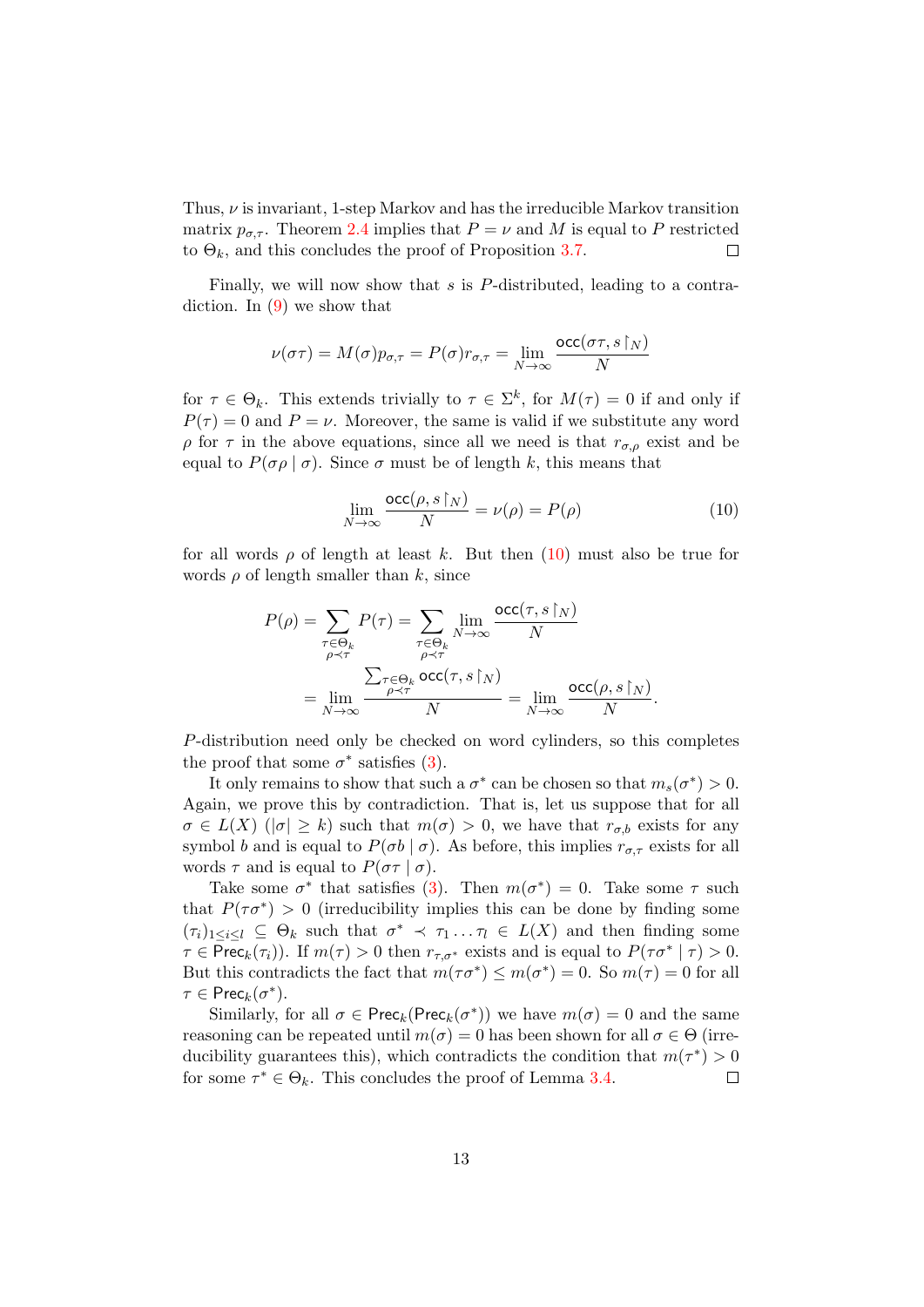Thus,  $\nu$  is invariant, 1-step Markov and has the irreducible Markov transition matrix  $p_{\sigma,\tau}$ . Theorem [2.4](#page-5-1) implies that  $P = \nu$  and M is equal to P restricted to  $\Theta_k$ , and this concludes the proof of Proposition [3.7.](#page-11-0)  $\Box$ 

Finally, we will now show that s is P-distributed, leading to a contradiction. In [\(9\)](#page-11-1) we show that

$$
\nu(\sigma\tau) = M(\sigma)p_{\sigma,\tau} = P(\sigma)r_{\sigma,\tau} = \lim_{N \to \infty} \frac{\text{occ}(\sigma\tau, s\restriction_N)}{N}
$$

for  $\tau \in \Theta_k$ . This extends trivially to  $\tau \in \Sigma^k$ , for  $M(\tau) = 0$  if and only if  $P(\tau) = 0$  and  $P = \nu$ . Moreover, the same is valid if we substitute any word ρ for τ in the above equations, since all we need is that  $r_{σ,ρ}$  exist and be equal to  $P(\sigma \rho \mid \sigma)$ . Since  $\sigma$  must be of length k, this means that

<span id="page-12-0"></span>
$$
\lim_{N \to \infty} \frac{\operatorname{occ}(\rho, s \upharpoonright_N)}{N} = \nu(\rho) = P(\rho) \tag{10}
$$

for all words  $\rho$  of length at least k. But then  $(10)$  must also be true for words  $\rho$  of length smaller than k, since

$$
P(\rho) = \sum_{\substack{\tau \in \Theta_k \\ \rho \prec \tau}} P(\tau) = \sum_{\substack{\tau \in \Theta_k \\ \rho \prec \tau}} \lim_{\substack{N \to \infty \\ \rho \prec \tau}} \frac{\mathrm{occ}(\tau, s \restriction_N)}{N}
$$

$$
= \lim_{N \to \infty} \frac{\sum_{\substack{\tau \in \Theta_k \\ \rho \prec \tau}} \mathrm{occ}(\tau, s \restriction_N)}{N} = \lim_{N \to \infty} \frac{\mathrm{occ}(\rho, s \restriction_N)}{N}.
$$

P-distribution need only be checked on word cylinders, so this completes the proof that some  $\sigma^*$  satisfies [\(3\)](#page-8-1).

It only remains to show that such a  $\sigma^*$  can be chosen so that  $m_s(\sigma^*) > 0$ . Again, we prove this by contradiction. That is, let us suppose that for all  $\sigma \in L(X)$  ( $|\sigma| \geq k$ ) such that  $m(\sigma) > 0$ , we have that  $r_{\sigma,b}$  exists for any symbol b and is equal to  $P(\sigma b | \sigma)$ . As before, this implies  $r_{\sigma,\tau}$  exists for all words  $\tau$  and is equal to  $P(\sigma \tau | \sigma)$ .

Take some  $\sigma^*$  that satisfies [\(3\)](#page-8-1). Then  $m(\sigma^*) = 0$ . Take some  $\tau$  such that  $P(\tau \sigma^*) > 0$  (irreducibility implies this can be done by finding some  $(\tau_i)_{1\leq i\leq l}\subseteq \Theta_k$  such that  $\sigma^* \prec \tau_1 \ldots \tau_l \in L(X)$  and then finding some  $\tau \in \text{Prec}_k(\tau_i)$ ). If  $m(\tau) > 0$  then  $r_{\tau,\sigma^*}$  exists and is equal to  $P(\tau \sigma^* | \tau) > 0$ . But this contradicts the fact that  $m(\tau \sigma^*) \leq m(\sigma^*) = 0$ . So  $m(\tau) = 0$  for all  $\tau \in \text{Prec}_k(\sigma^*)$ .

Similarly, for all  $\sigma \in \text{Prec}_k(\text{Prec}_k(\sigma^*))$  we have  $m(\sigma) = 0$  and the same reasoning can be repeated until  $m(\sigma) = 0$  has been shown for all  $\sigma \in \Theta$  (irreducibility guarantees this), which contradicts the condition that  $m(\tau^*) > 0$ for some  $\tau^* \in \Theta_k$ . This concludes the proof of Lemma [3.4.](#page-8-2)  $\Box$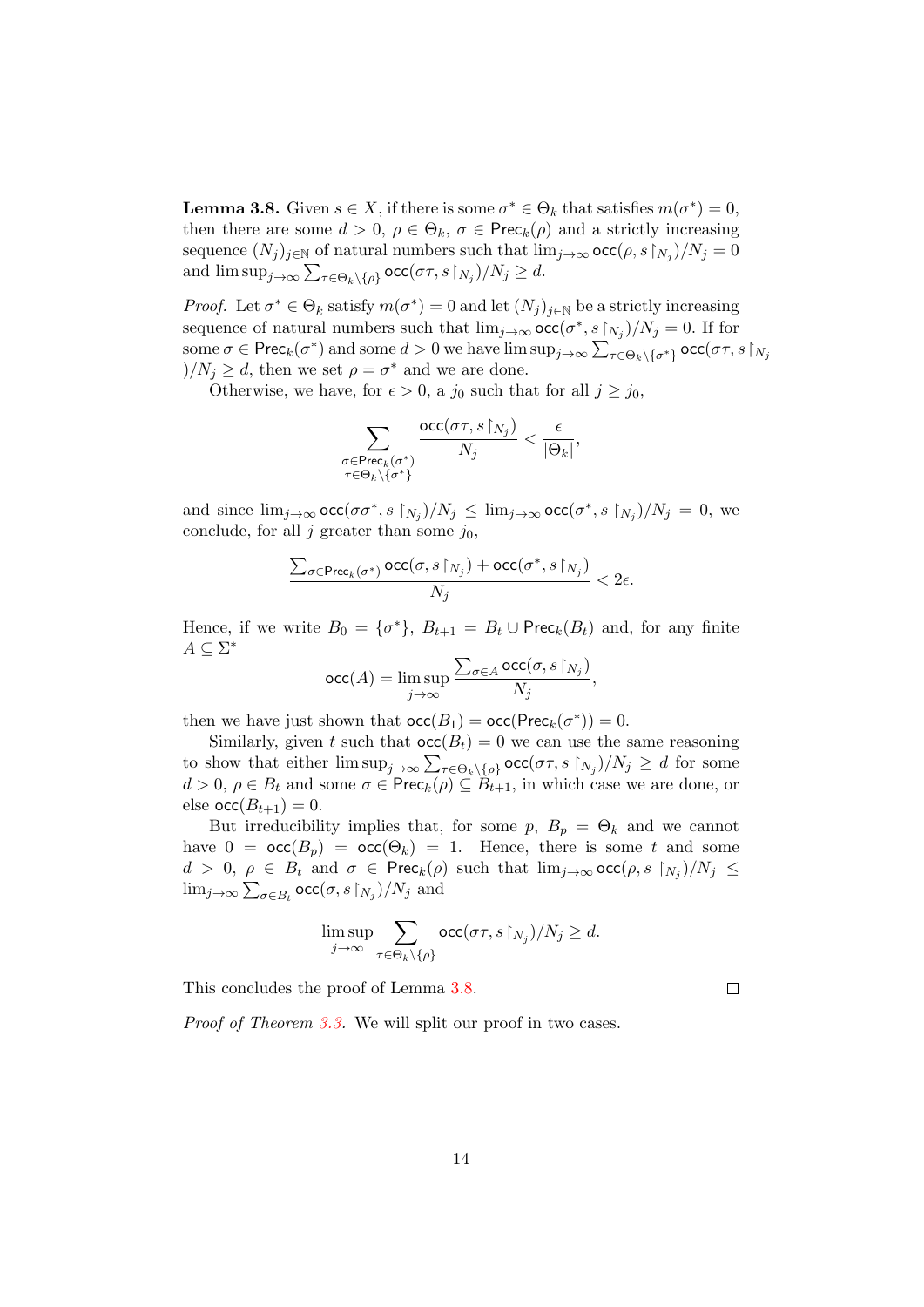<span id="page-13-0"></span>**Lemma 3.8.** Given  $s \in X$ , if there is some  $\sigma^* \in \Theta_k$  that satisfies  $m(\sigma^*) = 0$ , then there are some  $d > 0$ ,  $\rho \in \Theta_k$ ,  $\sigma \in \text{Prec}_k(\rho)$  and a strictly increasing sequence  $(N_j)_{j\in\mathbb{N}}$  of natural numbers such that  $\lim_{j\to\infty} \mathsf{occ}(\rho, s\upharpoonright_{N_j})/N_j = 0$ and  $\limsup_{j\to\infty}\sum_{\tau\in\Theta_k\setminus\{\rho\}}\textsf{occ}(\sigma\tau,s\upharpoonright_{N_j})/N_j\geq d.$ 

*Proof.* Let  $\sigma^* \in \Theta_k$  satisfy  $m(\sigma^*) = 0$  and let  $(N_j)_{j \in \mathbb{N}}$  be a strictly increasing sequence of natural numbers such that  $\lim_{j\to\infty} \operatorname{occ}(\sigma^*, s\upharpoonright_{N_j})/N_j = 0$ . If for some  $\sigma \in \text{Prec}_k(\sigma^*)$  and some  $d > 0$  we have  $\limsup_{j \to \infty} \sum_{\tau \in \Theta_k \setminus {\{\sigma^*}\}} \textsf{occ}(\sigma\tau,s\restriction_{N_j})$  $)/N_j \geq d$ , then we set  $\rho = \sigma^*$  and we are done.

Otherwise, we have, for  $\epsilon > 0$ , a j<sub>0</sub> such that for all  $j \ge j_0$ ,

 $\sigma$ 

$$
\sum_{\substack{\sigma \in \text{Prec}_k(\sigma^*) \\ \tau \in \Theta_k \setminus \{\sigma^*\}}} \frac{\text{occ}(\sigma \tau, s \restriction_{N_j})}{N_j} < \frac{\epsilon}{|\Theta_k|},
$$

and since  $\lim_{j\to\infty} \textsf{occ}(\sigma\sigma^*, s \upharpoonright_{N_j})/N_j \leq \lim_{j\to\infty} \textsf{occ}(\sigma^*, s \upharpoonright_{N_j})/N_j = 0$ , we conclude, for all j greater than some  $j_0$ ,

$$
\frac{\sum_{\sigma\in\operatorname{Prec}_k(\sigma^*)}\operatorname{occ}(\sigma,s\!\upharpoonright_{N_j})+\operatorname{occ}(\sigma^*,s\!\upharpoonright_{N_j})}{N_j}<2\epsilon.
$$

Hence, if we write  $B_0 = \{\sigma^*\}, B_{t+1} = B_t \cup \text{Prec}_k(B_t)$  and, for any finite  $A \subseteq \Sigma^*$ 

$$
\operatorname{occ}(A) = \limsup_{j \to \infty} \frac{\sum_{\sigma \in A} \operatorname{occ}(\sigma, s \restriction_{N_j})}{N_j},
$$

then we have just shown that  $occ(B_1) = occ(Prec_k(\sigma^*)) = 0$ .

Similarly, given t such that  $occ(B_t) = 0$  we can use the same reasoning to show that either  $\limsup_{j\to\infty}\sum_{\tau\in\Theta_k\setminus\{\rho\}}\textsf{occ}(\sigma\tau,s\upharpoonright_{N_j})/N_j\geq d$  for some  $d > 0$ ,  $\rho \in B_t$  and some  $\sigma \in \text{Prec}_k(\rho) \subseteq \overline{B}_{t+1}$ , in which case we are done, or else  $\operatorname{occ}(B_{t+1}) = 0$ .

But irreducibility implies that, for some  $p, B_p = \Theta_k$  and we cannot have  $0 = \text{occ}(B_p) = \text{occ}(\Theta_k) = 1$ . Hence, there is some t and some  $d > 0, \ \rho \in B_t$  and  $\sigma \in \text{Prec}_k(\rho)$  such that  $\lim_{j\to\infty} \text{occ}(\rho, s \upharpoonright_{N_j})/N_j \leq$  $\lim_{j\to\infty}\sum_{\sigma\in B_t}\mathsf{occ}(\sigma,s\!\restriction_{N_j})/N_j$  and

$$
\limsup_{j \to \infty} \sum_{\tau \in \Theta_k \setminus \{\rho\}} \operatorname{occ}(\sigma \tau, s \upharpoonright_{N_j})/N_j \geq d.
$$

This concludes the proof of Lemma [3.8.](#page-13-0)

 $\Box$ 

Proof of Theorem [3.3.](#page-7-1) We will split our proof in two cases.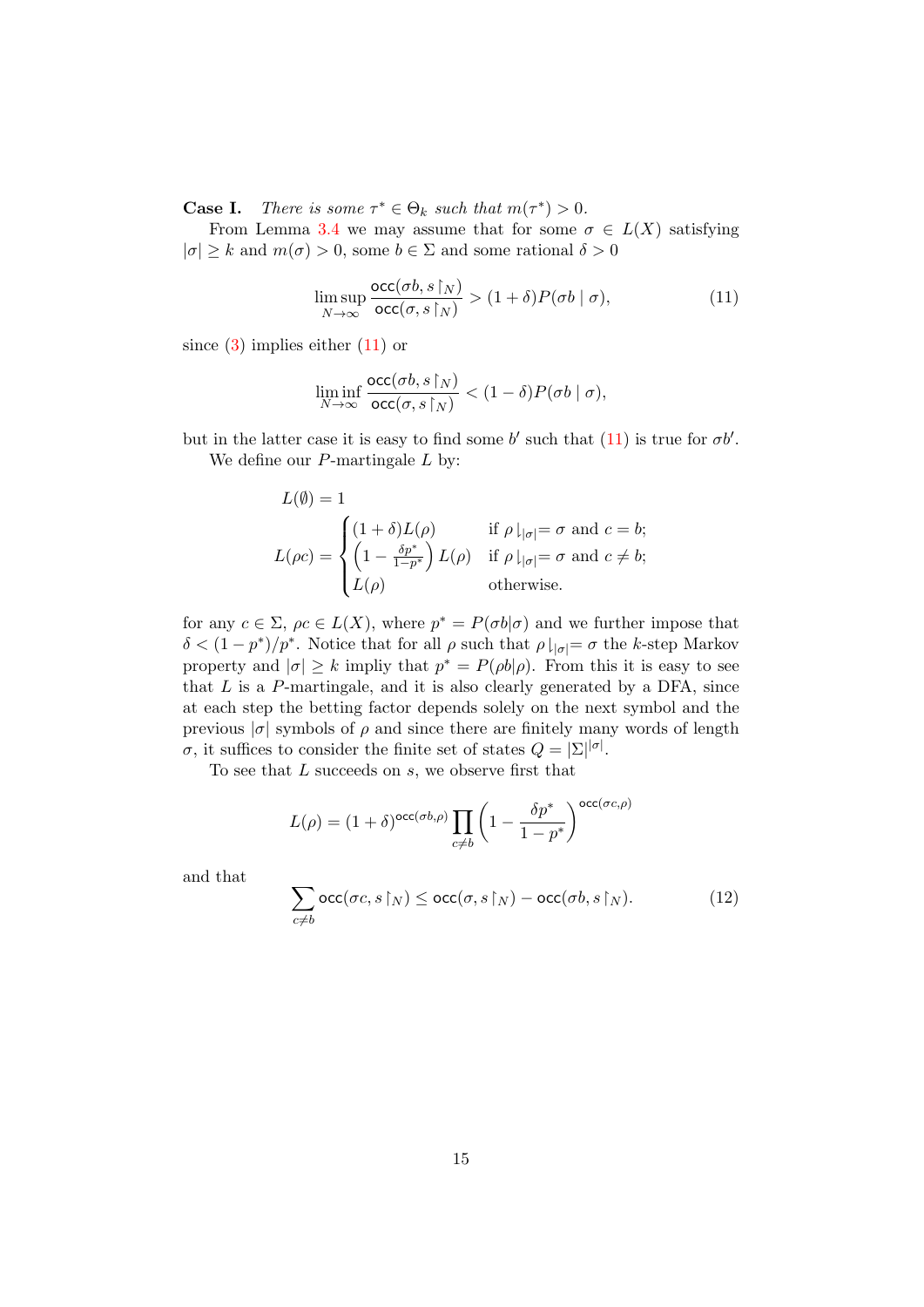**Case I.** There is some  $\tau^* \in \Theta_k$  such that  $m(\tau^*) > 0$ .

From Lemma [3.4](#page-8-2) we may assume that for some  $\sigma \in L(X)$  satisfying  $|\sigma| \geq k$  and  $m(\sigma) > 0$ , some  $b \in \Sigma$  and some rational  $\delta > 0$ 

<span id="page-14-0"></span>
$$
\limsup_{N \to \infty} \frac{\operatorname{occ}(\sigma b, s \upharpoonright_{N})}{\operatorname{occ}(\sigma, s \upharpoonright_{N})} > (1 + \delta) P(\sigma b \mid \sigma), \tag{11}
$$

since  $(3)$  implies either  $(11)$  or

$$
\liminf_{N\to\infty} \frac{\mathrm{occ}(\sigma b,s\!\upharpoonright_N)}{\mathrm{occ}(\sigma,s\!\upharpoonright_N)} < (1-\delta) P(\sigma b\mid\sigma),
$$

but in the latter case it is easy to find some b' such that  $(11)$  is true for  $\sigma b'$ . We define our  $P$ -martingale  $L$  by:

$$
L(\emptyset) = 1
$$
  
\n
$$
L(\rho c) = \begin{cases} (1+\delta)L(\rho) & \text{if } \rho \mid_{|\sigma|} = \sigma \text{ and } c = b; \\ \left(1 - \frac{\delta p^*}{1 - p^*}\right)L(\rho) & \text{if } \rho \mid_{|\sigma|} = \sigma \text{ and } c \neq b; \\ L(\rho) & \text{otherwise.} \end{cases}
$$

for any  $c \in \Sigma$ ,  $\rho c \in L(X)$ , where  $p^* = P(\sigma b | \sigma)$  and we further impose that  $\delta < (1-p^*)/p^*$ . Notice that for all  $\rho$  such that  $\rho|_{|\sigma|} = \sigma$  the k-step Markov property and  $|\sigma| \geq k$  impliy that  $p^* = P(\rho b|\rho)$ . From this it is easy to see that  $L$  is a  $P$ -martingale, and it is also clearly generated by a DFA, since at each step the betting factor depends solely on the next symbol and the previous  $|\sigma|$  symbols of  $\rho$  and since there are finitely many words of length σ, it suffices to consider the finite set of states  $Q = |\Sigma|^{|\sigma|}$ .

To see that  $L$  succeeds on  $s$ , we observe first that

$$
L(\rho) = (1+\delta)^{\mathsf{occ}(\sigma b, \rho)} \prod_{c \neq b} \left(1 - \frac{\delta p^*}{1 - p^*}\right)^{\mathsf{occ}(\sigma c, \rho)}
$$

and that

<span id="page-14-1"></span>
$$
\sum_{c \neq b} \operatorname{occ}(\sigma c, s \upharpoonright_{N}) \le \operatorname{occ}(\sigma, s \upharpoonright_{N}) - \operatorname{occ}(\sigma b, s \upharpoonright_{N}). \tag{12}
$$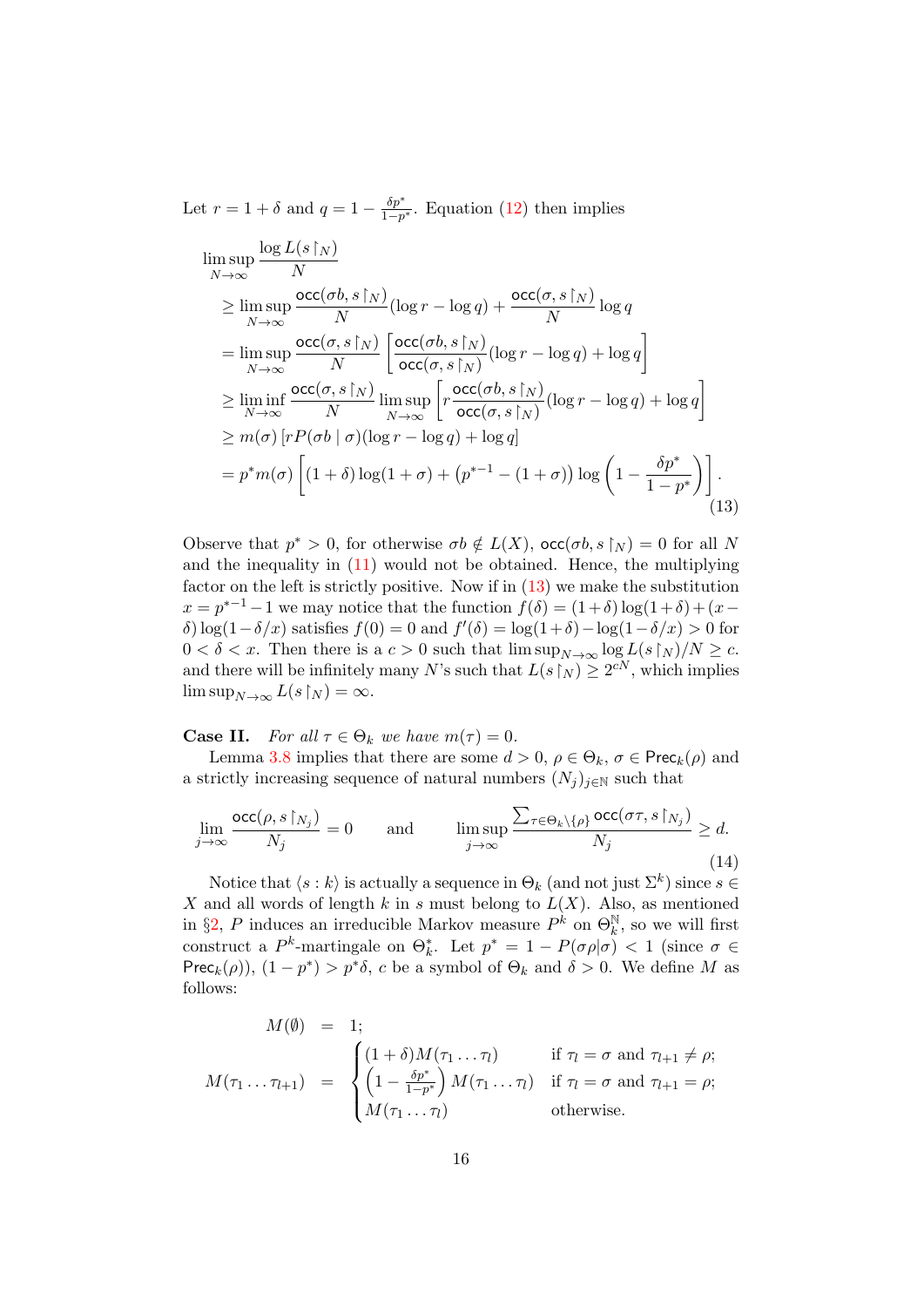Let  $r = 1 + \delta$  and  $q = 1 - \frac{\delta p^*}{1 - n}$  $\frac{op}{1-p^*}$ . Equation [\(12\)](#page-14-1) then implies

$$
\limsup_{N \to \infty} \frac{\log L(s \upharpoonright_{N})}{N}
$$
\n
$$
\geq \limsup_{N \to \infty} \frac{\operatorname{occ}(\sigma b, s \upharpoonright_{N})}{N} (\log r - \log q) + \frac{\operatorname{occ}(\sigma, s \upharpoonright_{N})}{N} \log q
$$
\n
$$
= \limsup_{N \to \infty} \frac{\operatorname{occ}(\sigma, s \upharpoonright_{N})}{N} \left[ \frac{\operatorname{occ}(\sigma b, s \upharpoonright_{N})}{\operatorname{occ}(\sigma, s \upharpoonright_{N})} (\log r - \log q) + \log q \right]
$$
\n
$$
\geq \liminf_{N \to \infty} \frac{\operatorname{occ}(\sigma, s \upharpoonright_{N})}{N} \limsup_{N \to \infty} \left[ r \frac{\operatorname{occ}(\sigma b, s \upharpoonright_{N})}{\operatorname{occ}(\sigma, s \upharpoonright_{N})} (\log r - \log q) + \log q \right]
$$
\n
$$
\geq m(\sigma) \left[ r P(\sigma b \mid \sigma) (\log r - \log q) + \log q \right]
$$
\n
$$
= p^* m(\sigma) \left[ (1 + \delta) \log (1 + \sigma) + (p^{*-1} - (1 + \sigma)) \log \left( 1 - \frac{\delta p^*}{1 - p^*} \right) \right].
$$
\n(13)

<span id="page-15-0"></span>Observe that  $p^* > 0$ , for otherwise  $\sigma b \notin L(X)$ ,  $\operatorname{occ}(\sigma b, s \upharpoonright_N) = 0$  for all N and the inequality in  $(11)$  would not be obtained. Hence, the multiplying factor on the left is strictly positive. Now if in [\(13\)](#page-15-0) we make the substitution  $x = p^{n-1} - 1$  we may notice that the function  $f(\delta) = (1+\delta) \log(1+\delta) + (x-\delta)$ δ) log(1 – δ/x) satisfies  $f(0) = 0$  and  $f'(\delta) = \log(1+\delta) - \log(1-\delta/x) > 0$  for  $0 < \delta < x$ . Then there is a  $c > 0$  such that  $\limsup_{N \to \infty} \log L(s \upharpoonright_N)/N \ge c$ . and there will be infinitely many N's such that  $L(s\gamma) \geq 2^{cN}$ , which implies  $\limsup_{N\to\infty} L(s\upharpoonright_N) = \infty.$ 

**Case II.** For all  $\tau \in \Theta_k$  we have  $m(\tau) = 0$ .

Lemma [3.8](#page-13-0) implies that there are some  $d > 0$ ,  $\rho \in \Theta_k$ ,  $\sigma \in \text{Prec}_k(\rho)$  and a strictly increasing sequence of natural numbers  $(N_j)_{j\in\mathbb{N}}$  such that

<span id="page-15-1"></span>
$$
\lim_{j \to \infty} \frac{\operatorname{occ}(\rho, s \upharpoonright_{N_j})}{N_j} = 0 \quad \text{and} \quad \limsup_{j \to \infty} \frac{\sum_{\tau \in \Theta_k \setminus \{\rho\}} \operatorname{occ}(\sigma \tau, s \upharpoonright_{N_j})}{N_j} \ge d.
$$
\n(14)

Notice that  $\langle s : k \rangle$  is actually a sequence in  $\Theta_k$  (and not just  $\Sigma^k$ ) since  $s \in$ X and all words of length  $k$  in s must belong to  $L(X)$ . Also, as mentioned in §[2,](#page-3-0) P induces an irreducible Markov measure  $P^k$  on  $\Theta_k^{\mathbb{N}}$ , so we will first construct a P<sup>k</sup>-martingale on  $\Theta_k^*$ . Let  $p^* = 1 - P(\sigma \rho | \sigma) < 1$  (since  $\sigma \in$ Prec<sub>k</sub>( $\rho$ )),  $(1 - p^*) > p^* \delta$ , c be a symbol of  $\Theta_k$  and  $\delta > 0$ . We define M as follows:

$$
M(\emptyset) = 1;
$$
  
\n
$$
M(\tau_1 \dots \tau_{l+1}) = \begin{cases} (1+\delta)M(\tau_1 \dots \tau_l) & \text{if } \tau_l = \sigma \text{ and } \tau_{l+1} \neq \rho; \\ \left(1 - \frac{\delta p^*}{1 - p^*}\right)M(\tau_1 \dots \tau_l) & \text{if } \tau_l = \sigma \text{ and } \tau_{l+1} = \rho; \\ M(\tau_1 \dots \tau_l) & \text{otherwise.} \end{cases}
$$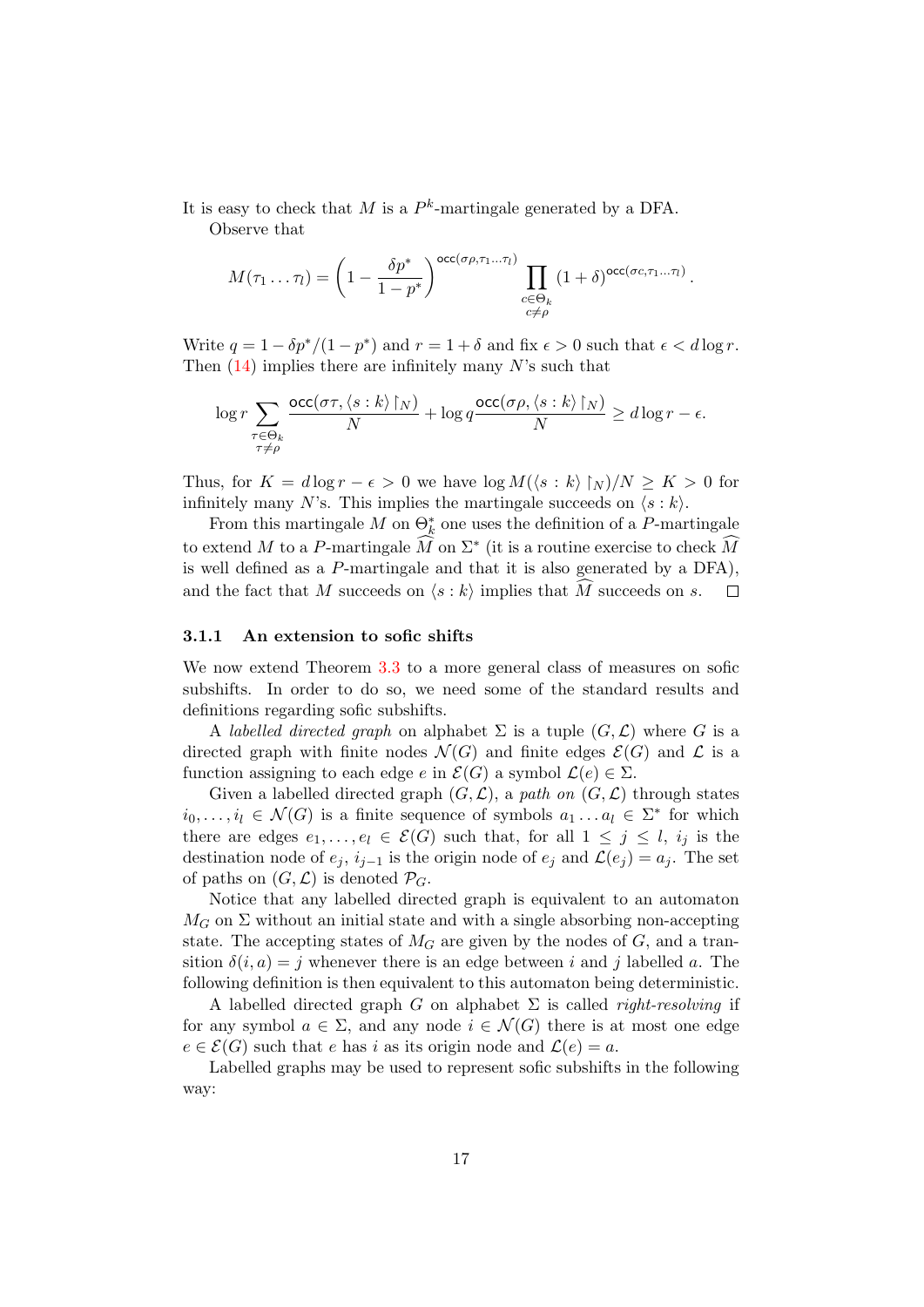It is easy to check that M is a  $P^k$ -martingale generated by a DFA.

Observe that

$$
M(\tau_1 \dots \tau_l) = \left(1 - \frac{\delta p^*}{1 - p^*}\right)^{\text{occ}(\sigma \rho, \tau_1 \dots \tau_l)} \prod_{\substack{c \in \Theta_k \\ c \neq \rho}} (1 + \delta)^{\text{occ}(\sigma c, \tau_1 \dots \tau_l)}.
$$

Write  $q = 1 - \delta p^*/(1 - p^*)$  and  $r = 1 + \delta$  and fix  $\epsilon > 0$  such that  $\epsilon < d \log r$ . Then  $(14)$  implies there are infinitely many N's such that

$$
\log r \sum_{\substack{\tau \in \Theta_k \\ \tau \neq \rho}} \frac{\mathrm{occ}(\sigma\tau,\langle s:k \rangle \!\upharpoonright_N)}{N} + \log q \frac{\mathrm{occ}(\sigma\rho,\langle s:k \rangle \!\upharpoonright_N)}{N} \geq d\log r - \epsilon.
$$

Thus, for  $K = d \log r - \epsilon > 0$  we have  $\log M(\langle s : k \rangle | N)/N \geq K > 0$  for infinitely many N's. This implies the martingale succeeds on  $\langle s : k \rangle$ .

From this martingale  $M$  on  $\Theta_k^*$  one uses the definition of a P-martingale to extend M to a P-martingale  $\widehat{M}$  on  $\Sigma^*$  (it is a routine exercise to check  $\widehat{M}$ is well defined as a P-martingale and that it is also generated by a DFA), and the fact that M succeeds on  $\langle s : k \rangle$  implies that  $\widehat{M}$  succeeds on s.  $\Box$ 

#### <span id="page-16-0"></span>3.1.1 An extension to sofic shifts

We now extend Theorem [3.3](#page-7-1) to a more general class of measures on sofic subshifts. In order to do so, we need some of the standard results and definitions regarding sofic subshifts.

A labelled directed graph on alphabet  $\Sigma$  is a tuple  $(G, \mathcal{L})$  where G is a directed graph with finite nodes  $\mathcal{N}(G)$  and finite edges  $\mathcal{E}(G)$  and  $\mathcal{L}$  is a function assigning to each edge e in  $\mathcal{E}(G)$  a symbol  $\mathcal{L}(e) \in \Sigma$ .

Given a labelled directed graph  $(G, \mathcal{L})$ , a path on  $(G, \mathcal{L})$  through states  $i_0, \ldots, i_l \in \mathcal{N}(G)$  is a finite sequence of symbols  $a_1 \ldots a_l \in \Sigma^*$  for which there are edges  $e_1, \ldots, e_l \in \mathcal{E}(G)$  such that, for all  $1 \leq j \leq l$ ,  $i_j$  is the destination node of  $e_i$ ,  $i_{i-1}$  is the origin node of  $e_i$  and  $\mathcal{L}(e_i) = a_i$ . The set of paths on  $(G, \mathcal{L})$  is denoted  $\mathcal{P}_G$ .

Notice that any labelled directed graph is equivalent to an automaton  $M_G$  on  $\Sigma$  without an initial state and with a single absorbing non-accepting state. The accepting states of  $M<sub>G</sub>$  are given by the nodes of G, and a transition  $\delta(i, a) = j$  whenever there is an edge between i and j labelled a. The following definition is then equivalent to this automaton being deterministic.

A labelled directed graph G on alphabet  $\Sigma$  is called *right-resolving* if for any symbol  $a \in \Sigma$ , and any node  $i \in \mathcal{N}(G)$  there is at most one edge  $e \in \mathcal{E}(G)$  such that e has i as its origin node and  $\mathcal{L}(e) = a$ .

Labelled graphs may be used to represent sofic subshifts in the following way: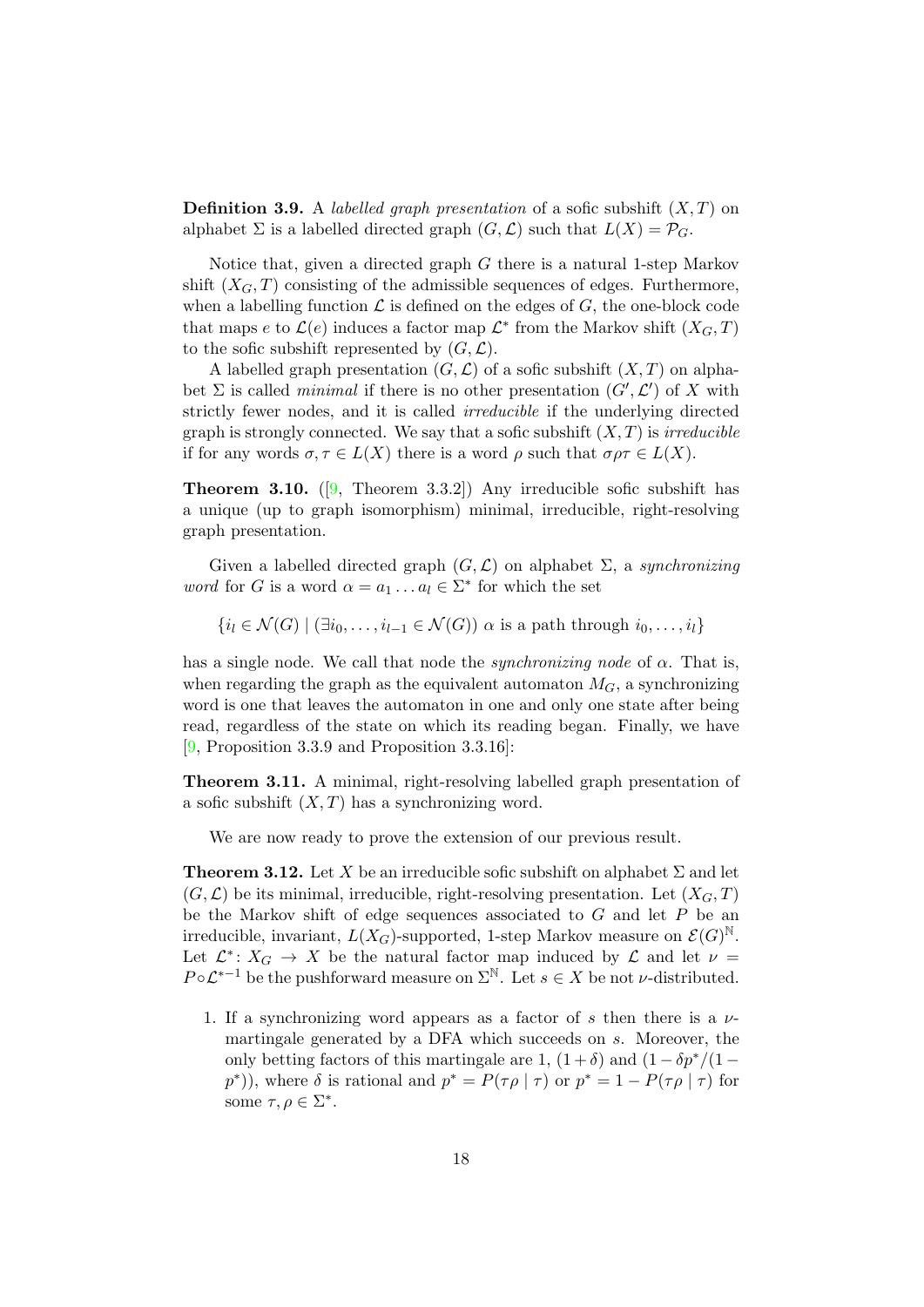**Definition 3.9.** A *labelled graph presentation* of a sofic subshift  $(X, T)$  on alphabet  $\Sigma$  is a labelled directed graph  $(G, \mathcal{L})$  such that  $L(X) = \mathcal{P}_G$ .

Notice that, given a directed graph  $G$  there is a natural 1-step Markov shift  $(X_G, T)$  consisting of the admissible sequences of edges. Furthermore, when a labelling function  $\mathcal L$  is defined on the edges of  $G$ , the one-block code that maps e to  $\mathcal{L}(e)$  induces a factor map  $\mathcal{L}^*$  from the Markov shift  $(X_G, T)$ to the sofic subshift represented by  $(G, \mathcal{L})$ .

A labelled graph presentation  $(G, \mathcal{L})$  of a sofic subshift  $(X, T)$  on alphabet  $\Sigma$  is called *minimal* if there is no other presentation  $(G', \mathcal{L}')$  of X with strictly fewer nodes, and it is called irreducible if the underlying directed graph is strongly connected. We say that a sofic subshift  $(X, T)$  is *irreducible* if for any words  $\sigma, \tau \in L(X)$  there is a word  $\rho$  such that  $\sigma \rho \tau \in L(X)$ .

<span id="page-17-3"></span>**Theorem 3.10.** ([\[9,](#page-46-14) Theorem 3.3.2]) Any irreducible sofic subshift has a unique (up to graph isomorphism) minimal, irreducible, right-resolving graph presentation.

Given a labelled directed graph  $(G, \mathcal{L})$  on alphabet  $\Sigma$ , a *synchronizing word* for G is a word  $\alpha = a_1 \dots a_l \in \Sigma^*$  for which the set

 ${i_l \in \mathcal{N}(G) \mid (\exists i_0, \ldots, i_{l-1} \in \mathcal{N}(G)) \alpha$  is a path through  $i_0, \ldots, i_l$ 

has a single node. We call that node the *synchronizing node* of  $\alpha$ . That is, when regarding the graph as the equivalent automaton  $M_G$ , a synchronizing word is one that leaves the automaton in one and only one state after being read, regardless of the state on which its reading began. Finally, we have [\[9,](#page-46-14) Proposition 3.3.9 and Proposition 3.3.16]:

<span id="page-17-2"></span>Theorem 3.11. A minimal, right-resolving labelled graph presentation of a sofic subshift  $(X, T)$  has a synchronizing word.

We are now ready to prove the extension of our previous result.

<span id="page-17-1"></span>**Theorem 3.12.** Let X be an irreducible sofic subshift on alphabet  $\Sigma$  and let  $(G, \mathcal{L})$  be its minimal, irreducible, right-resolving presentation. Let  $(X_G, T)$ be the Markov shift of edge sequences associated to G and let P be an irreducible, invariant,  $L(X_G)$ -supported, 1-step Markov measure on  $\mathcal{E}(G)^{\mathbb{N}}$ . Let  $\mathcal{L}^*: X_G \to X$  be the natural factor map induced by  $\mathcal{L}$  and let  $\nu =$  $P \circ \mathcal{L}^{*-1}$  be the pushforward measure on  $\Sigma^{\mathbb{N}}$ . Let  $s \in X$  be not *v*-distributed.

<span id="page-17-0"></span>1. If a synchronizing word appears as a factor of s then there is a  $\nu$ martingale generated by a DFA which succeeds on s. Moreover, the only betting factors of this martingale are 1,  $(1 + \delta)$  and  $(1 - \delta p^*/(1 (p^*)$ ), where  $\delta$  is rational and  $p^* = P(\tau \rho \mid \tau)$  or  $p^* = 1 - P(\tau \rho \mid \tau)$  for some  $\tau, \rho \in \Sigma^*$ .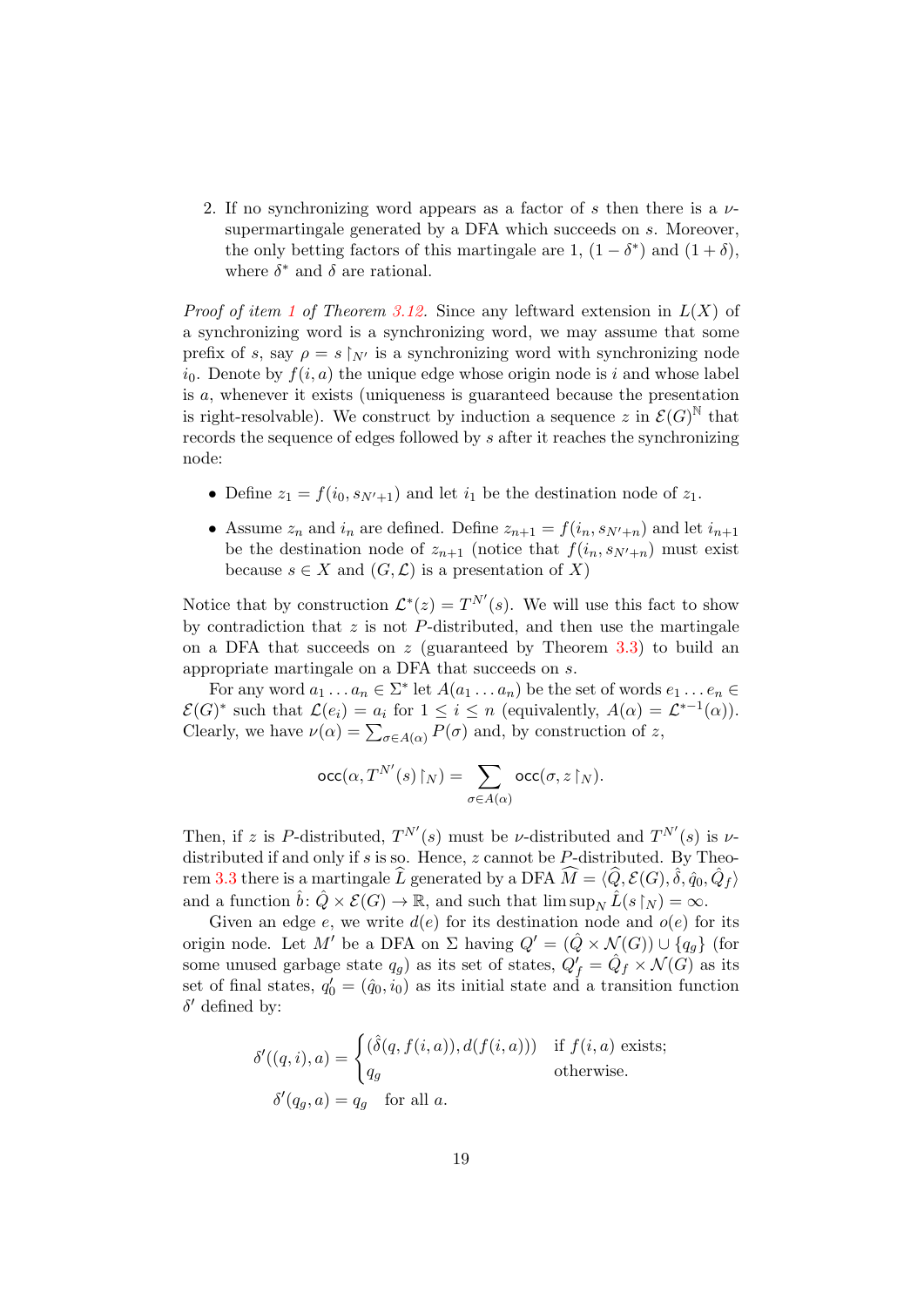<span id="page-18-0"></span>2. If no synchronizing word appears as a factor of s then there is a  $\nu$ supermartingale generated by a DFA which succeeds on s. Moreover, the only betting factors of this martingale are 1,  $(1 - \delta^*)$  and  $(1 + \delta)$ , where  $\delta^*$  and  $\delta$  are rational.

*Proof of item [1](#page-17-0) of Theorem [3.12.](#page-17-1)* Since any leftward extension in  $L(X)$  of a synchronizing word is a synchronizing word, we may assume that some prefix of s, say  $\rho = s \upharpoonright_{N'}$  is a synchronizing word with synchronizing node  $i_0$ . Denote by  $f(i, a)$  the unique edge whose origin node is i and whose label is a, whenever it exists (uniqueness is guaranteed because the presentation is right-resolvable). We construct by induction a sequence z in  $\mathcal{E}(G)^{\mathbb{N}}$  that records the sequence of edges followed by s after it reaches the synchronizing node:

- Define  $z_1 = f(i_0, s_{N'+1})$  and let  $i_1$  be the destination node of  $z_1$ .
- Assume  $z_n$  and  $i_n$  are defined. Define  $z_{n+1} = f(i_n, s_{N'+n})$  and let  $i_{n+1}$ be the destination node of  $z_{n+1}$  (notice that  $f(i_n, s_{N'+n})$  must exist because  $s \in X$  and  $(G, \mathcal{L})$  is a presentation of X)

Notice that by construction  $\mathcal{L}^*(z) = T^{N'}(s)$ . We will use this fact to show by contradiction that  $z$  is not  $P$ -distributed, and then use the martingale on a DFA that succeeds on  $z$  (guaranteed by Theorem [3.3\)](#page-7-1) to build an appropriate martingale on a DFA that succeeds on s.

For any word  $a_1 \ldots a_n \in \Sigma^*$  let  $A(a_1 \ldots a_n)$  be the set of words  $e_1 \ldots e_n \in$  $\mathcal{E}(G)^*$  such that  $\mathcal{L}(e_i) = a_i$  for  $1 \leq i \leq n$  (equivalently,  $A(\alpha) = \mathcal{L}^{*-1}(\alpha)$ ). Clearly, we have  $\nu(\alpha) = \sum_{\sigma \in A(\alpha)} P(\sigma)$  and, by construction of z,

$$
\operatorname{occ}\nolimits(\alpha,T^{N'}(s)\!\restriction_N)=\sum_{\sigma\in A(\alpha)}\operatorname{occ}\nolimits(\sigma,z\!\restriction_N).
$$

Then, if z is P-distributed,  $T^{N'}(s)$  must be *ν*-distributed and  $T^{N'}(s)$  is *ν*distributed if and only if  $s$  is so. Hence,  $z$  cannot be  $P$ -distributed. By Theo-rem [3.3](#page-7-1) there is a martingale  $\widehat{L}$  generated by a DFA  $\widehat{M} = \langle \widehat{Q}, \mathcal{E}(G), \widehat{\delta}, \widehat{q}_0, \widehat{Q}_f \rangle$ and a function  $\hat{b} \colon \hat{Q} \times \mathcal{E}(G) \to \mathbb{R}$ , and such that  $\limsup_N \hat{L}(s|_N) = \infty$ .

Given an edge e, we write  $d(e)$  for its destination node and  $o(e)$  for its origin node. Let M' be a DFA on  $\Sigma$  having  $Q' = (\hat{Q} \times \mathcal{N}(G)) \cup \{q_{q}\}\$  (for some unused garbage state  $q_g$ ) as its set of states,  $Q'_f = \hat{Q}_f \times \mathcal{N}(G)$  as its set of final states,  $q'_0 = (\hat{q}_0, i_0)$  as its initial state and a transition function  $\delta'$  defined by:

$$
\delta'(q, i), a) = \begin{cases}\n(\hat{\delta}(q, f(i, a)), d(f(i, a))) & \text{if } f(i, a) \text{ exists;} \\
q_g & \text{otherwise.} \\
\delta'(q_g, a) = q_g & \text{for all } a.\n\end{cases}
$$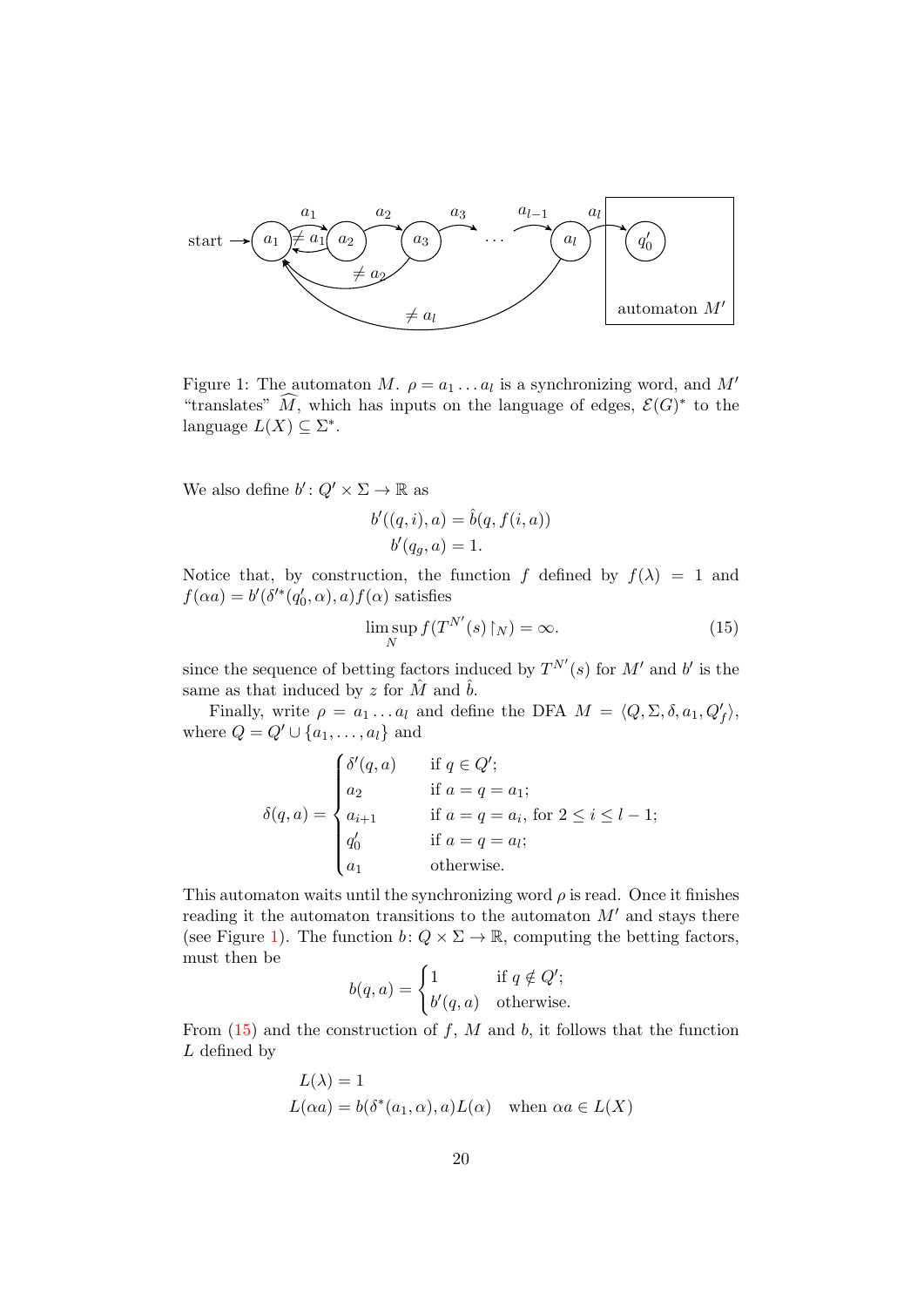

<span id="page-19-0"></span>Figure 1: The automaton M.  $\rho = a_1 \dots a_l$  is a synchronizing word, and M' "translates"  $\widehat{M}$ , which has inputs on the language of edges,  $\mathcal{E}(G)^*$  to the language  $L(X) \subseteq \Sigma^*$ .

We also define  $b' \colon Q' \times \Sigma \to \mathbb{R}$  as

$$
b'((q,i),a) = \hat{b}(q, f(i,a))
$$
  

$$
b'(q_g, a) = 1.
$$

Notice that, by construction, the function f defined by  $f(\lambda) = 1$  and  $f(\alpha a) = b'(\delta'^*(q'_0, \alpha), a) f(\alpha)$  satisfies

<span id="page-19-1"></span>
$$
\limsup_{N} f(T^{N'}(s) \upharpoonright_{N}) = \infty.
$$
\n(15)

since the sequence of betting factors induced by  $T^{N'}(s)$  for M' and b' is the same as that induced by z for  $\hat{M}$  and  $\hat{b}$ .

Finally, write  $\rho = a_1 \dots a_l$  and define the DFA  $M = \langle Q, \Sigma, \delta, a_1, Q'_f \rangle$ , where  $Q = Q' \cup \{a_1, \ldots, a_l\}$  and

$$
\delta(q, a) = \begin{cases}\n\delta'(q, a) & \text{if } q \in Q'; \\
a_2 & \text{if } a = q = a_1; \\
a_{i+1} & \text{if } a = q = a_i, \text{ for } 2 \le i \le l-1; \\
q'_0 & \text{if } a = q = a_l; \\
a_1 & \text{otherwise.} \n\end{cases}
$$

This automaton waits until the synchronizing word  $\rho$  is read. Once it finishes reading it the automaton transitions to the automaton  $M'$  and stays there (see Figure [1\)](#page-19-0). The function  $b: Q \times \Sigma \to \mathbb{R}$ , computing the betting factors, must then be

$$
b(q, a) = \begin{cases} 1 & \text{if } q \notin Q'; \\ b'(q, a) & \text{otherwise.} \end{cases}
$$

From  $(15)$  and the construction of f, M and b, it follows that the function L defined by

$$
L(\lambda) = 1
$$
  
 
$$
L(\alpha a) = b(\delta^*(a_1, \alpha), a) L(\alpha) \text{ when } \alpha a \in L(X)
$$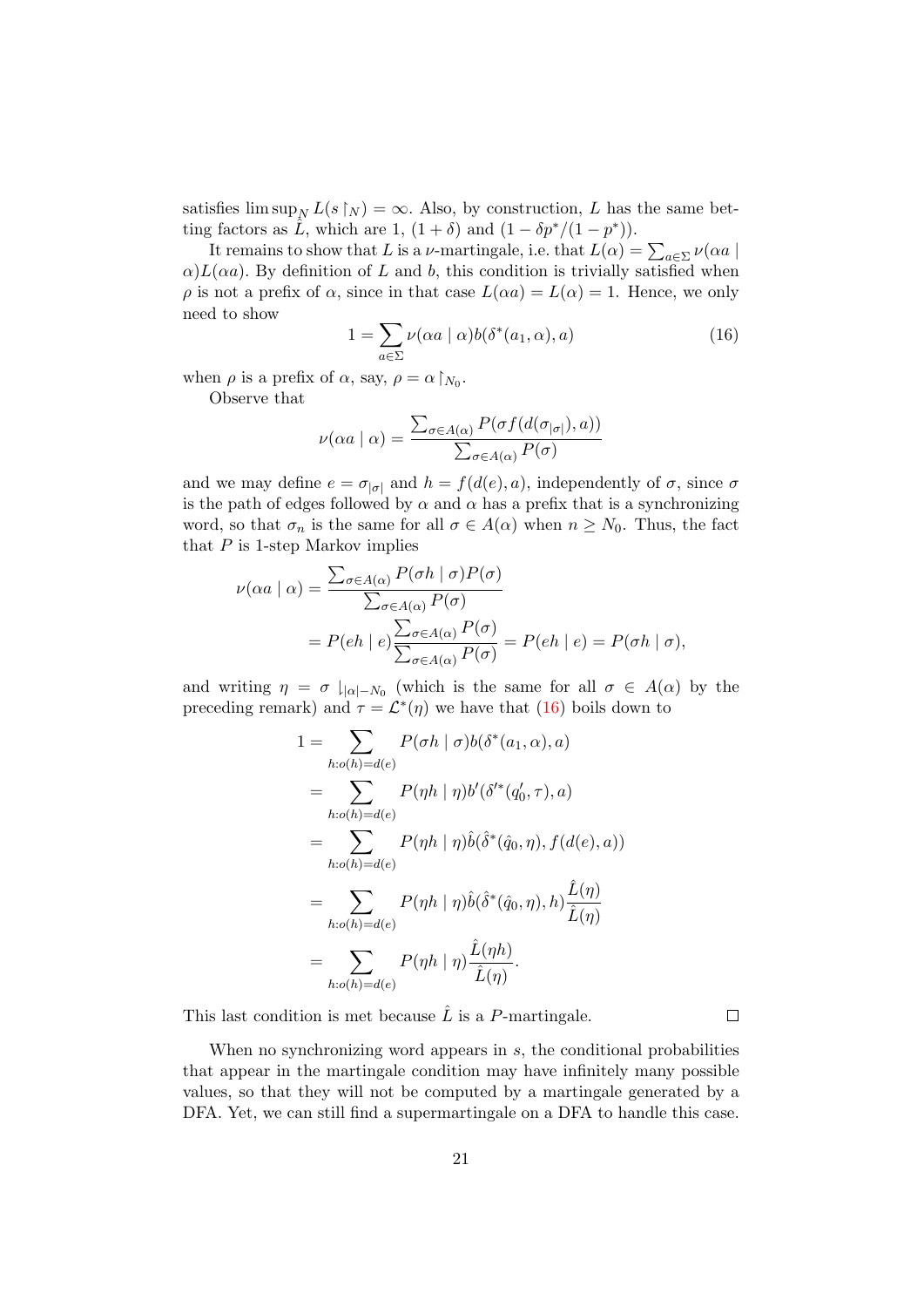satisfies  $\limsup_N L(s \upharpoonright_N) = \infty$ . Also, by construction, L has the same betting factors as  $\hat{L}$ , which are 1,  $(1 + \delta)$  and  $(1 - \delta p^*/(1 - p^*))$ .

It remains to show that L is a  $\nu$ -martingale, i.e. that  $L(\alpha) = \sum_{a \in \Sigma} \nu(\alpha a \mid$  $\alpha$ )L( $\alpha$ a). By definition of L and b, this condition is trivially satisfied when  $\rho$  is not a prefix of  $\alpha$ , since in that case  $L(\alpha a) = L(\alpha) = 1$ . Hence, we only need to show

<span id="page-20-0"></span>
$$
1 = \sum_{a \in \Sigma} \nu(\alpha a \mid \alpha) b(\delta^*(a_1, \alpha), a)
$$
 (16)

when  $\rho$  is a prefix of  $\alpha$ , say,  $\rho = \alpha \upharpoonright_{N_0}$ .

Observe that

$$
\nu(\alpha a \mid \alpha) = \frac{\sum_{\sigma \in A(\alpha)} P(\sigma f(d(\sigma_{|\sigma|}), a))}{\sum_{\sigma \in A(\alpha)} P(\sigma)}
$$

and we may define  $e = \sigma_{|\sigma|}$  and  $h = f(d(e), a)$ , independently of  $\sigma$ , since  $\sigma$ is the path of edges followed by  $\alpha$  and  $\alpha$  has a prefix that is a synchronizing word, so that  $\sigma_n$  is the same for all  $\sigma \in A(\alpha)$  when  $n \geq N_0$ . Thus, the fact that  $P$  is 1-step Markov implies

$$
\nu(\alpha a \mid \alpha) = \frac{\sum_{\sigma \in A(\alpha)} P(\sigma h \mid \sigma) P(\sigma)}{\sum_{\sigma \in A(\alpha)} P(\sigma)}
$$
  
=  $P(eh \mid e) \frac{\sum_{\sigma \in A(\alpha)} P(\sigma)}{\sum_{\sigma \in A(\alpha)} P(\sigma)} = P(eh \mid e) = P(\sigma h \mid \sigma),$ 

and writing  $\eta = \sigma \downharpoonright_{|\alpha| = N_0}$  (which is the same for all  $\sigma \in A(\alpha)$  by the preceding remark) and  $\tau = \mathcal{L}^*(\eta)$  we have that [\(16\)](#page-20-0) boils down to

$$
1 = \sum_{h: o(h) = d(e)} P(\sigma h \mid \sigma) b(\delta^*(a_1, \alpha), a)
$$
  
\n
$$
= \sum_{h: o(h) = d(e)} P(\eta h \mid \eta) b'(\delta^*(q'_0, \tau), a)
$$
  
\n
$$
= \sum_{h: o(h) = d(e)} P(\eta h \mid \eta) \hat{b}(\hat{\delta}^*(\hat{q}_0, \eta), f(d(e), a))
$$
  
\n
$$
= \sum_{h: o(h) = d(e)} P(\eta h \mid \eta) \hat{b}(\hat{\delta}^*(\hat{q}_0, \eta), h) \frac{\hat{L}(\eta)}{\hat{L}(\eta)}
$$
  
\n
$$
= \sum_{h: o(h) = d(e)} P(\eta h \mid \eta) \frac{\hat{L}(\eta h)}{\hat{L}(\eta)}.
$$

This last condition is met because  $\hat{L}$  is a P-martingale.

 $\Box$ 

When no synchronizing word appears in s, the conditional probabilities that appear in the martingale condition may have infinitely many possible values, so that they will not be computed by a martingale generated by a DFA. Yet, we can still find a supermartingale on a DFA to handle this case.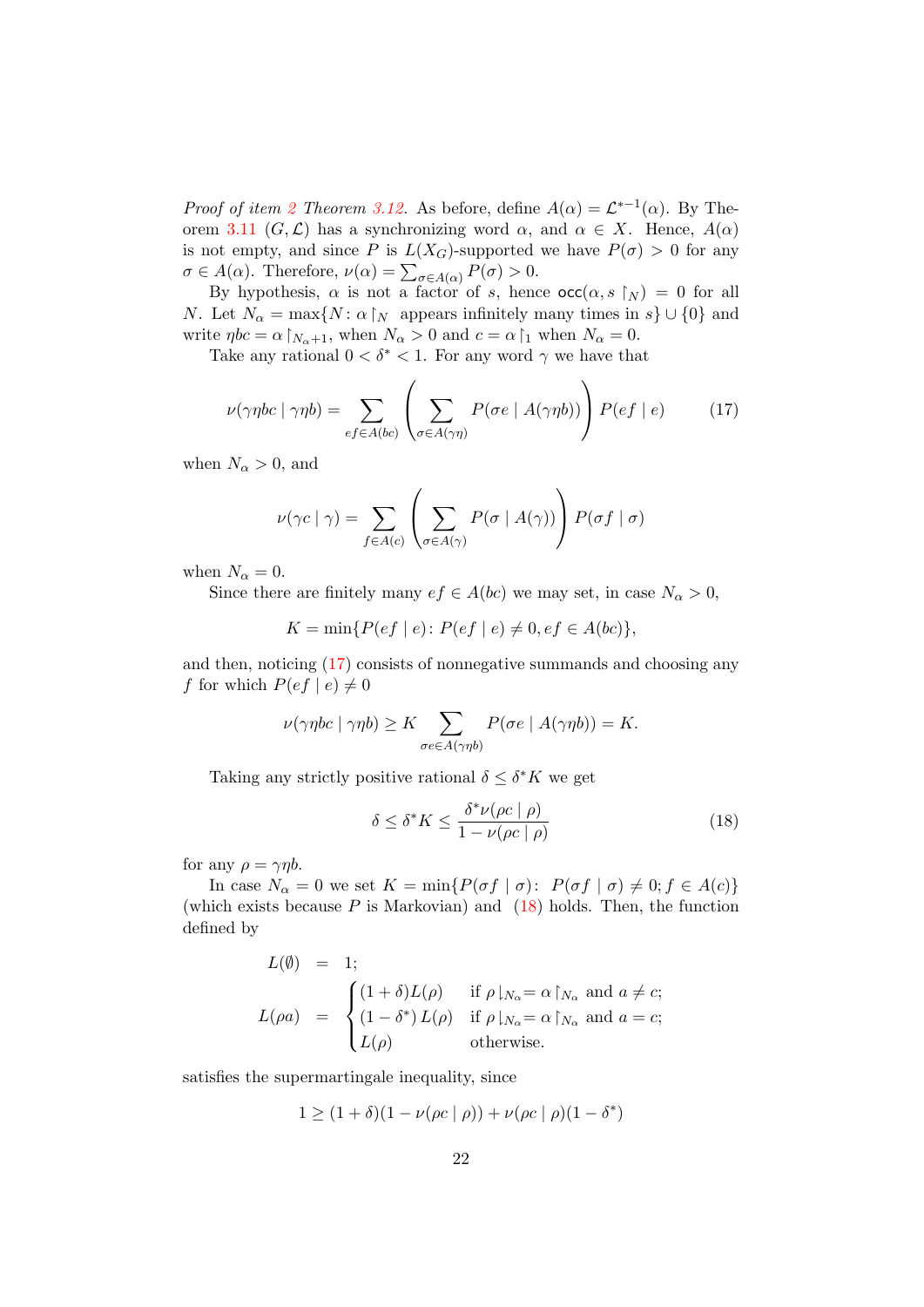*Proof of item [2](#page-18-0) Theorem [3.12.](#page-17-1)* As before, define  $A(\alpha) = \mathcal{L}^{*-1}(\alpha)$ . By The-orem [3.11](#page-17-2)  $(G, \mathcal{L})$  has a synchronizing word  $\alpha$ , and  $\alpha \in X$ . Hence,  $A(\alpha)$ is not empty, and since P is  $L(X_G)$ -supported we have  $P(\sigma) > 0$  for any  $\sigma \in A(\alpha)$ . Therefore,  $\nu(\alpha) = \sum_{\sigma \in A(\alpha)} P(\sigma) > 0$ .

By hypothesis,  $\alpha$  is not a factor of s, hence  $\operatorname{occ}(\alpha, s \upharpoonright_N) = 0$  for all N. Let  $N_{\alpha} = \max\{N : \alpha \upharpoonright_N$  appears infinitely many times in  $s\} \cup \{0\}$  and write  $\eta bc = \alpha \upharpoonright_{N_\alpha+1}$ , when  $N_\alpha > 0$  and  $c = \alpha \upharpoonright_1$  when  $N_\alpha = 0$ .

Take any rational  $0 < \delta^* < 1$ . For any word  $\gamma$  we have that

<span id="page-21-0"></span>
$$
\nu(\gamma \eta bc \mid \gamma \eta b) = \sum_{ef \in A(bc)} \left( \sum_{\sigma \in A(\gamma \eta)} P(\sigma e \mid A(\gamma \eta b)) \right) P(ef \mid e) \tag{17}
$$

when  $N_{\alpha} > 0$ , and

$$
\nu(\gamma c \mid \gamma) = \sum_{f \in A(c)} \left( \sum_{\sigma \in A(\gamma)} P(\sigma \mid A(\gamma)) \right) P(\sigma f \mid \sigma)
$$

when  $N_{\alpha} = 0$ .

Since there are finitely many  $ef \in A(bc)$  we may set, in case  $N_{\alpha} > 0$ ,

 $K = \min\{P(ef | e): P(ef | e) \neq 0, ef \in A(bc)\},\$ 

and then, noticing [\(17\)](#page-21-0) consists of nonnegative summands and choosing any f for which  $P(ef | e) \neq 0$ 

$$
\nu(\gamma \eta bc \mid \gamma \eta b) \geq K \sum_{\sigma e \in A(\gamma \eta b)} P(\sigma e \mid A(\gamma \eta b)) = K.
$$

Taking any strictly positive rational  $\delta \leq \delta^* K$  we get

<span id="page-21-1"></span>
$$
\delta \le \delta^* K \le \frac{\delta^* \nu(\rho c \mid \rho)}{1 - \nu(\rho c \mid \rho)}\tag{18}
$$

for any  $\rho = \gamma \eta b$ .

In case  $N_{\alpha} = 0$  we set  $K = \min\{P(\sigma f | \sigma): P(\sigma f | \sigma) \neq 0; f \in A(c)\}\$ (which exists because  $P$  is Markovian) and [\(18\)](#page-21-1) holds. Then, the function defined by

$$
L(\emptyset) = 1;
$$
  
\n
$$
L(\rho a) = \begin{cases} (1+\delta)L(\rho) & \text{if } \rho|_{N_{\alpha}} = \alpha|_{N_{\alpha}} \text{ and } a \neq c; \\ (1-\delta^*)L(\rho) & \text{if } \rho|_{N_{\alpha}} = \alpha|_{N_{\alpha}} \text{ and } a = c; \\ L(\rho) & \text{otherwise.} \end{cases}
$$

satisfies the supermartingale inequality, since

$$
1 \ge (1 + \delta)(1 - \nu(\rho c \mid \rho)) + \nu(\rho c \mid \rho)(1 - \delta^*)
$$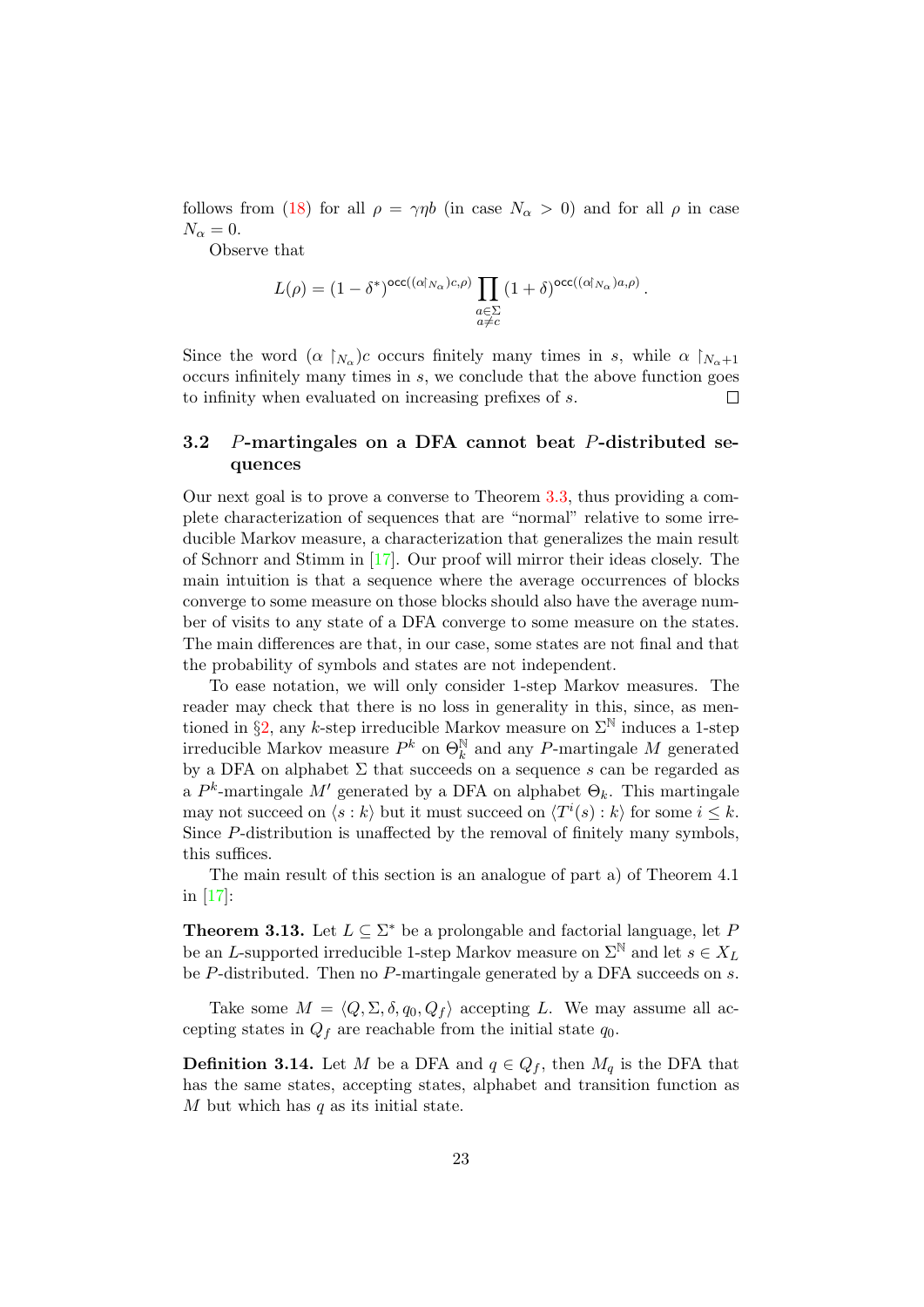follows from [\(18\)](#page-21-1) for all  $\rho = \gamma \eta b$  (in case  $N_{\alpha} > 0$ ) and for all  $\rho$  in case  $N_{\alpha}=0.$ 

Observe that

$$
L(\rho) = (1 - \delta^*)^{\mathrm{occ}((\alpha|_{N_{\alpha}})c,\rho)} \prod_{\substack{a \in \Sigma \\ a \neq c}} (1 + \delta)^{\mathrm{occ}((\alpha|_{N_{\alpha}})a,\rho)}.
$$

Since the word  $(\alpha \upharpoonright_{N_\alpha})c$  occurs finitely many times in s, while  $\alpha \upharpoonright_{N_\alpha+1}$ occurs infinitely many times in s, we conclude that the above function goes to infinity when evaluated on increasing prefixes of s.  $\Box$ 

### <span id="page-22-0"></span>3.2 P-martingales on a DFA cannot beat P-distributed sequences

Our next goal is to prove a converse to Theorem [3.3,](#page-7-1) thus providing a complete characterization of sequences that are "normal" relative to some irreducible Markov measure, a characterization that generalizes the main result of Schnorr and Stimm in [\[17\]](#page-46-9). Our proof will mirror their ideas closely. The main intuition is that a sequence where the average occurrences of blocks converge to some measure on those blocks should also have the average number of visits to any state of a DFA converge to some measure on the states. The main differences are that, in our case, some states are not final and that the probability of symbols and states are not independent.

To ease notation, we will only consider 1-step Markov measures. The reader may check that there is no loss in generality in this, since, as men-tioned in §[2,](#page-3-0) any k-step irreducible Markov measure on  $\Sigma^{\mathbb{N}}$  induces a 1-step irreducible Markov measure  $P^k$  on  $\Theta_k^{\mathbb{N}}$  and any P-martingale M generated by a DFA on alphabet  $\Sigma$  that succeeds on a sequence s can be regarded as a  $P^k$ -martingale M' generated by a DFA on alphabet  $\Theta_k$ . This martingale may not succeed on  $\langle s : k \rangle$  but it must succeed on  $\langle T^i(s) : k \rangle$  for some  $i \leq k$ . Since P-distribution is unaffected by the removal of finitely many symbols, this suffices.

The main result of this section is an analogue of part a) of Theorem 4.1 in [\[17\]](#page-46-9):

<span id="page-22-1"></span>**Theorem 3.13.** Let  $L \subseteq \Sigma^*$  be a prolongable and factorial language, let F be an L-supported irreducible 1-step Markov measure on  $\Sigma^{\mathbb{N}}$  and let  $s \in X_L$ be P-distributed. Then no P-martingale generated by a DFA succeeds on s.

Take some  $M = \langle Q, \Sigma, \delta, q_0, Q_f \rangle$  accepting L. We may assume all accepting states in  $Q_f$  are reachable from the initial state  $q_0$ .

**Definition 3.14.** Let M be a DFA and  $q \in Q_f$ , then  $M_q$  is the DFA that has the same states, accepting states, alphabet and transition function as  $M$  but which has  $q$  as its initial state.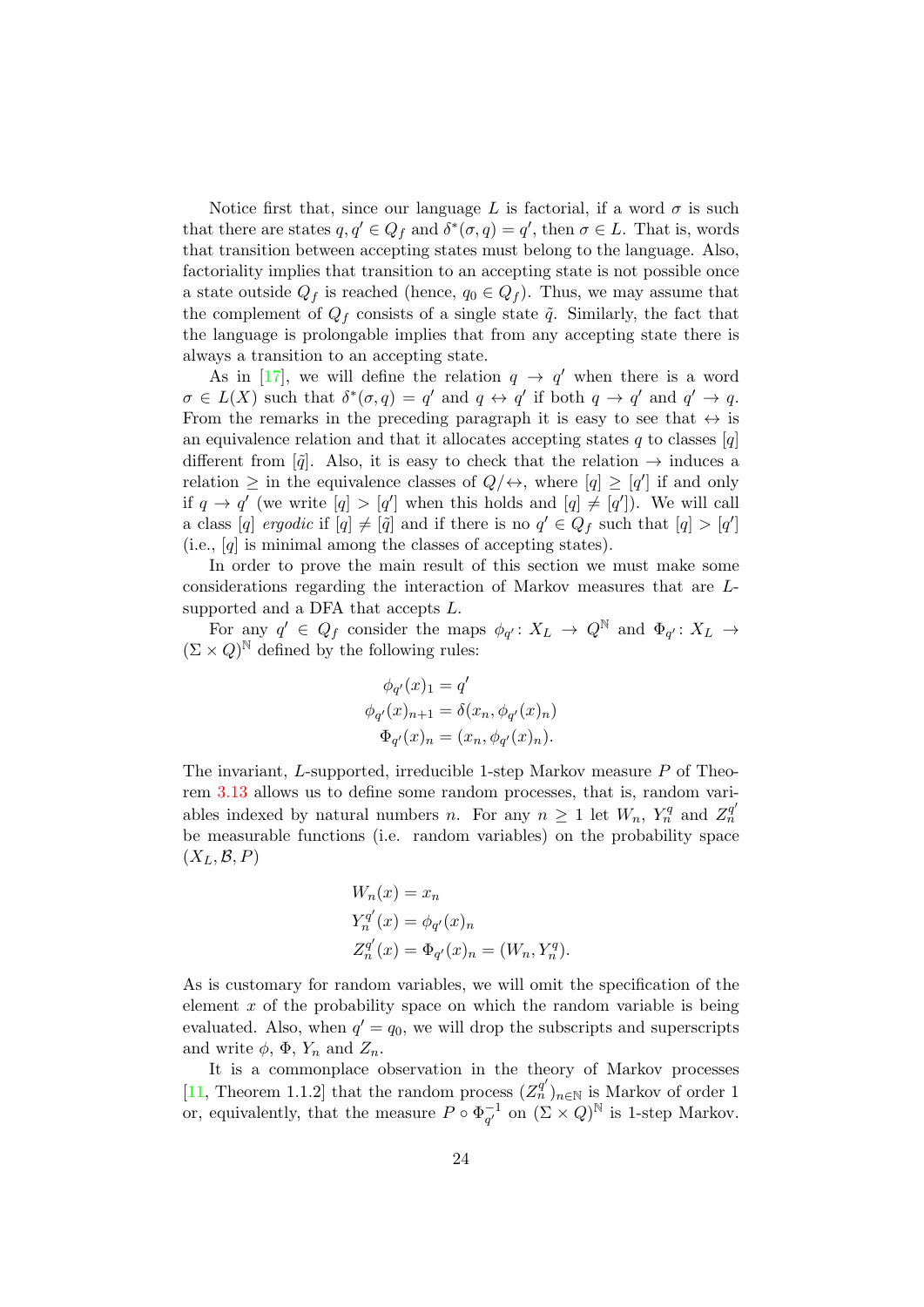Notice first that, since our language L is factorial, if a word  $\sigma$  is such that there are states  $q, q' \in Q_f$  and  $\delta^*(\sigma, q) = q'$ , then  $\sigma \in L$ . That is, words that transition between accepting states must belong to the language. Also, factoriality implies that transition to an accepting state is not possible once a state outside  $Q_f$  is reached (hence,  $q_0 \in Q_f$ ). Thus, we may assume that the complement of  $Q_f$  consists of a single state  $\tilde{q}$ . Similarly, the fact that the language is prolongable implies that from any accepting state there is always a transition to an accepting state.

As in [\[17\]](#page-46-9), we will define the relation  $q \to q'$  when there is a word  $\sigma \in L(X)$  such that  $\delta^*(\sigma, q) = q'$  and  $q \leftrightarrow q'$  if both  $q \rightarrow q'$  and  $q' \rightarrow q$ . From the remarks in the preceding paragraph it is easy to see that  $\leftrightarrow$  is an equivalence relation and that it allocates accepting states q to classes  $[q]$ different from  $\left[\tilde{q}\right]$ . Also, it is easy to check that the relation  $\rightarrow$  induces a relation  $\geq$  in the equivalence classes of  $Q/\leftrightarrow$ , where  $[q] \geq [q']$  if and only if  $q \to q'$  (we write  $[q] > [q']$  when this holds and  $[q] \neq [q']$ ). We will call a class [q] ergodic if  $[q] \neq [\tilde{q}]$  and if there is no  $q' \in Q_f$  such that  $[q] > [q']$ (i.e., [q] is minimal among the classes of accepting states).

In order to prove the main result of this section we must make some considerations regarding the interaction of Markov measures that are Lsupported and a DFA that accepts  $L$ .

For any  $q' \in Q_f$  consider the maps  $\phi_{q'}: X_L \to Q^{\mathbb{N}}$  and  $\Phi_{q'}: X_L \to$  $(\Sigma \times Q)^{\mathbb{N}}$  defined by the following rules:

$$
\phi_{q'}(x)_1 = q'
$$
  
\n
$$
\phi_{q'}(x)_{n+1} = \delta(x_n, \phi_{q'}(x)_n)
$$
  
\n
$$
\Phi_{q'}(x)_n = (x_n, \phi_{q'}(x)_n).
$$

The invariant, L-supported, irreducible 1-step Markov measure P of Theorem [3.13](#page-22-1) allows us to define some random processes, that is, random variables indexed by natural numbers n. For any  $n \geq 1$  let  $W_n$ ,  $Y_n^q$  and  $Z_n^{q'}$  $\dot{n}$ be measurable functions (i.e. random variables) on the probability space  $(X_L, \mathcal{B}, P)$ 

$$
W_n(x) = x_n
$$
  
\n
$$
Y_n^{q'}(x) = \phi_{q'}(x)_n
$$
  
\n
$$
Z_n^{q'}(x) = \Phi_{q'}(x)_n = (W_n, Y_n^q).
$$

As is customary for random variables, we will omit the specification of the element x of the probability space on which the random variable is being evaluated. Also, when  $q' = q_0$ , we will drop the subscripts and superscripts and write  $\phi$ ,  $\Phi$ ,  $Y_n$  and  $Z_n$ .

It is a commonplace observation in the theory of Markov processes [\[11,](#page-46-11) Theorem 1.1.2] that the random process  $(Z_n^{q'})_{n\in\mathbb{N}}$  is Markov of order 1 or, equivalently, that the measure  $P \circ \Phi_{\alpha'}^{-1}$  $_{q'}^{-1}$  on  $(\Sigma \times Q)^{\mathbb{N}}$  is 1-step Markov.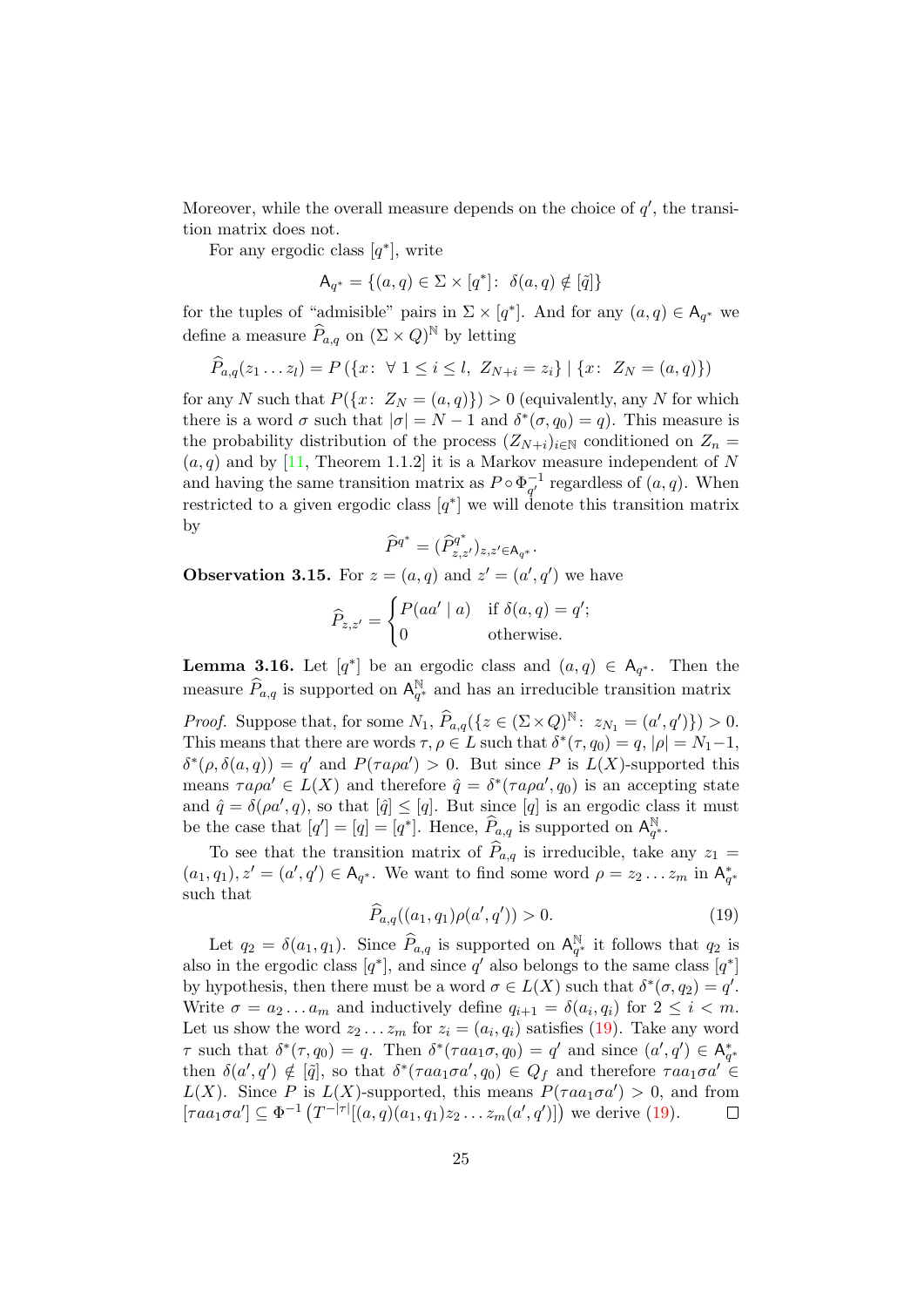Moreover, while the overall measure depends on the choice of  $q'$ , the transition matrix does not.

For any ergodic class  $[q^*]$ , write

$$
\mathsf{A}_{q^*} = \{(a,q) \in \Sigma \times [q^*] \colon \delta(a,q) \notin [\tilde{q}]\}
$$

for the tuples of "admisible" pairs in  $\Sigma \times [q^*]$ . And for any  $(a, q) \in A_{q^*}$  we define a measure  $\widehat{P}_{a,q}$  on  $(\Sigma \times Q)^{\mathbb{N}}$  by letting

$$
\widehat{P}_{a,q}(z_1 \ldots z_l) = P(\{x \colon \forall \ 1 \le i \le l, \ Z_{N+i} = z_i\} \mid \{x \colon \ Z_N = (a,q)\})
$$

for any N such that  $P({x: Z_N = (a,q)})>0$  (equivalently, any N for which there is a word  $\sigma$  such that  $|\sigma| = N - 1$  and  $\delta^*(\sigma, q_0) = q$ ). This measure is the probability distribution of the process  $(Z_{N+i})_{i\in\mathbb{N}}$  conditioned on  $Z_n$  $(a, q)$  and by [\[11,](#page-46-11) Theorem 1.1.2] it is a Markov measure independent of N and having the same transition matrix as  $P \circ \Phi_{\sigma'}^{-1}$  $q^1$  regardless of  $(a, q)$ . When restricted to a given ergodic class  $[q^*]$  we will denote this transition matrix by

$$
\widehat{P}^{q^*} = (\widehat{P}_{z,z'}^{q^*})_{z,z'\in \mathsf{A}_{q^*}}.
$$

<span id="page-24-1"></span>**Observation 3.15.** For  $z = (a, q)$  and  $z' = (a', q')$  we have

$$
\widehat{P}_{z,z'} = \begin{cases} P(aa' \mid a) & \text{if } \delta(a,q) = q'; \\ 0 & \text{otherwise.} \end{cases}
$$

**Lemma 3.16.** Let  $[q^*]$  be an ergodic class and  $(a,q) \in A_{q^*}$ . Then the measure  $\widehat{P}_{a,q}$  is supported on  $\mathsf{A}_q^{\mathbb{N}}$ <sup>N</sup><sub>q<sup>\*</sup></sub> and has an irreducible transition matrix

*Proof.* Suppose that, for some  $N_1$ ,  $\widehat{P}_{a,q}({z \in (\Sigma \times Q)^N : z_{N_1} = (a', q')}) > 0.$ This means that there are words  $\tau, \rho \in L$  such that  $\delta^*(\tau, q_0) = q$ ,  $|\rho| = N_1 - 1$ ,  $\delta^*(\rho, \delta(a,q)) = q'$  and  $P(\tau a \rho a') > 0$ . But since P is  $L(X)$ -supported this means  $\tau a \rho a' \in L(X)$  and therefore  $\hat{q} = \delta^*(\tau a \rho a', q_0)$  is an accepting state and  $\hat{q} = \delta(\rho a', q)$ , so that  $|\hat{q}| \leq |q|$ . But since  $|q|$  is an ergodic class it must be the case that  $[q'] = [q] = [q^*]$ . Hence,  $\widehat{P}_{a,q}$  is supported on  $\mathsf{A}_{q'}^{\mathbb{N}}$  $_{q^*}^{\mathbb N}.$ 

To see that the transition matrix of  $\widehat{P}_{a,q}$  is irreducible, take any  $z_1 =$  $(a_1, q_1), z' = (a', q') \in A_{q^*}.$  We want to find some word  $\rho = z_2 \dots z_m$  in  $A_{q^*}^*$ such that

<span id="page-24-0"></span>
$$
\widehat{P}_{a,q}((a_1,q_1)\rho(a',q')) > 0.
$$
\n(19)

Let  $q_2 = \delta(a_1, q_1)$ . Since  $\widehat{P}_{a,q}$  is supported on  $\mathsf{A}_q^{\mathbb{N}}$  $q^*$  it follows that  $q_2$  is also in the ergodic class  $[q^*]$ , and since q' also belongs to the same class  $[q^*]$ by hypothesis, then there must be a word  $\sigma \in L(X)$  such that  $\delta^*(\sigma, q_2) = q'$ . Write  $\sigma = a_2 \dots a_m$  and inductively define  $q_{i+1} = \delta(a_i, q_i)$  for  $2 \leq i < m$ . Let us show the word  $z_2 \ldots z_m$  for  $z_i = (a_i, q_i)$  satisfies [\(19\)](#page-24-0). Take any word  $\tau$  such that  $\delta^*(\tau, q_0) = q$ . Then  $\delta^*(\tau a a_1 \sigma, q_0) = q'$  and since  $(a', q') \in A_{q^*}^*$ then  $\delta(a', q') \notin [\tilde{q}]$ , so that  $\delta^*(\tau aa_1 \sigma a', q_0) \in Q_f$  and therefore  $\tau aa_1 \sigma a' \in$  $L(X)$ . Since P is  $L(X)$ -supported, this means  $P(\tau aa_1 \sigma a') > 0$ , and from  $[raa_1\sigma a'] \subseteq \Phi^{-1}(T^{-|\tau|}[(a,q)(a_1,q_1)z_2...z_m(a',q')]$  we derive [\(19\)](#page-24-0).  $\Box$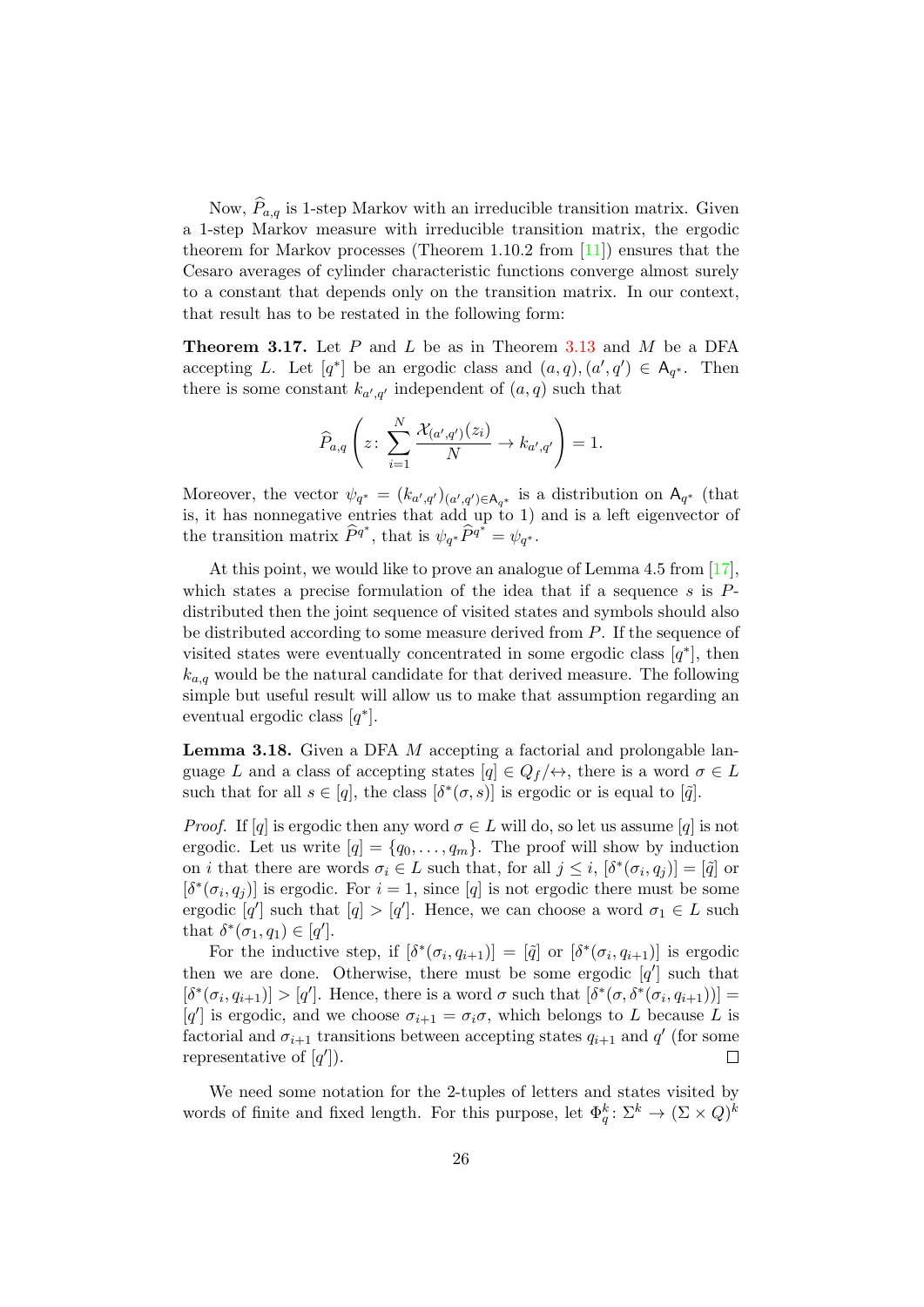Now,  $P_{a,q}$  is 1-step Markov with an irreducible transition matrix. Given a 1-step Markov measure with irreducible transition matrix, the ergodic theorem for Markov processes (Theorem 1.10.2 from [\[11\]](#page-46-11)) ensures that the Cesaro averages of cylinder characteristic functions converge almost surely to a constant that depends only on the transition matrix. In our context, that result has to be restated in the following form:

<span id="page-25-1"></span>**Theorem 3.17.** Let  $P$  and  $L$  be as in Theorem [3.13](#page-22-1) and  $M$  be a DFA accepting L. Let  $[q^*]$  be an ergodic class and  $(a,q),(a',q') \in A_{q^*}$ . Then there is some constant  $k_{a',q'}$  independent of  $(a,q)$  such that

$$
\widehat{P}_{a,q}\left(z\colon \sum_{i=1}^N \frac{\mathcal{X}_{(a',q')}(z_i)}{N}\to k_{a',q'}\right)=1.
$$

Moreover, the vector  $\psi_{q^*} = (k_{a',q'})_{(a',q') \in A_{q^*}}$  is a distribution on  $A_{q^*}$  (that is, it has nonnegative entries that add up to 1) and is a left eigenvector of the transition matrix  $\widehat{P}^{q^*}$ , that is  $\psi_{q^*} \widehat{P}^{q^*} = \psi_{q^*}$ .

At this point, we would like to prove an analogue of Lemma 4.5 from [\[17\]](#page-46-9), which states a precise formulation of the idea that if a sequence s is  $P$ distributed then the joint sequence of visited states and symbols should also be distributed according to some measure derived from P. If the sequence of visited states were eventually concentrated in some ergodic class  $[q^*]$ , then  $k_{a,q}$  would be the natural candidate for that derived measure. The following simple but useful result will allow us to make that assumption regarding an eventual ergodic class  $[q^*]$ .

<span id="page-25-0"></span>Lemma 3.18. Given a DFA M accepting a factorial and prolongable language L and a class of accepting states  $[q] \in Q_f/\leftrightarrow$ , there is a word  $\sigma \in L$ such that for all  $s \in [q]$ , the class  $[\delta^*(\sigma, s)]$  is ergodic or is equal to  $[\tilde{q}]$ .

*Proof.* If [q] is ergodic then any word  $\sigma \in L$  will do, so let us assume [q] is not ergodic. Let us write  $[q] = \{q_0, \ldots, q_m\}$ . The proof will show by induction on *i* that there are words  $\sigma_i \in L$  such that, for all  $j \leq i$ ,  $[\delta^*(\sigma_i, q_j)] = [\tilde{q}]$  or  $[\delta^*(\sigma_i, q_j)]$  is ergodic. For  $i = 1$ , since [q] is not ergodic there must be some ergodic  $[q']$  such that  $[q] > [q']$ . Hence, we can choose a word  $\sigma_1 \in L$  such that  $\delta^*(\sigma_1, q_1) \in [q']$ .

For the inductive step, if  $[\delta^*(\sigma_i, q_{i+1})] = [\tilde{q}]$  or  $[\delta^*(\sigma_i, q_{i+1})]$  is ergodic then we are done. Otherwise, there must be some ergodic  $[q']$  such that  $[\delta^*(\sigma_i, q_{i+1})] > [q']$ . Hence, there is a word  $\sigma$  such that  $[\delta^*(\sigma, \delta^*(\sigma_i, q_{i+1}))] =$ [q'] is ergodic, and we choose  $\sigma_{i+1} = \sigma_i \sigma$ , which belongs to L because L is factorial and  $\sigma_{i+1}$  transitions between accepting states  $q_{i+1}$  and  $q'$  (for some representative of  $[q']$ ).  $\Box$ 

We need some notation for the 2-tuples of letters and states visited by words of finite and fixed length. For this purpose, let  $\Phi_q^k \colon \Sigma^k \to (\Sigma \times Q)^k$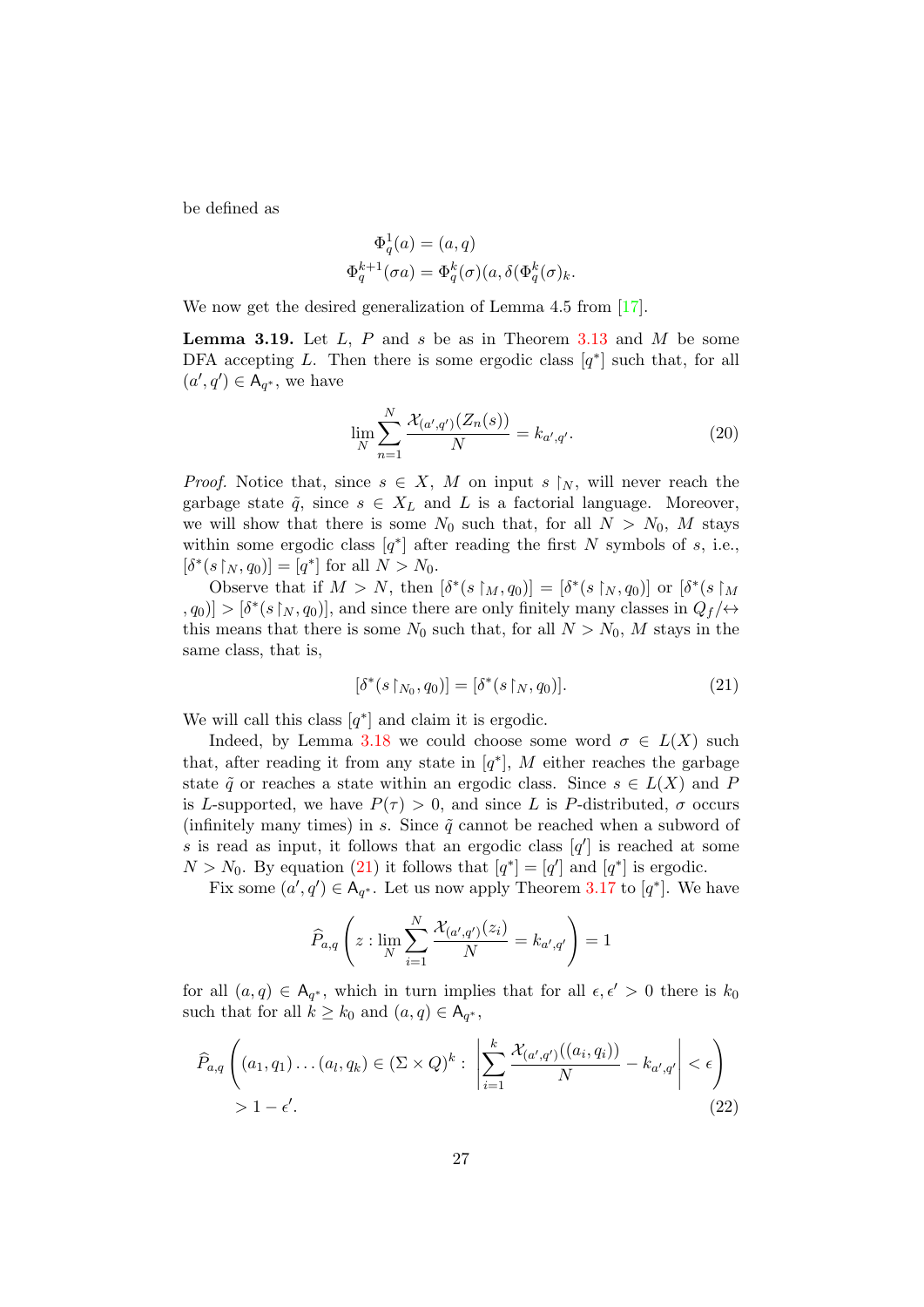be defined as

$$
\Phi_q^1(a) = (a, q)
$$
  

$$
\Phi_q^{k+1}(\sigma a) = \Phi_q^k(\sigma)(a, \delta(\Phi_q^k(\sigma))k.
$$

We now get the desired generalization of Lemma 4.5 from [\[17\]](#page-46-9).

<span id="page-26-3"></span>**Lemma 3.19.** Let  $L$ ,  $P$  and  $s$  be as in Theorem [3.13](#page-22-1) and  $M$  be some DFA accepting L. Then there is some ergodic class  $[q^*]$  such that, for all  $(a', q') \in A_{q^*}$ , we have

<span id="page-26-2"></span>
$$
\lim_{N} \sum_{n=1}^{N} \frac{\mathcal{X}_{(a',q')}(Z_n(s))}{N} = k_{a',q'}.
$$
\n(20)

*Proof.* Notice that, since  $s \in X$ , M on input s |N, will never reach the garbage state  $\tilde{q}$ , since  $s \in X_L$  and L is a factorial language. Moreover, we will show that there is some  $N_0$  such that, for all  $N > N_0$ , M stays within some ergodic class  $[q^*]$  after reading the first N symbols of s, i.e.,  $[\delta^*(s|_N, q_0)] = [q^*]$  for all  $N > N_0$ .

Observe that if  $M > N$ , then  $[\delta^*(s \restriction_M, q_0)] = [\delta^*(s \restriction_N, q_0)]$  or  $[\delta^*(s \restriction_M)]$  $[0, q_0] > [\delta^*(s|_N, q_0)]$ , and since there are only finitely many classes in  $Q_f/\leftrightarrow$ this means that there is some  $N_0$  such that, for all  $N > N_0$ , M stays in the same class, that is,

<span id="page-26-0"></span>
$$
[\delta^*(s \upharpoonright_{N_0}, q_0)] = [\delta^*(s \upharpoonright_N, q_0)]. \tag{21}
$$

We will call this class  $[q^*]$  and claim it is ergodic.

Indeed, by Lemma [3.18](#page-25-0) we could choose some word  $\sigma \in L(X)$  such that, after reading it from any state in  $[q^*]$ , M either reaches the garbage state  $\tilde{q}$  or reaches a state within an ergodic class. Since  $s \in L(X)$  and P is L-supported, we have  $P(\tau) > 0$ , and since L is P-distributed,  $\sigma$  occurs (infinitely many times) in s. Since  $\tilde{q}$  cannot be reached when a subword of s is read as input, it follows that an ergodic class  $[q']$  is reached at some  $N > N_0$ . By equation [\(21\)](#page-26-0) it follows that  $[q^*] = [q']$  and  $[q^*]$  is ergodic.

Fix some  $(a', q') \in A_{q^*}$ . Let us now apply Theorem [3.17](#page-25-1) to  $[q^*]$ . We have

<span id="page-26-1"></span>
$$
\widehat{P}_{a,q}\left(z: \lim_{N}\sum_{i=1}^{N}\frac{\mathcal{X}_{(a',q')}(z_i)}{N}=k_{a',q'}\right)=1
$$

for all  $(a, q) \in A_{q^*}$ , which in turn implies that for all  $\epsilon, \epsilon' > 0$  there is  $k_0$ such that for all  $k \geq k_0$  and  $(a, q) \in A_{q^*}$ ,

$$
\widehat{P}_{a,q}\left((a_1,q_1)\dots(a_l,q_k)\in(\Sigma\times Q)^k:\left|\sum_{i=1}^k\frac{\mathcal{X}_{(a',q')}\left((a_i,q_i)\right)}{N}-k_{a',q'}\right|<\epsilon\right)\\>1-\epsilon'.\tag{22}
$$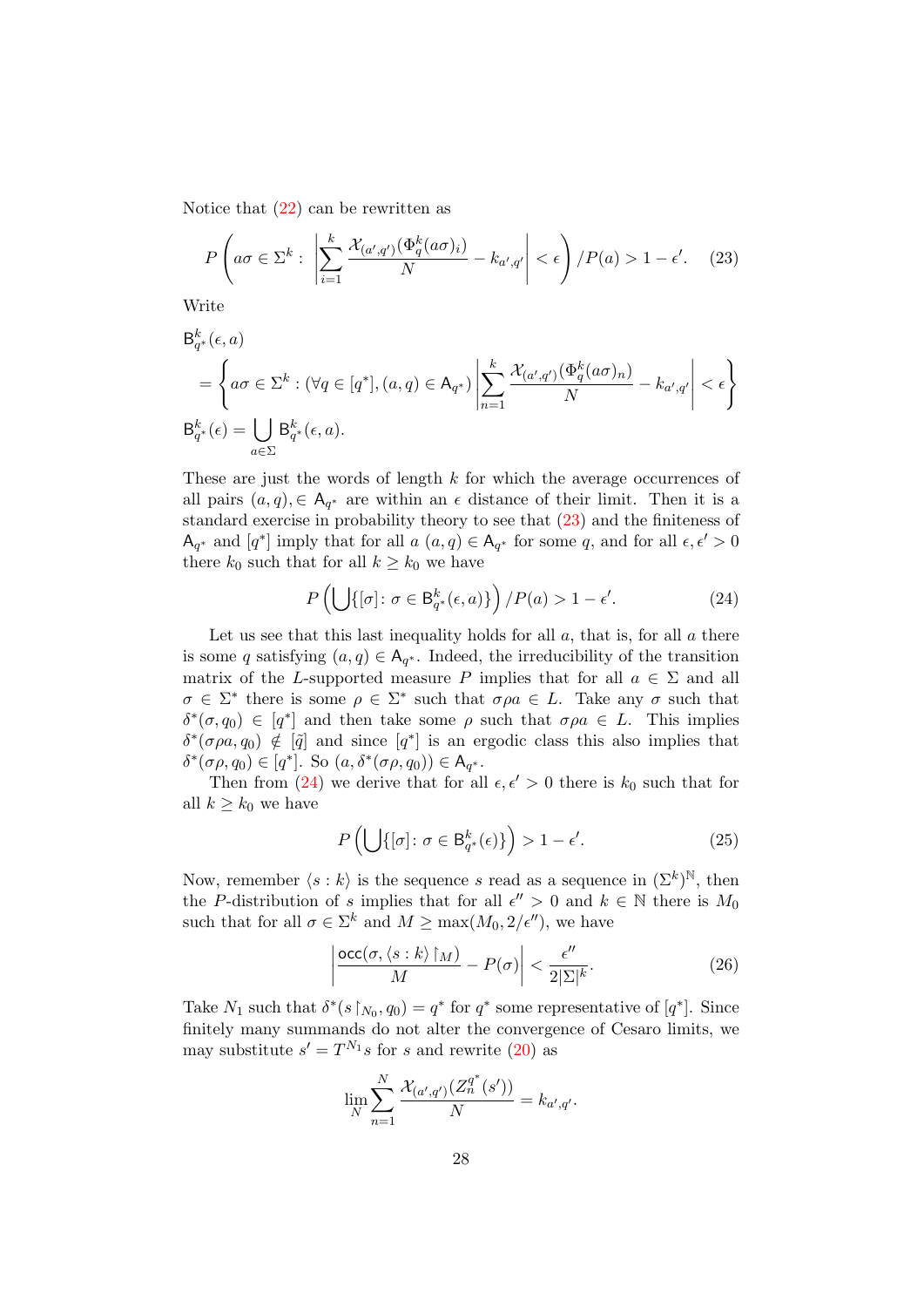Notice that [\(22\)](#page-26-1) can be rewritten as

<span id="page-27-0"></span>
$$
P\left(a\sigma \in \Sigma^k : \left|\sum_{i=1}^k \frac{\mathcal{X}_{(a',q')}(\Phi_q^k(a\sigma)_i)}{N} - k_{a',q'}\right| < \epsilon\right) / P(a) > 1 - \epsilon'. \tag{23}
$$

Write

$$
\mathsf{B}_{q^*}^k(\epsilon, a)
$$
\n
$$
= \left\{ a\sigma \in \Sigma^k : (\forall q \in [q^*], (a, q) \in \mathsf{A}_{q^*}) \middle| \sum_{n=1}^k \frac{\mathcal{X}_{(a',q')}(\Phi_q^k(a\sigma)_n)}{N} - k_{a',q'} \middle| < \epsilon \right\}
$$
\n
$$
\mathsf{B}_{q^*}^k(\epsilon) = \bigcup_{a \in \Sigma} \mathsf{B}_{q^*}^k(\epsilon, a).
$$

These are just the words of length  $k$  for which the average occurrences of all pairs  $(a, q) \in A_{q^*}$  are within an  $\epsilon$  distance of their limit. Then it is a standard exercise in probability theory to see that [\(23\)](#page-27-0) and the finiteness of  $\mathsf{A}_{q^*}$  and  $[q^*]$  imply that for all  $a\ (a,q) \in \mathsf{A}_{q^*}$  for some  $q$ , and for all  $\epsilon, \epsilon' > 0$ there  $k_0$  such that for all  $k \geq k_0$  we have

<span id="page-27-1"></span>
$$
P\left(\bigcup\{[\sigma]: \sigma \in \mathsf{B}_{q^*}^k(\epsilon, a)\}\right) / P(a) > 1 - \epsilon'.\tag{24}
$$

Let us see that this last inequality holds for all  $a$ , that is, for all  $a$  there is some q satisfying  $(a, q) \in A_{q^*}$ . Indeed, the irreducibility of the transition matrix of the L-supported measure P implies that for all  $a \in \Sigma$  and all  $\sigma \in \Sigma^*$  there is some  $\rho \in \Sigma^*$  such that  $\sigma \rho a \in L$ . Take any  $\sigma$  such that  $\delta^*(\sigma, q_0) \in [q^*]$  and then take some  $\rho$  such that  $\sigma \rho a \in L$ . This implies  $\delta^*(\sigma \rho a, q_0) \notin [\tilde{q}]$  and since  $[q^*]$  is an ergodic class this also implies that  $\delta^*(\sigma \rho, q_0) \in [q^*]$ . So  $(a, \delta^*(\sigma \rho, q_0)) \in A_{q^*}$ .

Then from [\(24\)](#page-27-1) we derive that for all  $\epsilon, \epsilon' > 0$  there is  $k_0$  such that for all  $k \geq k_0$  we have

<span id="page-27-2"></span>
$$
P\left(\bigcup\{[\sigma]: \sigma \in \mathsf{B}_{q^*}^k(\epsilon)\}\right) > 1 - \epsilon'.\tag{25}
$$

Now, remember  $\langle s : k \rangle$  is the sequence s read as a sequence in  $(\Sigma^k)^{\mathbb{N}}$ , then the P-distribution of s implies that for all  $\epsilon'' > 0$  and  $k \in \mathbb{N}$  there is  $M_0$ such that for all  $\sigma \in \Sigma^k$  and  $M \ge \max(M_0, 2/\epsilon'')$ , we have

<span id="page-27-3"></span>
$$
\left| \frac{\operatorname{occ}(\sigma, \langle s : k \rangle \upharpoonright_M)}{M} - P(\sigma) \right| < \frac{\epsilon''}{2|\Sigma|^k}.\tag{26}
$$

Take  $N_1$  such that  $\delta^*(s \upharpoonright_{N_0}, q_0) = q^*$  for  $q^*$  some representative of  $[q^*]$ . Since finitely many summands do not alter the convergence of Cesaro limits, we may substitute  $s' = T^{N_1} s$  for s and rewrite [\(20\)](#page-26-2) as

$$
\lim_{N} \sum_{n=1}^{N} \frac{\mathcal{X}_{(a',q')}(Z_n^{q^*}(s'))}{N} = k_{a',q'}.
$$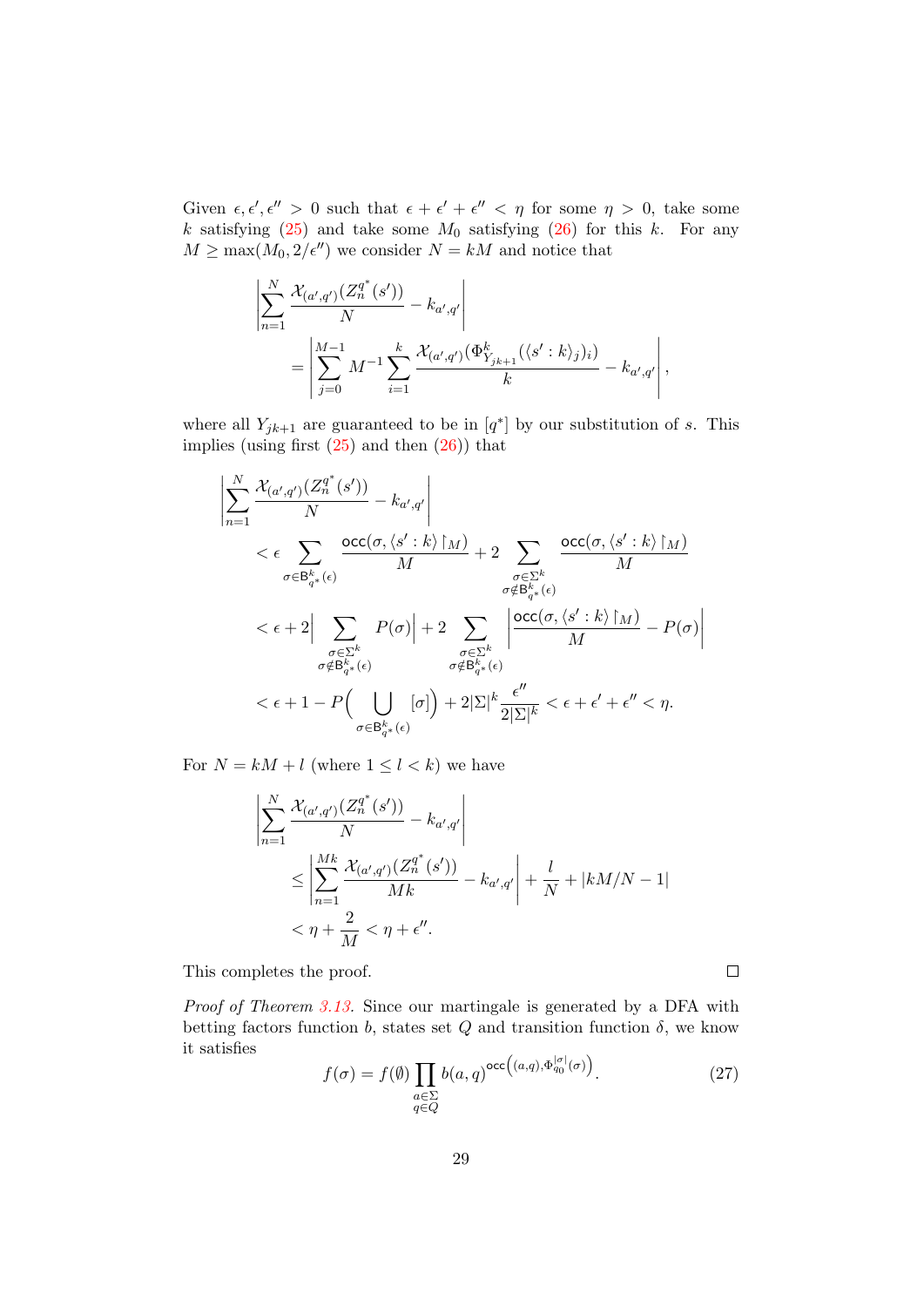Given  $\epsilon, \epsilon', \epsilon'' > 0$  such that  $\epsilon + \epsilon' + \epsilon'' < \eta$  for some  $\eta > 0$ , take some k satisfying  $(25)$  and take some  $M_0$  satisfying  $(26)$  for this k. For any  $M \ge \max(M_0, 2/\epsilon'')$  we consider  $N = kM$  and notice that

$$
\left| \sum_{n=1}^{N} \frac{\mathcal{X}_{(a',q')}(Z_n^{q^*}(s'))}{N} - k_{a',q'} \right|
$$
  
= 
$$
\left| \sum_{j=0}^{M-1} M^{-1} \sum_{i=1}^{k} \frac{\mathcal{X}_{(a',q')}( \Phi_{Y_{jk+1}}^k(\langle s' : k \rangle_j)_i)}{k} - k_{a',q'} \right|,
$$

where all  $Y_{jk+1}$  are guaranteed to be in  $[q^*]$  by our substitution of s. This implies (using first  $(25)$  and then  $(26)$ ) that

$$
\left| \sum_{n=1}^{N} \frac{\mathcal{X}_{(a',q')}(Z_n^{q^*}(s'))}{N} - k_{a',q'} \right|
$$
\n
$$
< \epsilon \sum_{\sigma \in \mathcal{B}_{q^*}^k(\epsilon)} \frac{\mathrm{occ}(\sigma, \langle s' : k \rangle \upharpoonright_M)}{M} + 2 \sum_{\substack{\sigma \in \Sigma^k \\ \sigma \notin \mathcal{B}_{q^*}^k(\epsilon)}} \frac{\mathrm{occ}(\sigma, \langle s' : k \rangle \upharpoonright_M)}{M}
$$
\n
$$
< \epsilon + 2 \Big| \sum_{\substack{\sigma \in \Sigma^k \\ \sigma \notin \mathcal{B}_{q^*}^k(\epsilon)}} P(\sigma) \Big| + 2 \sum_{\substack{\sigma \in \Sigma^k \\ \sigma \notin \mathcal{B}_{q^*}^k(\epsilon)}} \left| \frac{\mathrm{occ}(\sigma, \langle s' : k \rangle \upharpoonright_M)}{M} - P(\sigma) \right|
$$
\n
$$
< \epsilon + 1 - P \Big( \bigcup_{\substack{\sigma \in \mathcal{B}_{q^*}^k(\epsilon)}} [\sigma] \Big) + 2|\Sigma|^k \frac{\epsilon''}{2|\Sigma|^k} < \epsilon + \epsilon' + \epsilon'' < \eta.
$$

For  $N = kM + l$  (where  $1 \leq l \leq k$ ) we have

$$
\left| \sum_{n=1}^{N} \frac{\mathcal{X}_{(a',q')}(Z_n^{q^*}(s'))}{N} - k_{a',q'} \right|
$$
  
\n
$$
\leq \left| \sum_{n=1}^{Mk} \frac{\mathcal{X}_{(a',q')}(Z_n^{q^*}(s'))}{Mk} - k_{a',q'} \right| + \frac{l}{N} + |kM/N - 1|
$$
  
\n
$$
< \eta + \frac{2}{M} < \eta + \epsilon''.
$$

This completes the proof.

Proof of Theorem [3.13.](#page-22-1) Since our martingale is generated by a DFA with betting factors function b, states set  $Q$  and transition function  $\delta$ , we know it satisfies

<span id="page-28-0"></span>
$$
f(\sigma) = f(\emptyset) \prod_{\substack{a \in \Sigma \\ q \in Q}} b(a, q)^{\text{occ}\left((a, q), \Phi_{q_0}^{|\sigma|}(\sigma)\right)}.
$$
 (27)

 $\Box$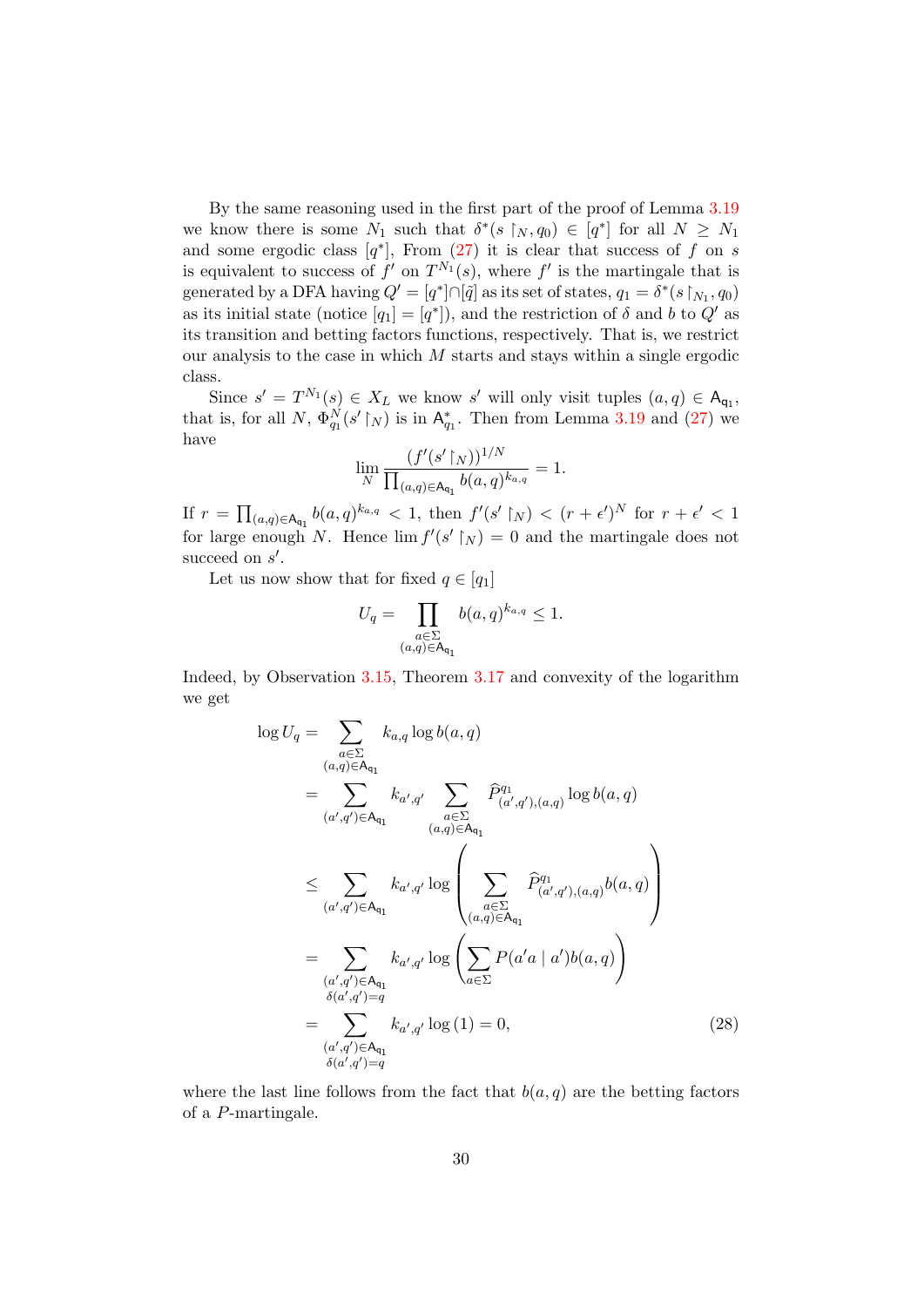By the same reasoning used in the first part of the proof of Lemma [3.19](#page-26-3) we know there is some  $N_1$  such that  $\delta^*(s \upharpoonright_N, q_0) \in [q^*]$  for all  $N \geq N_1$ and some ergodic class  $[q^*]$ , From  $(27)$  it is clear that success of f on s is equivalent to success of  $f'$  on  $T^{N_1}(s)$ , where  $f'$  is the martingale that is generated by a DFA having  $Q' = [q^*] \cap [\tilde{q}]$  as its set of states,  $q_1 = \delta^*(s \upharpoonright_{N_1}, q_0)$ as its initial state (notice  $[q_1] = [q^*]$ ), and the restriction of  $\delta$  and  $b$  to  $Q'$  as its transition and betting factors functions, respectively. That is, we restrict our analysis to the case in which  $M$  starts and stays within a single ergodic class.

Since  $s' = T^{N_1}(s) \in X_L$  we know s' will only visit tuples  $(a, q) \in A_{q_1}$ , that is, for all N,  $\Phi_{q_1}^N(s' \upharpoonright_N)$  is in  $\mathsf{A}_{q_1}^*$ . Then from Lemma [3.19](#page-26-3) and [\(27\)](#page-28-0) we have

$$
\lim_{N} \frac{(f'(s' \upharpoonright_{N}))^{1/N}}{\prod_{(a,q)\in \mathsf{A}_{\mathsf{q}_1}} b(a,q)^{k_{a,q}}} = 1.
$$

If  $r = \prod_{(a,q)\in \mathsf{A}_{q_1}} b(a,q)^{k_{a,q}} < 1$ , then  $f'(s' \upharpoonright_N) < (r + \epsilon')^N$  for  $r + \epsilon' < 1$ for large enough N. Hence  $\lim f'(s' \upharpoonright_N) = 0$  and the martingale does not succeed on  $s'$ .

Let us now show that for fixed  $q \in [q_1]$ 

$$
U_q = \prod_{\substack{a \in \Sigma \\ (a,q) \in \mathsf{A}_{\mathsf{q}_1}}} b(a,q)^{k_{a,q}} \le 1.
$$

Indeed, by Observation [3.15,](#page-24-1) Theorem [3.17](#page-25-1) and convexity of the logarithm we get

<span id="page-29-0"></span>
$$
\log U_{q} = \sum_{\substack{a \in \Sigma \\ (a,q) \in A_{q_{1}}}} k_{a,q} \log b(a,q)
$$
\n
$$
= \sum_{(a',q') \in A_{q_{1}}} k_{a',q'} \sum_{\substack{a \in \Sigma \\ (a,q) \in A_{q_{1}}}} \hat{P}_{(a',q'),(a,q)}^{q_{1}} \log b(a,q)
$$
\n
$$
\leq \sum_{(a',q') \in A_{q_{1}}} k_{a',q'} \log \left( \sum_{\substack{a \in \Sigma \\ (a,q) \in A_{q_{1}}}} \hat{P}_{(a',q'),(a,q)}^{q_{1}} b(a,q) \right)
$$
\n
$$
= \sum_{(a',q') \in A_{q_{1}}} k_{a',q'} \log \left( \sum_{a \in \Sigma} P(a'a \mid a') b(a,q) \right)
$$
\n
$$
= \sum_{\substack{(a',q') \in A_{q_{1}} \\ \delta(a',q') = q}} k_{a',q'} \log (1) = 0,
$$
\n(28)

where the last line follows from the fact that  $b(a, q)$  are the betting factors of a P-martingale.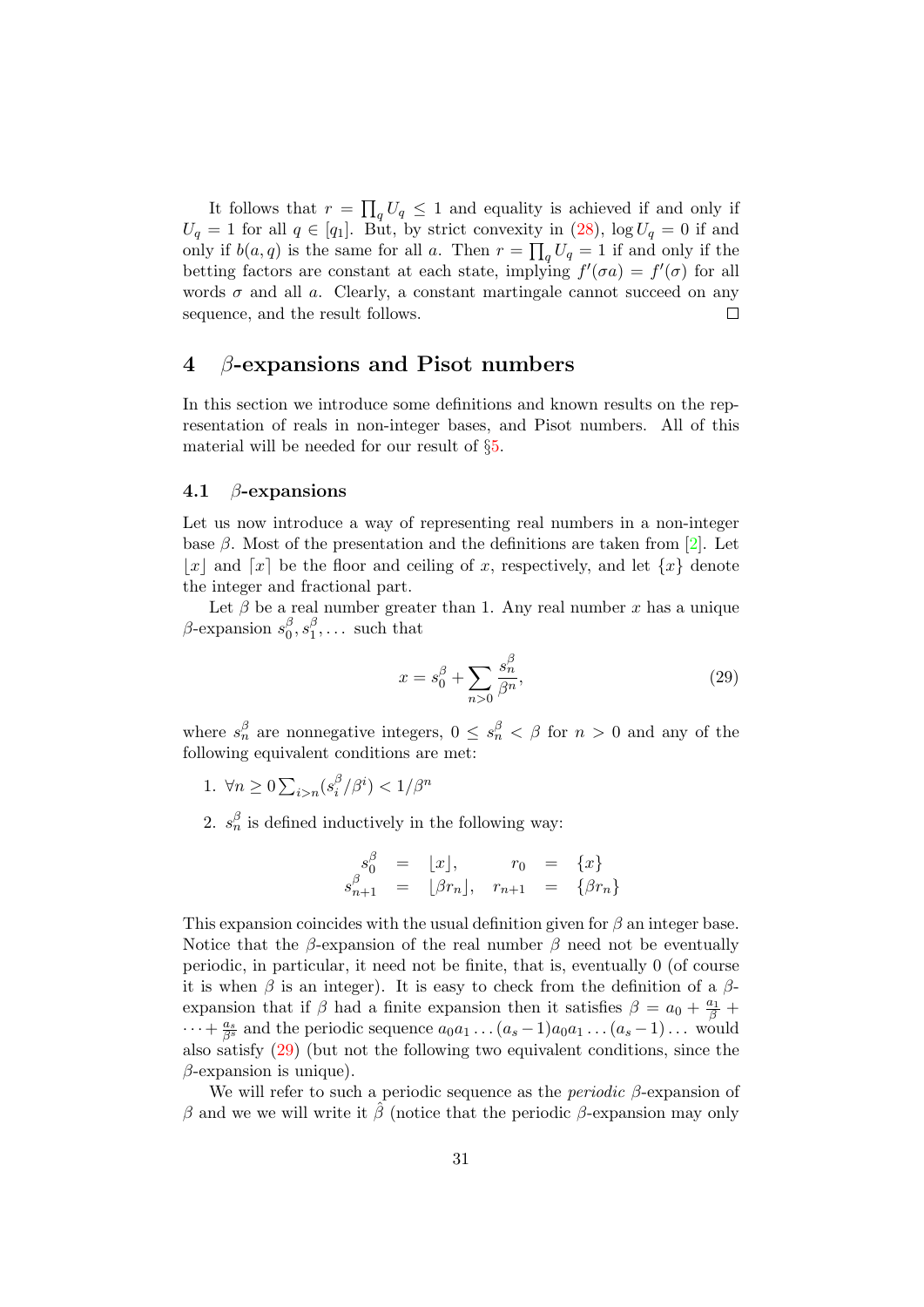It follows that  $r = \prod_q U_q \leq 1$  and equality is achieved if and only if  $U_q = 1$  for all  $q \in [q_1]$ . But, by strict convexity in [\(28\)](#page-29-0),  $\log U_q = 0$  if and only if  $b(a,q)$  is the same for all a. Then  $r = \prod_q U_q = 1$  if and only if the betting factors are constant at each state, implying  $f'(\sigma a) = f'(\sigma)$  for all words  $\sigma$  and all a. Clearly, a constant martingale cannot succeed on any sequence, and the result follows.  $\Box$ 

## <span id="page-30-0"></span>4 β-expansions and Pisot numbers

In this section we introduce some definitions and known results on the representation of reals in non-integer bases, and Pisot numbers. All of this material will be needed for our result of §[5.](#page-33-0)

#### 4.1  $\beta$ -expansions

Let us now introduce a way of representing real numbers in a non-integer base  $\beta$ . Most of the presentation and the definitions are taken from [\[2\]](#page-46-7). Let |x| and  $\lceil x \rceil$  be the floor and ceiling of x, respectively, and let  $\{x\}$  denote the integer and fractional part.

Let  $\beta$  be a real number greater than 1. Any real number x has a unique  $\beta$ -expansion  $s_0^{\beta}$  $_{0}^{\beta },s_{1}^{\beta }$  $\frac{\beta}{1}, \ldots$  such that

<span id="page-30-1"></span>
$$
x = s_0^{\beta} + \sum_{n>0} \frac{s_n^{\beta}}{\beta^n},\tag{29}
$$

where  $s_n^{\beta}$  are nonnegative integers,  $0 \leq s_n^{\beta} < \beta$  for  $n > 0$  and any of the following equivalent conditions are met:

- 1.  $\forall n \geq 0 \sum_{i>n} (s_i^{\beta})$  $\binom{\beta}{i}/\beta^i$   $< 1/\beta^n$
- 2.  $s_n^{\beta}$  is defined inductively in the following way:

$$
s_0^{\beta} = \lfloor x \rfloor, \qquad r_0 = \{x\}
$$
  

$$
s_{n+1}^{\beta} = \lfloor \beta r_n \rfloor, \quad r_{n+1} = \{ \beta r_n \}
$$

This expansion coincides with the usual definition given for  $\beta$  an integer base. Notice that the β-expansion of the real number β need not be eventually periodic, in particular, it need not be finite, that is, eventually 0 (of course it is when  $\beta$  is an integer). It is easy to check from the definition of a  $\beta$ expansion that if  $\beta$  had a finite expansion then it satisfies  $\beta = a_0 + \frac{a_1}{\beta} +$  $\cdots + \frac{a_s}{\beta^s}$  and the periodic sequence  $a_0a_1 \ldots (a_s-1)a_0a_1 \ldots (a_s-1) \ldots$  would also satisfy [\(29\)](#page-30-1) (but not the following two equivalent conditions, since the  $\beta$ -expansion is unique).

We will refer to such a periodic sequence as the *periodic*  $\beta$ -expansion of β and we we will write it  $\hat{\beta}$  (notice that the periodic β-expansion may only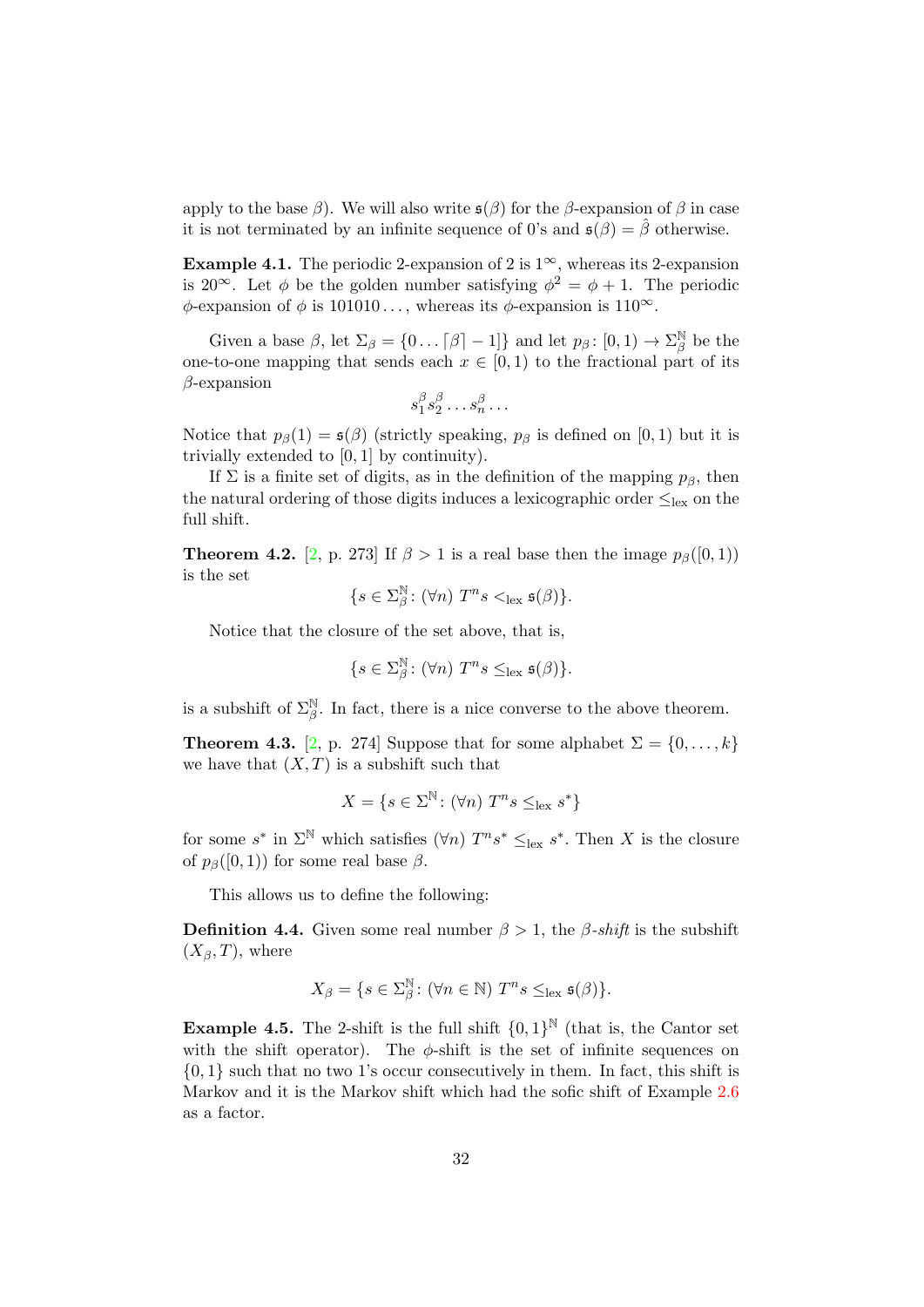apply to the base  $\beta$ ). We will also write  $\mathfrak{s}(\beta)$  for the  $\beta$ -expansion of  $\beta$  in case it is not terminated by an infinite sequence of 0's and  $\mathfrak{s}(\beta) = \hat{\beta}$  otherwise.

**Example 4.1.** The periodic 2-expansion of 2 is  $1^{\infty}$ , whereas its 2-expansion is 20<sup>∞</sup>. Let  $\phi$  be the golden number satisfying  $\phi^2 = \phi + 1$ . The periodic  $\phi$ -expansion of  $\phi$  is 101010..., whereas its  $\phi$ -expansion is 110<sup>∞</sup>.

Given a base  $\beta$ , let  $\Sigma_{\beta} = \{0 \dots [\beta] - 1\}$  and let  $p_{\beta} : [0, 1) \rightarrow \Sigma_{\beta}^{\mathbb{N}}$  $\frac{1}{\beta}$  be the one-to-one mapping that sends each  $x \in [0,1)$  to the fractional part of its  $\beta$ -expansion

$$
s_1^{\beta}s_2^{\beta}\ldots s_n^{\beta}\ldots
$$

Notice that  $p_\beta(1) = \mathfrak{s}(\beta)$  (strictly speaking,  $p_\beta$  is defined on [0, 1) but it is trivially extended to [0, 1] by continuity).

If  $\Sigma$  is a finite set of digits, as in the definition of the mapping  $p_\beta$ , then the natural ordering of those digits induces a lexicographic order  $\leq_{\text{lex}}$  on the full shift.

<span id="page-31-0"></span>**Theorem 4.2.** [\[2,](#page-46-7) p. 273] If  $\beta > 1$  is a real base then the image  $p_{\beta}([0,1))$ is the set

$$
\{s \in \Sigma_{\beta}^{\mathbb{N}} \colon (\forall n) \ T^n s <_{\text{lex}} \mathfrak{s}(\beta) \}.
$$

Notice that the closure of the set above, that is,

$$
\{s \in \Sigma_{\beta}^{\mathbb{N}} \colon (\forall n) \ T^n s \leq_{\text{lex}} \mathfrak{s}(\beta) \}.
$$

is a subshift of  $\Sigma_{\beta}^{\mathbb{N}}$ . In fact, there is a nice converse to the above theorem.

**Theorem 4.3.** [\[2,](#page-46-7) p. 274] Suppose that for some alphabet  $\Sigma = \{0, \ldots, k\}$ we have that  $(X, T)$  is a subshift such that

$$
X = \{ s \in \Sigma^{\mathbb{N}} \colon (\forall n) \ T^n s \leq_{\text{lex}} s^* \}
$$

for some  $s^*$  in  $\Sigma^{\mathbb{N}}$  which satisfies  $(\forall n)$   $T^n s^* \leq_{\text{lex}} s^*$ . Then X is the closure of  $p_\beta([0,1))$  for some real base  $\beta$ .

This allows us to define the following:

**Definition 4.4.** Given some real number  $\beta > 1$ , the  $\beta$ -shift is the subshift  $(X_{\beta}, T)$ , where

$$
X_{\beta} = \{ s \in \Sigma_{\beta}^{\mathbb{N}} \colon (\forall n \in \mathbb{N}) \ T^n s \leq_{\text{lex}} \mathfrak{s}(\beta) \}.
$$

**Example 4.5.** The 2-shift is the full shift  $\{0,1\}^{\mathbb{N}}$  (that is, the Cantor set with the shift operator). The  $\phi$ -shift is the set of infinite sequences on  $\{0, 1\}$  such that no two 1's occur consecutively in them. In fact, this shift is Markov and it is the Markov shift which had the sofic shift of Example [2.6](#page-5-2) as a factor.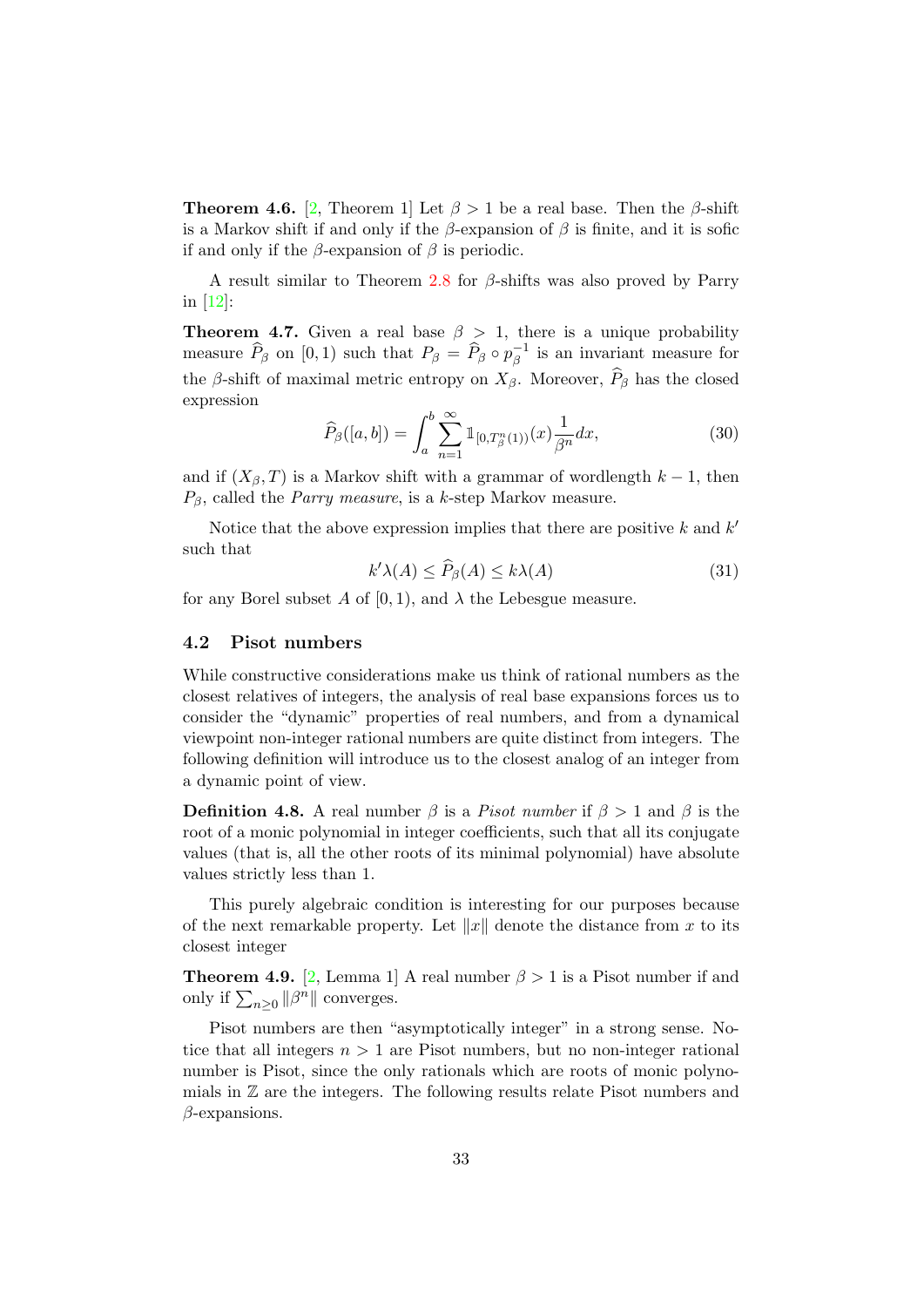**Theorem 4.6.** [\[2,](#page-46-7) Theorem 1] Let  $\beta > 1$  be a real base. Then the  $\beta$ -shift is a Markov shift if and only if the  $\beta$ -expansion of  $\beta$  is finite, and it is sofic if and only if the  $\beta$ -expansion of  $\beta$  is periodic.

A result similar to Theorem [2.8](#page-6-1) for  $\beta$ -shifts was also proved by Parry in [\[12\]](#page-46-6):

<span id="page-32-2"></span>**Theorem 4.7.** Given a real base  $\beta > 1$ , there is a unique probability measure  $\widehat{P}_{\beta}$  on [0, 1) such that  $P_{\beta} = \widehat{P}_{\beta} \circ p_{\beta}^{-1}$  $\overline{\beta}^1$  is an invariant measure for the  $\beta$ -shift of maximal metric entropy on  $X_{\beta}$ . Moreover,  $\widehat{P}_{\beta}$  has the closed expression

<span id="page-32-1"></span>
$$
\widehat{P}_{\beta}([a,b]) = \int_{a}^{b} \sum_{n=1}^{\infty} \mathbb{1}_{[0,T_{\beta}^{n}(1))}(x) \frac{1}{\beta^{n}} dx,
$$
\n(30)

and if  $(X_\beta, T)$  is a Markov shift with a grammar of wordlength  $k - 1$ , then  $P_{\beta}$ , called the *Parry measure*, is a k-step Markov measure.

Notice that the above expression implies that there are positive  $k$  and  $k'$ such that

<span id="page-32-0"></span>
$$
k'\lambda(A) \le \widehat{P}_{\beta}(A) \le k\lambda(A) \tag{31}
$$

for any Borel subset A of [0, 1), and  $\lambda$  the Lebesgue measure.

#### 4.2 Pisot numbers

While constructive considerations make us think of rational numbers as the closest relatives of integers, the analysis of real base expansions forces us to consider the "dynamic" properties of real numbers, and from a dynamical viewpoint non-integer rational numbers are quite distinct from integers. The following definition will introduce us to the closest analog of an integer from a dynamic point of view.

**Definition 4.8.** A real number  $\beta$  is a *Pisot number* if  $\beta > 1$  and  $\beta$  is the root of a monic polynomial in integer coefficients, such that all its conjugate values (that is, all the other roots of its minimal polynomial) have absolute values strictly less than 1.

This purely algebraic condition is interesting for our purposes because of the next remarkable property. Let  $||x||$  denote the distance from x to its closest integer

**Theorem 4.9.** [\[2,](#page-46-7) Lemma 1] A real number  $\beta > 1$  is a Pisot number if and only if  $\sum_{n\geq 0} ||\beta^n||$  converges.

Pisot numbers are then "asymptotically integer" in a strong sense. Notice that all integers  $n > 1$  are Pisot numbers, but no non-integer rational number is Pisot, since the only rationals which are roots of monic polynomials in  $\mathbb Z$  are the integers. The following results relate Pisot numbers and  $\beta$ -expansions.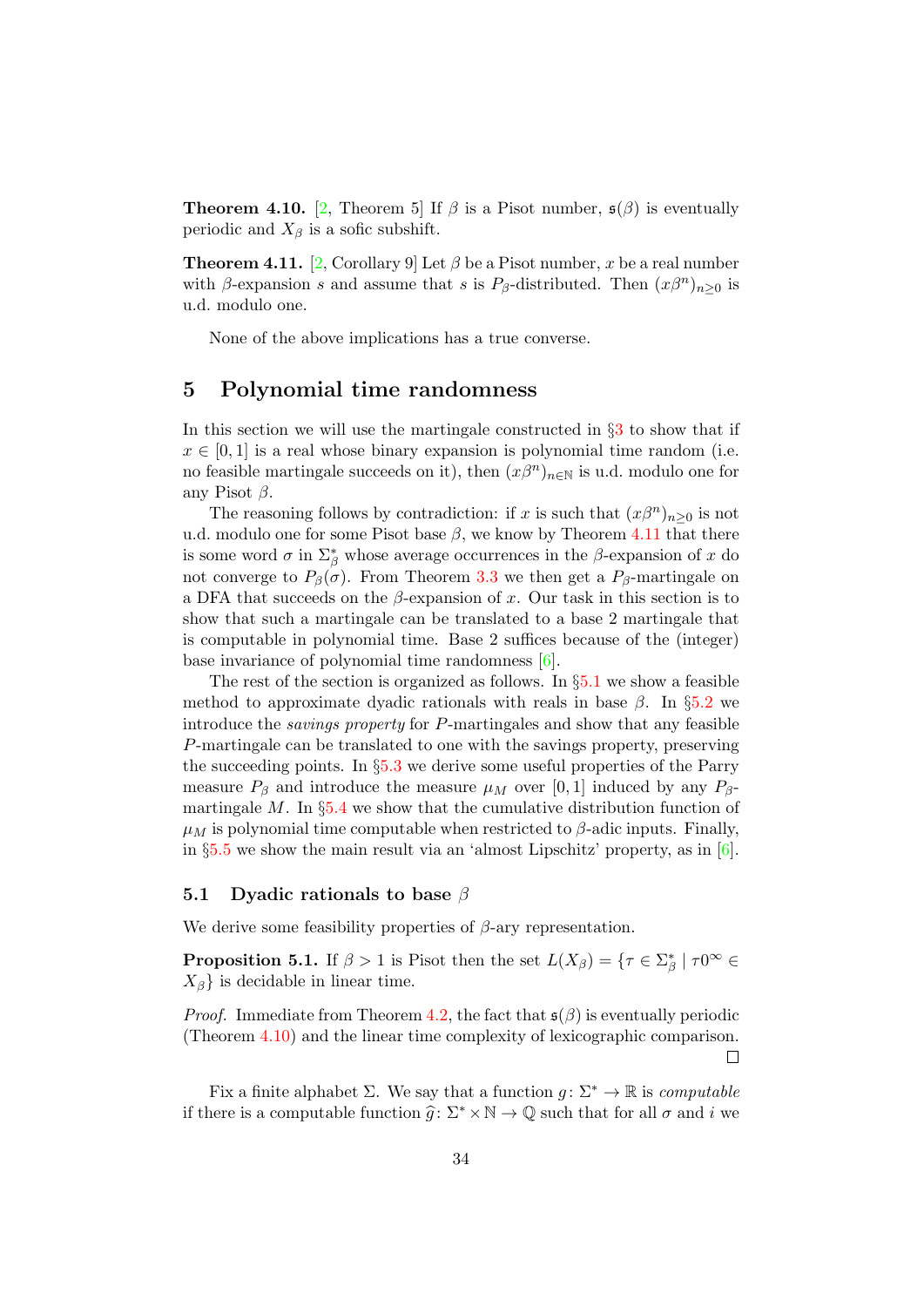<span id="page-33-3"></span>**Theorem 4.10.** [\[2,](#page-46-7) Theorem 5] If  $\beta$  is a Pisot number,  $\mathfrak{s}(\beta)$  is eventually periodic and  $X_{\beta}$  is a sofic subshift.

<span id="page-33-1"></span>**Theorem 4.11.** [\[2,](#page-46-7) Corollary 9] Let  $\beta$  be a Pisot number, x be a real number with  $\beta$ -expansion s and assume that s is  $P_{\beta}$ -distributed. Then  $(x\beta^{n})_{n\geq 0}$  is u.d. modulo one.

None of the above implications has a true converse.

## <span id="page-33-0"></span>5 Polynomial time randomness

In this section we will use the martingale constructed in §[3](#page-6-0) to show that if  $x \in [0, 1]$  is a real whose binary expansion is polynomial time random (i.e. no feasible martingale succeeds on it), then  $(x\beta^{n})_{n\in\mathbb{N}}$  is u.d. modulo one for any Pisot  $\beta$ .

The reasoning follows by contradiction: if x is such that  $(x\beta^{n})_{n\geq 0}$  is not u.d. modulo one for some Pisot base  $\beta$ , we know by Theorem [4.11](#page-33-1) that there is some word  $\sigma$  in  $\Sigma^*_{\beta}$  whose average occurrences in the  $\beta$ -expansion of x do not converge to  $P_\beta(\sigma)$ . From Theorem [3.3](#page-7-1) we then get a  $P_\beta$ -martingale on a DFA that succeeds on the  $\beta$ -expansion of x. Our task in this section is to show that such a martingale can be translated to a base 2 martingale that is computable in polynomial time. Base 2 suffices because of the (integer) base invariance of polynomial time randomness [\[6\]](#page-46-2).

The rest of the section is organized as follows. In  $\S5.1$  $\S5.1$  we show a feasible method to approximate dyadic rationals with reals in base  $\beta$ . In §[5.2](#page-35-0) we introduce the savings property for P-martingales and show that any feasible P-martingale can be translated to one with the savings property, preserving the succeeding points. In §[5.3](#page-36-0) we derive some useful properties of the Parry measure  $P_\beta$  and introduce the measure  $\mu_M$  over [0, 1] induced by any  $P_\beta$ martingale  $M$ . In  $\S 5.4$  $\S 5.4$  we show that the cumulative distribution function of  $\mu_M$  is polynomial time computable when restricted to  $\beta$ -adic inputs. Finally, in §[5.5](#page-43-0) we show the main result via an 'almost Lipschitz' property, as in [\[6\]](#page-46-2).

#### <span id="page-33-2"></span>5.1 Dyadic rationals to base  $\beta$

We derive some feasibility properties of  $\beta$ -ary representation.

<span id="page-33-4"></span>**Proposition 5.1.** If  $\beta > 1$  is Pisot then the set  $L(X_{\beta}) = \{ \tau \in \Sigma_{\beta}^* \mid \tau 0^{\infty} \in$  $X_{\beta}$  is decidable in linear time.

*Proof.* Immediate from Theorem [4.2,](#page-31-0) the fact that  $\mathfrak{s}(\beta)$  is eventually periodic (Theorem [4.10\)](#page-33-3) and the linear time complexity of lexicographic comparison.  $\Box$ 

Fix a finite alphabet  $\Sigma$ . We say that a function  $q: \Sigma^* \to \mathbb{R}$  is *computable* if there is a computable function  $\hat{g}: \Sigma^* \times \mathbb{N} \to \mathbb{Q}$  such that for all  $\sigma$  and i we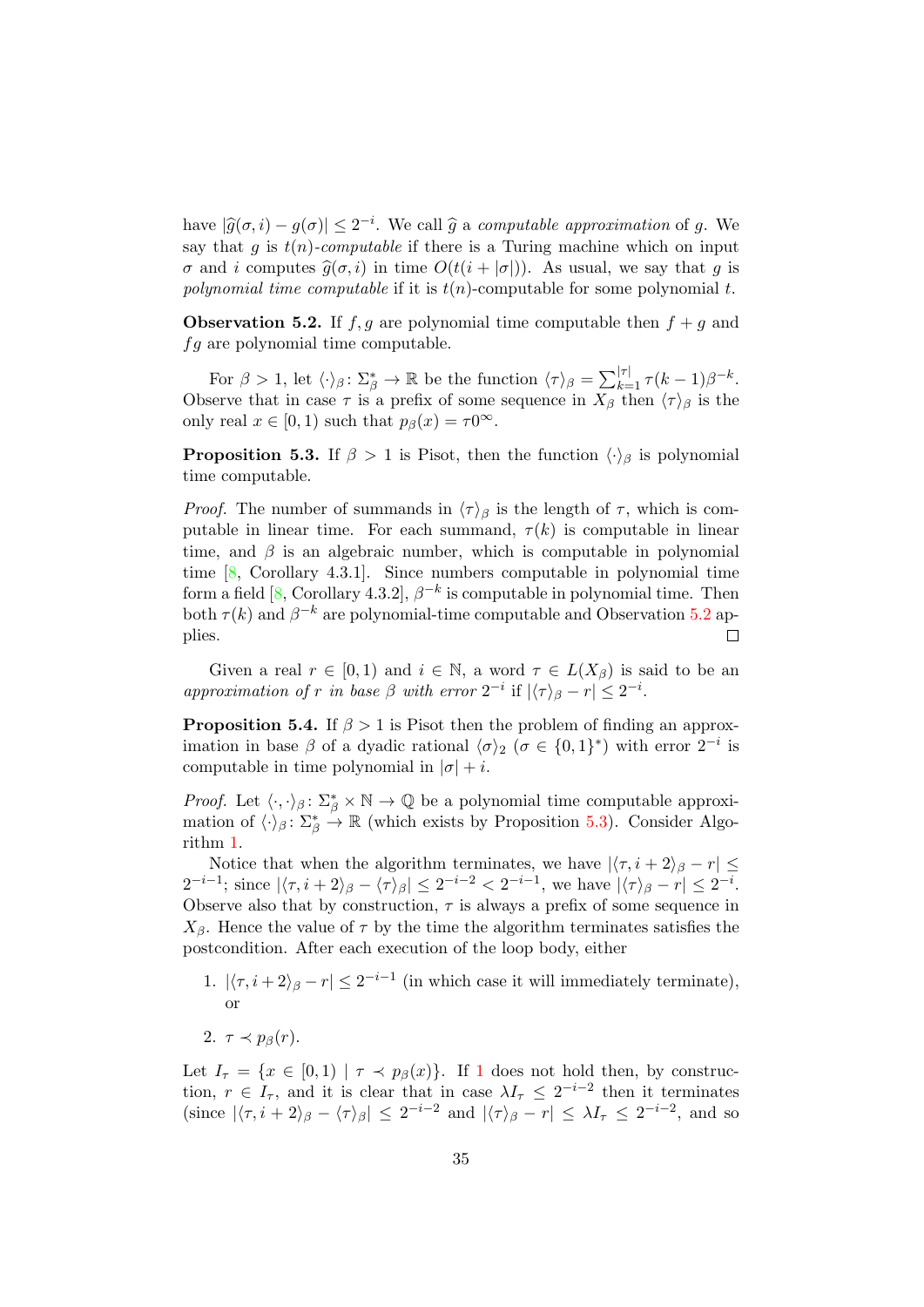have  $|\widehat{g}(\sigma, i) - g(\sigma)| \leq 2^{-i}$ . We call  $\widehat{g}$  a computable approximation of g. We<br>say that g is  $t(n)$  computable if there is a Tyring magbine which on input say that q is  $t(n)$ -computable if there is a Turing machine which on input σ and i computes  $\hat{g}(\sigma, i)$  in time  $O(t(i + |\sigma|))$ . As usual, we say that g is polynomial time computable if it is  $t(n)$ -computable for some polynomial t.

<span id="page-34-0"></span>**Observation 5.2.** If  $f, g$  are polynomial time computable then  $f + g$  and  $fg$  are polynomial time computable.

For  $\beta > 1$ , let  $\langle \cdot \rangle_{\beta} : \Sigma_{\beta}^{*} \to \mathbb{R}$  be the function  $\langle \tau \rangle_{\beta} = \sum_{k=1}^{|\tau|} \tau(k-1) \beta^{-k}$ . Observe that in case  $\tau$  is a prefix of some sequence in  $X_{\beta}$  then  $\langle \tau \rangle_{\beta}$  is the only real  $x \in [0, 1)$  such that  $p_\beta(x) = \tau 0^\infty$ .

<span id="page-34-1"></span>**Proposition 5.3.** If  $\beta > 1$  is Pisot, then the function  $\langle \cdot \rangle_{\beta}$  is polynomial time computable.

*Proof.* The number of summands in  $\langle \tau \rangle_{\beta}$  is the length of  $\tau$ , which is computable in linear time. For each summand,  $\tau(k)$  is computable in linear time, and  $\beta$  is an algebraic number, which is computable in polynomial time [\[8,](#page-46-15) Corollary 4.3.1]. Since numbers computable in polynomial time form a field [\[8,](#page-46-15) Corollary 4.3.2],  $\beta^{-k}$  is computable in polynomial time. Then both  $\tau(k)$  and  $\beta^{-k}$  are polynomial-time computable and Observation [5.2](#page-34-0) applies.  $\Box$ 

Given a real  $r \in [0,1)$  and  $i \in \mathbb{N}$ , a word  $\tau \in L(X_\beta)$  is said to be an approximation of r in base  $\beta$  with error  $2^{-i}$  if  $|\langle \tau \rangle_{\beta} - r| \leq 2^{-i}$ .

<span id="page-34-3"></span>**Proposition 5.4.** If  $\beta > 1$  is Pisot then the problem of finding an approximation in base  $\beta$  of a dyadic rational  $\langle \sigma \rangle_2$  ( $\sigma \in \{0,1\}^*$ ) with error  $2^{-i}$  is computable in time polynomial in  $|\sigma| + i$ .

*Proof.* Let  $\langle \cdot, \cdot \rangle_{\beta} : \Sigma_{\beta}^* \times \mathbb{N} \to \mathbb{Q}$  be a polynomial time computable approximation of  $\langle \cdot \rangle_{\beta} : \Sigma_{\beta}^{*} \to \mathbb{R}$  (which exists by Proposition [5.3\)](#page-34-1). Consider Algorithm [1.](#page-35-1)

Notice that when the algorithm terminates, we have  $|\langle \tau, i + 2 \rangle_{\beta} - r| \leq$  $2^{-i-1}$ ; since  $|\langle \tau, i+2 \rangle_{\beta} - \langle \tau \rangle_{\beta}| \leq 2^{-i-2} < 2^{-i-1}$ , we have  $|\langle \tau \rangle_{\beta} - r| \leq 2^{-i}$ . Observe also that by construction,  $\tau$  is always a prefix of some sequence in  $X_{\beta}$ . Hence the value of  $\tau$  by the time the algorithm terminates satisfies the postcondition. After each execution of the loop body, either

- <span id="page-34-2"></span>1.  $|\langle \tau, i + 2 \rangle_{\beta} - r| \leq 2^{-i-1}$  (in which case it will immediately terminate), or
- 2.  $\tau \prec p_{\beta}(r)$ .

Let  $I_{\tau} = \{x \in [0,1) \mid \tau \prec p_{\beta}(x)\}\$  $I_{\tau} = \{x \in [0,1) \mid \tau \prec p_{\beta}(x)\}\$  $I_{\tau} = \{x \in [0,1) \mid \tau \prec p_{\beta}(x)\}\$ . If 1 does not hold then, by construction,  $r \in I_{\tau}$ , and it is clear that in case  $\lambda I_{\tau} \leq 2^{-i-2}$  then it terminates (since  $|\langle \tau, i + 2 \rangle_{\beta} - \langle \tau \rangle_{\beta}| \leq 2^{-i-2}$  and  $|\langle \tau \rangle_{\beta} - r| \leq \lambda I_{\tau} \leq 2^{-i-2}$ , and so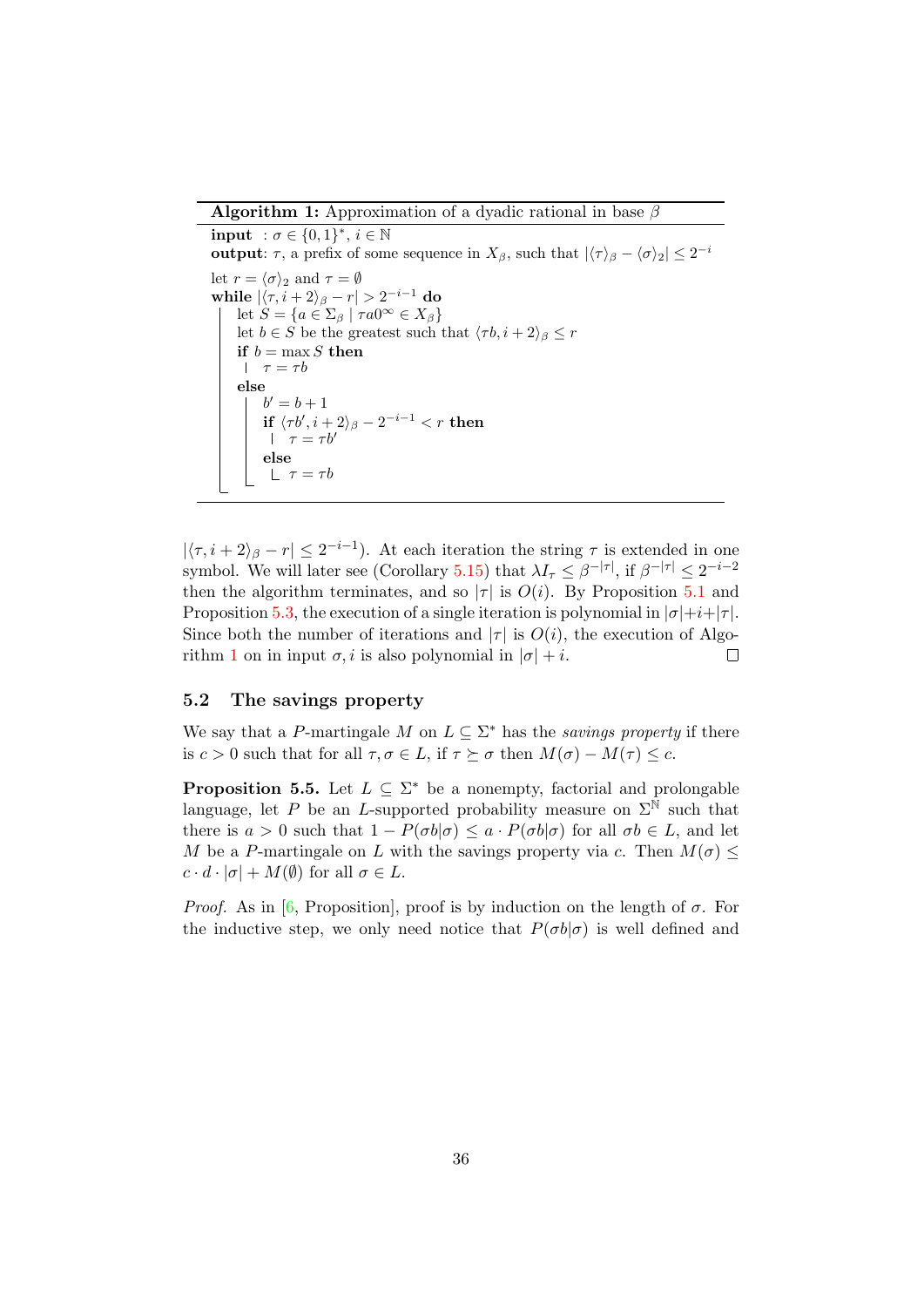**Algorithm 1:** Approximation of a dyadic rational in base  $\beta$ 

<span id="page-35-1"></span>input  $:\sigma \in \{0,1\}^*, i \in \mathbb{N}$ output:  $\tau$ , a prefix of some sequence in  $X_{\beta}$ , such that  $|\langle \tau \rangle_{\beta} - \langle \sigma \rangle_2| \leq 2^{-i}$ let  $r = \langle \sigma \rangle_2$  and  $\tau = \emptyset$ while  $|\langle \tau, i+2 \rangle_{\beta} - r| > 2^{-i-1}$  do let  $S = \{a \in \Sigma_{\beta} \mid \tau a 0^{\infty} \in X_{\beta}\}\$ let  $b \in S$  be the greatest such that  $\langle \tau b, i + 2 \rangle_{\beta} \leq r$ if  $b = \max S$  then  $\tau = \tau b$ else  $b' = b + 1$  $\textbf{if} \,\, \langle \tau b^\prime, i + 2 \rangle_{\beta} - 2^{-i-1} < r \,\, \textbf{then}$  $\tau = \tau b'$ else  $\lfloor \tau = \tau b \rfloor$ 

 $|\langle \tau, i + 2 \rangle_{\beta} - r| \leq 2^{-i-1}$ ). At each iteration the string  $\tau$  is extended in one symbol. We will later see (Corollary [5.15\)](#page-39-0) that  $\lambda I_{\tau} \leq \beta^{-|\tau|}$ , if  $\beta^{-|\tau|} \leq 2^{-i-2}$ then the algorithm terminates, and so  $|\tau|$  is  $O(i)$ . By Proposition [5.1](#page-33-4) and Proposition [5.3,](#page-34-1) the execution of a single iteration is polynomial in  $|\sigma|+i+|\tau|$ . Since both the number of iterations and  $|\tau|$  is  $O(i)$ , the execution of Algo- $\Box$ rithm [1](#page-35-1) on in input  $\sigma$ , *i* is also polynomial in  $|\sigma| + i$ .

#### <span id="page-35-0"></span>5.2 The savings property

We say that a P-martingale M on  $L \subseteq \Sigma^*$  has the savings property if there is  $c > 0$  such that for all  $\tau, \sigma \in L$ , if  $\tau \succeq \sigma$  then  $M(\sigma) - M(\tau) \leq c$ .

<span id="page-35-2"></span>**Proposition 5.5.** Let  $L \subseteq \Sigma^*$  be a nonempty, factorial and prolongable language, let P be an L-supported probability measure on  $\Sigma^{\mathbb{N}}$  such that there is  $a > 0$  such that  $1 - P(\sigma b | \sigma) \le a \cdot P(\sigma b | \sigma)$  for all  $\sigma b \in L$ , and let M be a P-martingale on L with the savings property via c. Then  $M(\sigma) \leq$  $c \cdot d \cdot |\sigma| + M(\emptyset)$  for all  $\sigma \in L$ .

*Proof.* As in [\[6,](#page-46-2) Proposition], proof is by induction on the length of  $\sigma$ . For the inductive step, we only need notice that  $P(\sigma b|\sigma)$  is well defined and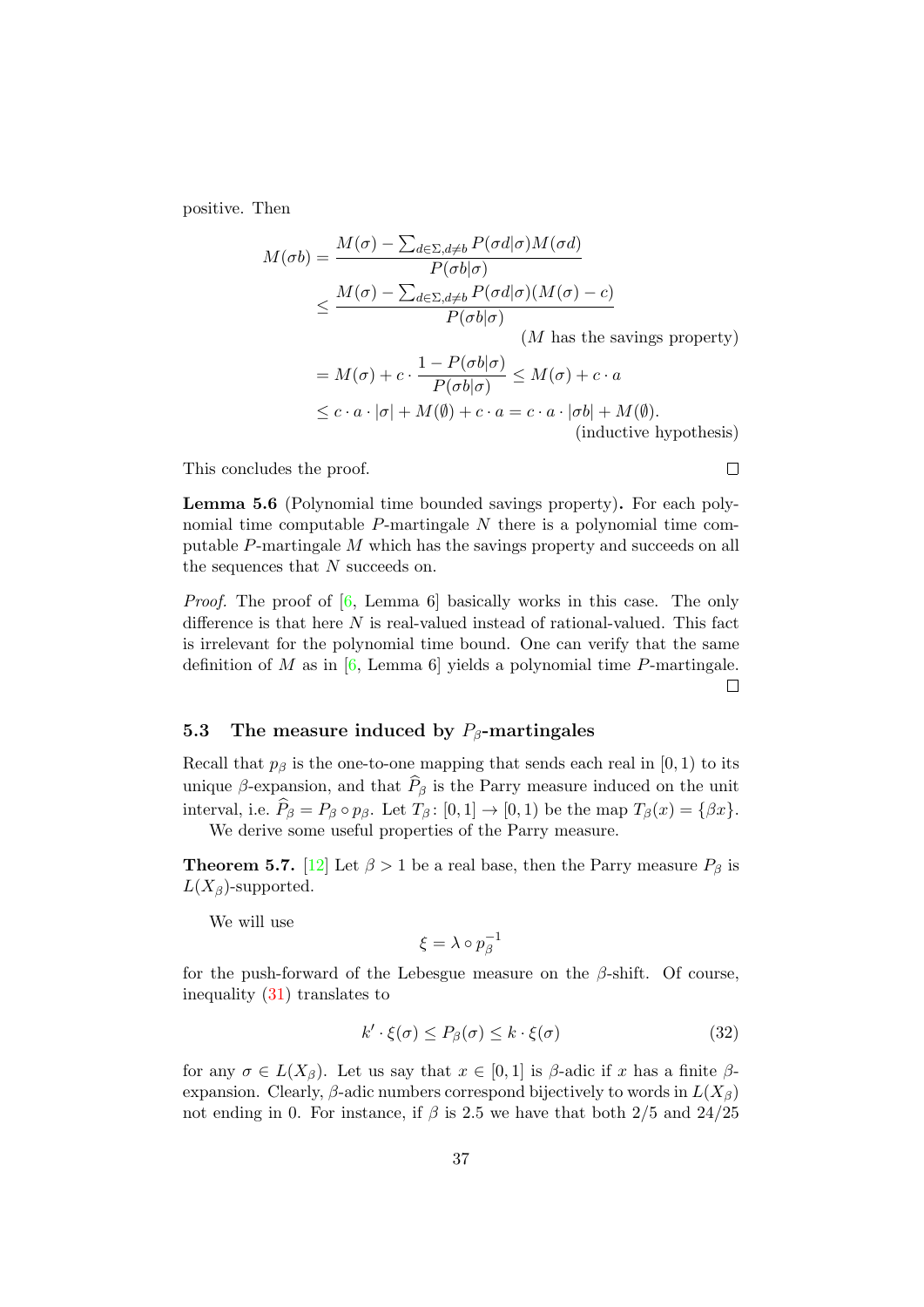positive. Then

$$
M(\sigma b) = \frac{M(\sigma) - \sum_{d \in \Sigma, d \neq b} P(\sigma d | \sigma) M(\sigma d)}{P(\sigma b | \sigma)}
$$
  
 
$$
\leq \frac{M(\sigma) - \sum_{d \in \Sigma, d \neq b} P(\sigma d | \sigma) (M(\sigma) - c)}{P(\sigma b | \sigma)}
$$

(M has the savings property)

$$
= M(\sigma) + c \cdot \frac{1 - P(\sigma b | \sigma)}{P(\sigma b | \sigma)} \le M(\sigma) + c \cdot a
$$
  
 
$$
\le c \cdot a \cdot |\sigma| + M(\emptyset) + c \cdot a = c \cdot a \cdot |\sigma b| + M(\emptyset).
$$
  
(inductive hypothesis)

This concludes the proof.

<span id="page-36-2"></span>Lemma 5.6 (Polynomial time bounded savings property). For each polynomial time computable  $P$ -martingale  $N$  there is a polynomial time computable P-martingale M which has the savings property and succeeds on all the sequences that N succeeds on.

*Proof.* The proof of  $[6, \text{ Lemma } 6]$  $[6, \text{ Lemma } 6]$  basically works in this case. The only difference is that here  $N$  is real-valued instead of rational-valued. This fact is irrelevant for the polynomial time bound. One can verify that the same definition of M as in  $[6, \text{Lemma 6}]$  $[6, \text{Lemma 6}]$  yields a polynomial time P-martingale.  $\Box$ 

#### <span id="page-36-0"></span>5.3 The measure induced by  $P_\beta$ -martingales

Recall that  $p_\beta$  is the one-to-one mapping that sends each real in [0, 1) to its unique  $\beta$ -expansion, and that  $\widehat{P}_{\beta}$  is the Parry measure induced on the unit interval, i.e.  $\widehat{P}_{\beta} = P_{\beta} \circ p_{\beta}$ . Let  $T_{\beta} : [0, 1] \rightarrow [0, 1]$  be the map  $T_{\beta}(x) = {\beta x}$ . We derive some useful properties of the Parry measure.

**Theorem 5.7.** [\[12\]](#page-46-6) Let  $\beta > 1$  be a real base, then the Parry measure  $P_{\beta}$  is  $L(X_{\beta})$ -supported.

We will use

$$
\xi=\lambda\circ p_\beta^{-1}
$$

for the push-forward of the Lebesgue measure on the  $\beta$ -shift. Of course, inequality [\(31\)](#page-32-0) translates to

<span id="page-36-1"></span>
$$
k' \cdot \xi(\sigma) \le P_{\beta}(\sigma) \le k \cdot \xi(\sigma) \tag{32}
$$

for any  $\sigma \in L(X_\beta)$ . Let us say that  $x \in [0,1]$  is  $\beta$ -adic if x has a finite  $\beta$ expansion. Clearly,  $\beta$ -adic numbers correspond bijectively to words in  $L(X_{\beta})$ not ending in 0. For instance, if  $\beta$  is 2.5 we have that both 2/5 and 24/25

 $\Box$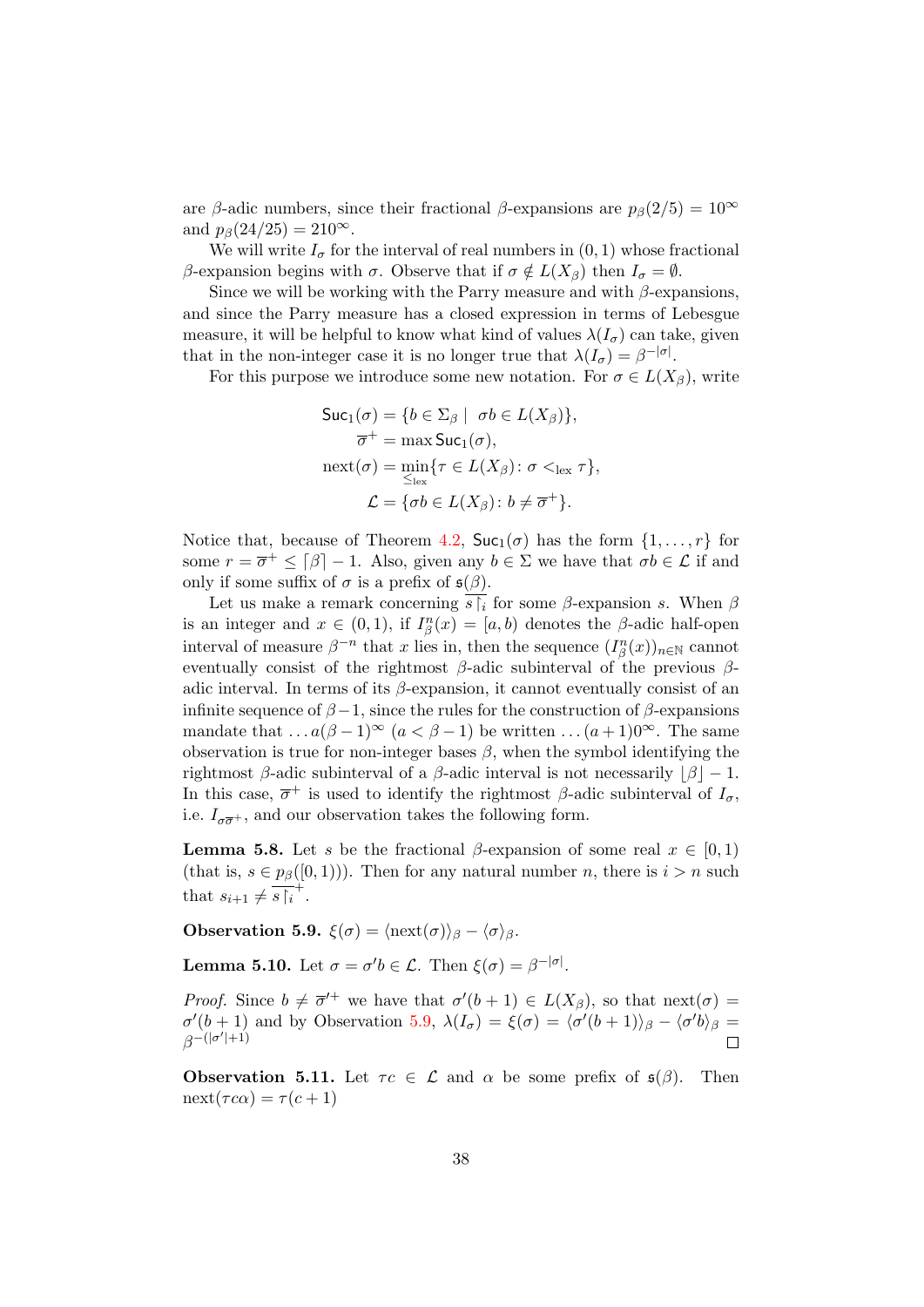are β-adic numbers, since their fractional β-expansions are  $p_\beta(2/5) = 10^\infty$ and  $p_\beta(24/25) = 210^\infty$ .

We will write  $I_{\sigma}$  for the interval of real numbers in  $(0, 1)$  whose fractional β-expansion begins with  $\sigma$ . Observe that if  $\sigma \notin L(X_\beta)$  then  $I_\sigma = \emptyset$ .

Since we will be working with the Parry measure and with  $\beta$ -expansions, and since the Parry measure has a closed expression in terms of Lebesgue measure, it will be helpful to know what kind of values  $\lambda(I_{\sigma})$  can take, given that in the non-integer case it is no longer true that  $\lambda(I_{\sigma}) = \beta^{-|\sigma|}$ .

For this purpose we introduce some new notation. For  $\sigma \in L(X_\beta)$ , write

$$
\begin{aligned} \mathsf{Suc}_1(\sigma) &= \{ b \in \Sigma_{\beta} \mid \sigma b \in L(X_{\beta}) \}, \\ \overline{\sigma}^+ &= \max \mathsf{Suc}_1(\sigma), \\ \operatorname{next}(\sigma) &= \min_{\leq_{\text{lex}}} \{ \tau \in L(X_{\beta}) \colon \sigma <_{\text{lex}} \tau \}, \\ \mathcal{L} &= \{ \sigma b \in L(X_{\beta}) \colon b \neq \overline{\sigma}^+ \}. \end{aligned}
$$

Notice that, because of Theorem [4.2,](#page-31-0)  $\text{Suc}_{1}(\sigma)$  has the form  $\{1, \ldots, r\}$  for some  $r = \overline{\sigma}^+ \leq \lfloor \beta \rfloor - 1$ . Also, given any  $b \in \Sigma$  we have that  $\sigma b \in \mathcal{L}$  if and only if some suffix of  $\sigma$  is a prefix of  $\mathfrak{s}(\beta)$ .

Let us make a remark concerning  $s_i$  for some  $\beta$ -expansion s. When  $\beta$ is an integer and  $x \in (0,1)$ , if  $I_{\beta}^{n}(x) = [a, b]$  denotes the  $\beta$ -adic half-open interval of measure  $\beta^{-n}$  that x lies in, then the sequence  $(I_{\beta}^{n}(x))_{n\in\mathbb{N}}$  cannot eventually consist of the rightmost  $\beta$ -adic subinterval of the previous  $\beta$ adic interval. In terms of its  $\beta$ -expansion, it cannot eventually consist of an infinite sequence of  $\beta - 1$ , since the rules for the construction of  $\beta$ -expansions mandate that  $\dots a(\beta-1)^\infty$   $(a < \beta-1)$  be written  $\dots (a+1)0^\infty$ . The same observation is true for non-integer bases  $\beta$ , when the symbol identifying the rightmost β-adic subinterval of a β-adic interval is not necessarily  $|\beta| - 1$ . In this case,  $\overline{\sigma}^+$  is used to identify the rightmost  $\beta$ -adic subinterval of  $I_{\sigma}$ , i.e.  $I_{\sigma\overline{\sigma}^+}$ , and our observation takes the following form.

<span id="page-37-3"></span>**Lemma 5.8.** Let s be the fractional  $\beta$ -expansion of some real  $x \in [0,1)$ (that is,  $s \in p_{\beta}([0,1))$ ). Then for any natural number n, there is  $i > n$  such that  $s_{i+1} \neq \overline{s} \upharpoonright_i^+$ .

<span id="page-37-0"></span>**Observation 5.9.**  $\xi(\sigma) = \langle \text{next}(\sigma) \rangle_{\beta} - \langle \sigma \rangle_{\beta}$ .

<span id="page-37-1"></span>**Lemma 5.10.** Let  $\sigma = \sigma' b \in \mathcal{L}$ . Then  $\xi(\sigma) = \beta^{-|\sigma|}$ .

*Proof.* Since  $b \neq \overline{\sigma}^{\prime+}$  we have that  $\sigma^{\prime}(b+1) \in L(X_{\beta})$ , so that next( $\sigma$ ) =  $\sigma'(b+1)$  and by Observation [5.9,](#page-37-0)  $\lambda(I_{\sigma}) = \xi(\sigma) = \langle \sigma'(b+1) \rangle_{\beta} - \langle \sigma' b \rangle_{\beta} =$  $\beta^{-\left(|\sigma'|+1\right)}$  $\Box$ 

<span id="page-37-2"></span>**Observation 5.11.** Let  $\tau c \in \mathcal{L}$  and  $\alpha$  be some prefix of  $\mathfrak{s}(\beta)$ . Then  $\mathrm{next}(\tau c\alpha) = \tau(c+1)$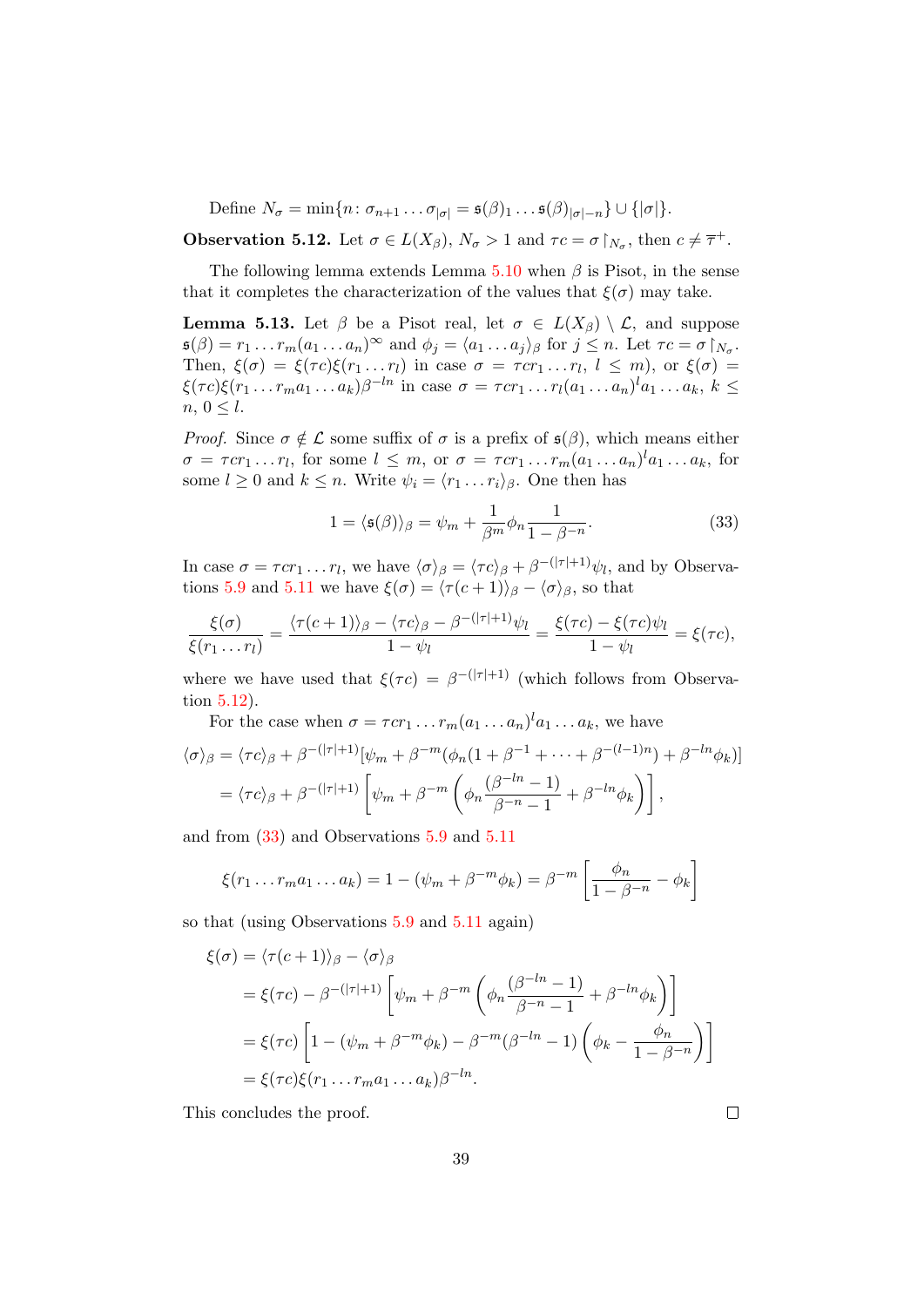Define  $N_{\sigma} = \min\{n : \sigma_{n+1} \dots \sigma_{|\sigma|} = \mathfrak{s}(\beta)_1 \dots \mathfrak{s}(\beta)_{|\sigma|-n}\} \cup \{|\sigma|\}.$ 

<span id="page-38-0"></span>**Observation 5.12.** Let  $\sigma \in L(X_\beta)$ ,  $N_\sigma > 1$  and  $\tau c = \sigma \upharpoonright_{N_\sigma}$ , then  $c \neq \overline{\tau}^+$ .

The following lemma extends Lemma  $5.10$  when  $\beta$  is Pisot, in the sense that it completes the characterization of the values that  $\xi(\sigma)$  may take.

<span id="page-38-2"></span>**Lemma 5.13.** Let  $\beta$  be a Pisot real, let  $\sigma \in L(X_{\beta}) \setminus \mathcal{L}$ , and suppose  $\mathfrak{s}(\beta) = r_1 \dots r_m (a_1 \dots a_n)^\infty$  and  $\phi_j = \langle a_1 \dots a_j \rangle_\beta$  for  $j \leq n$ . Let  $\tau c = \sigma \upharpoonright_{N_\sigma}$ . Then,  $\xi(\sigma) = \xi(\tau c)\xi(r_1 \dots r_l)$  in case  $\sigma = \tau c r_1 \dots r_l$ ,  $l \leq m$ , or  $\xi(\sigma) =$  $\xi(\tau c)\xi(r_1 \ldots r_m a_1 \ldots a_k)\beta^{-ln}$  in case  $\sigma = \tau c r_1 \ldots r_l(a_1 \ldots a_n)^l a_1 \ldots a_k, k \leq$  $n, 0 \leq l.$ 

*Proof.* Since  $\sigma \notin \mathcal{L}$  some suffix of  $\sigma$  is a prefix of  $\mathfrak{s}(\beta)$ , which means either  $\sigma = \tau c r_1 \dots r_l$ , for some  $l \leq m$ , or  $\sigma = \tau c r_1 \dots r_m (a_1 \dots a_n)^l a_1 \dots a_k$ , for some  $l \geq 0$  and  $k \leq n$ . Write  $\psi_i = \langle r_1 \dots r_i \rangle_{\beta}$ . One then has

<span id="page-38-1"></span>
$$
1 = \langle \mathfrak{s}(\beta) \rangle_{\beta} = \psi_m + \frac{1}{\beta^m} \phi_n \frac{1}{1 - \beta^{-n}}.
$$
 (33)

In case  $\sigma = \tau c r_1 \dots r_l$ , we have  $\langle \sigma \rangle_{\beta} = \langle \tau c \rangle_{\beta} + \beta^{-(|\tau|+1)} \psi_l$ , and by Observa-tions [5.9](#page-37-0) and [5.11](#page-37-2) we have  $\xi(\sigma) = \langle \tau(c + 1) \rangle_{\beta} - \langle \sigma \rangle_{\beta}$ , so that

$$
\frac{\xi(\sigma)}{\xi(r_1 \ldots r_l)} = \frac{\langle \tau(c+1) \rangle_{\beta} - \langle \tau c \rangle_{\beta} - \beta^{-(|\tau|+1)} \psi_l}{1 - \psi_l} = \frac{\xi(\tau c) - \xi(\tau c) \psi_l}{1 - \psi_l} = \xi(\tau c),
$$

where we have used that  $\xi(\tau c) = \beta^{-(|\tau|+1)}$  (which follows from Observation [5.12\)](#page-38-0).

For the case when  $\sigma = \tau c r_1 \dots r_m (a_1 \dots a_n)^l a_1 \dots a_k$ , we have  $\langle \sigma \rangle_{\beta} = \langle \tau c \rangle_{\beta} + \beta^{-(|\tau|+1)}[\psi_m + \beta^{-m}(\phi_n(1+\beta^{-1}+\cdots+\beta^{-(l-1)n})+\beta^{-ln}\phi_k)]$  $=\langle \tau c \rangle_{\beta} + \beta^{-(|\tau|+1)} \left[ \psi_m + \beta^{-m} \left( \phi_n \frac{(\beta^{-ln}-1)}{\beta^{-m}-1} \right) \right]$  $\left. \frac{\beta^{-ln}-1)}{\beta^{-n}-1}+\beta^{-ln}\phi_k\right) \right] ,$ 

and from [\(33\)](#page-38-1) and Observations [5.9](#page-37-0) and [5.11](#page-37-2)

$$
\xi(r_1 \ldots r_m a_1 \ldots a_k) = 1 - (\psi_m + \beta^{-m} \phi_k) = \beta^{-m} \left[ \frac{\phi_n}{1 - \beta^{-n}} - \phi_k \right]
$$

so that (using Observations [5.9](#page-37-0) and [5.11](#page-37-2) again)

$$
\xi(\sigma) = \langle \tau(c+1) \rangle_{\beta} - \langle \sigma \rangle_{\beta}
$$
  
=  $\xi(\tau c) - \beta^{-(|\tau|+1)} \left[ \psi_m + \beta^{-m} \left( \phi_n \frac{(\beta^{-ln} - 1)}{\beta^{-n} - 1} + \beta^{-ln} \phi_k \right) \right]$   
=  $\xi(\tau c) \left[ 1 - (\psi_m + \beta^{-m} \phi_k) - \beta^{-m} (\beta^{-ln} - 1) \left( \phi_k - \frac{\phi_n}{1 - \beta^{-n}} \right) \right]$   
=  $\xi(\tau c) \xi(r_1 \dots r_m a_1 \dots a_k) \beta^{-ln}.$ 

This concludes the proof.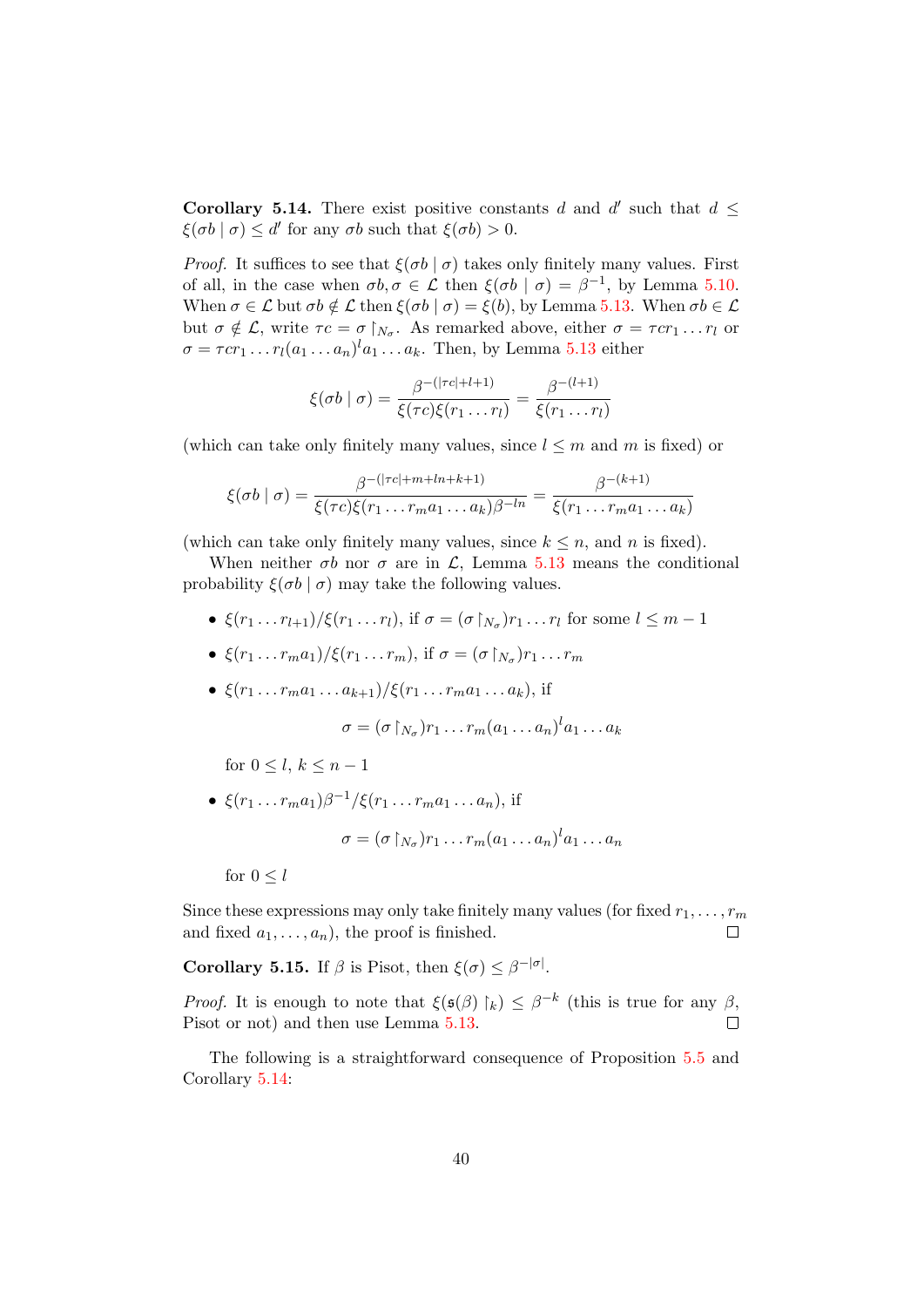<span id="page-39-1"></span>**Corollary 5.14.** There exist positive constants d and d' such that  $d \leq$  $\xi(\sigma b \mid \sigma) \leq d'$  for any  $\sigma b$  such that  $\xi(\sigma b) > 0$ .

*Proof.* It suffices to see that  $\xi(\sigma b | \sigma)$  takes only finitely many values. First of all, in the case when  $\sigma b, \sigma \in \mathcal{L}$  then  $\xi(\sigma b \mid \sigma) = \beta^{-1}$ , by Lemma [5.10.](#page-37-1) When  $\sigma \in \mathcal{L}$  but  $\sigma b \notin \mathcal{L}$  then  $\xi(\sigma b \mid \sigma) = \xi(b)$ , by Lemma [5.13.](#page-38-2) When  $\sigma b \in \mathcal{L}$ but  $\sigma \notin \mathcal{L}$ , write  $\tau c = \sigma \upharpoonright_{N_{\sigma}}$ . As remarked above, either  $\sigma = \tau c r_1 \dots r_l$  or  $\sigma = \tau c r_1 \dots r_l (a_1 \dots a_n)^l a_1 \dots a_k$ . Then, by Lemma [5.13](#page-38-2) either

$$
\xi(\sigma b \mid \sigma) = \frac{\beta^{-(\lvert \tau c \rvert + l + 1)}}{\xi(\tau c)\xi(r_1 \dots r_l)} = \frac{\beta^{-(l+1)}}{\xi(r_1 \dots r_l)}
$$

(which can take only finitely many values, since  $l \leq m$  and m is fixed) or

$$
\xi(\sigma b \mid \sigma) = \frac{\beta^{-(|\tau c|+m+ln+k+1)}}{\xi(\tau c)\xi(r_1 \dots r_m a_1 \dots a_k)\beta^{-ln}} = \frac{\beta^{-(k+1)}}{\xi(r_1 \dots r_m a_1 \dots a_k)}
$$

(which can take only finitely many values, since  $k \leq n$ , and n is fixed).

When neither  $\sigma b$  nor  $\sigma$  are in  $\mathcal{L}$ , Lemma [5.13](#page-38-2) means the conditional probability  $\xi(\sigma b \mid \sigma)$  may take the following values.

- $\xi(r_1 \ldots r_{l+1})/\xi(r_1 \ldots r_l)$ , if  $\sigma = (\sigma \upharpoonright_{N_{\sigma}})r_1 \ldots r_l$  for some  $l \leq m-1$
- $\xi(r_1 \ldots r_m a_1) / \xi(r_1 \ldots r_m)$ , if  $\sigma = (\sigma \upharpoonright_{N_\sigma}) r_1 \ldots r_m$
- $\xi(r_1 \ldots r_m a_1 \ldots a_{k+1})/\xi(r_1 \ldots r_m a_1 \ldots a_k)$ , if

$$
\sigma = (\sigma \upharpoonright_{N_{\sigma}}) r_1 \dots r_m (a_1 \dots a_n)^l a_1 \dots a_k
$$

# for  $0 \leq l, k \leq n-1$

•  $\xi(r_1 \ldots r_m a_1) \beta^{-1} / \xi(r_1 \ldots r_m a_1 \ldots a_n)$ , if

$$
\sigma = (\sigma \upharpoonright_{N_{\sigma}}) r_1 \dots r_m (a_1 \dots a_n)^l a_1 \dots a_n
$$

for  $0 \leq l$ 

Since these expressions may only take finitely many values (for fixed  $r_1, \ldots, r_m$ ) and fixed  $a_1, \ldots, a_n$ , the proof is finished.  $\Box$ 

<span id="page-39-0"></span>**Corollary 5.15.** If  $\beta$  is Pisot, then  $\xi(\sigma) \leq \beta^{-|\sigma|}$ .

*Proof.* It is enough to note that  $\xi(\mathfrak{s}(\beta) \upharpoonright_k) \leq \beta^{-k}$  (this is true for any  $\beta$ , Pisot or not) and then use Lemma [5.13.](#page-38-2)  $\Box$ 

The following is a straightforward consequence of Proposition [5.5](#page-35-2) and Corollary [5.14:](#page-39-1)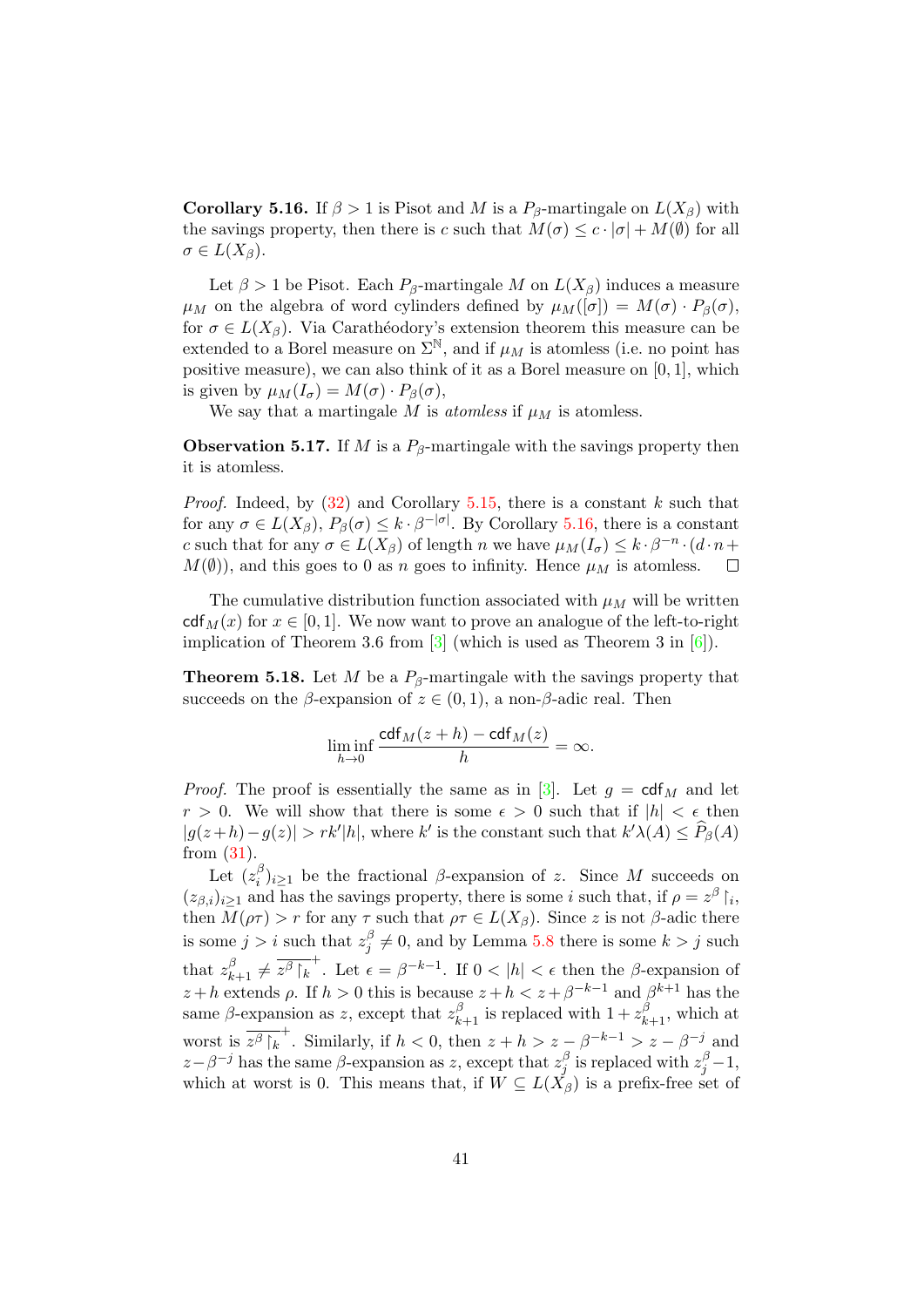<span id="page-40-0"></span>**Corollary 5.16.** If  $\beta > 1$  is Pisot and M is a  $P_{\beta}$ -martingale on  $L(X_{\beta})$  with the savings property, then there is c such that  $M(\sigma) \leq c \cdot |\sigma| + M(\emptyset)$  for all  $\sigma \in L(X_\beta)$ .

Let  $\beta > 1$  be Pisot. Each  $P_\beta$ -martingale M on  $L(X_\beta)$  induces a measure  $\mu_M$  on the algebra of word cylinders defined by  $\mu_M([\sigma]) = M(\sigma) \cdot P_\beta(\sigma)$ , for  $\sigma \in L(X_\beta)$ . Via Carathéodory's extension theorem this measure can be extended to a Borel measure on  $\Sigma^{\mathbb{N}}$ , and if  $\mu_M$  is atomless (i.e. no point has positive measure), we can also think of it as a Borel measure on [0, 1], which is given by  $\mu_M(I_\sigma) = M(\sigma) \cdot P_\beta(\sigma)$ ,

We say that a martingale  $M$  is *atomless* if  $\mu_M$  is atomless.

**Observation 5.17.** If M is a  $P_\beta$ -martingale with the savings property then it is atomless.

*Proof.* Indeed, by  $(32)$  and Corollary [5.15,](#page-39-0) there is a constant k such that for any  $\sigma \in L(X_\beta)$ ,  $P_\beta(\sigma) \leq k \cdot \beta^{-|\sigma|}$ . By Corollary [5.16,](#page-40-0) there is a constant c such that for any  $\sigma \in L(X_\beta)$  of length n we have  $\mu_M(I_\sigma) \leq k \cdot \beta^{-n} \cdot (d \cdot n +$  $M(\emptyset)$ , and this goes to 0 as n goes to infinity. Hence  $\mu_M$  is atomless.  $\Box$ 

The cumulative distribution function associated with  $\mu_M$  will be written  $cdf_{M}(x)$  for  $x \in [0, 1]$ . We now want to prove an analogue of the left-to-right implication of Theorem 3.6 from [\[3\]](#page-46-16) (which is used as Theorem 3 in [\[6\]](#page-46-2)).

<span id="page-40-1"></span>**Theorem 5.18.** Let M be a  $P_\beta$ -martingale with the savings property that succeeds on the  $\beta$ -expansion of  $z \in (0,1)$ , a non- $\beta$ -adic real. Then

$$
\liminf_{h \to 0} \frac{\text{cdf}_M(z+h) - \text{cdf}_M(z)}{h} = \infty.
$$

*Proof.* The proof is essentially the same as in [\[3\]](#page-46-16). Let  $g = \text{cdf}_M$  and let  $r > 0$ . We will show that there is some  $\epsilon > 0$  such that if  $|h| < \epsilon$  then  $|g(z+h)-g(z)| > rk'|h|$ , where k' is the constant such that  $k'\lambda(A) \leq \widehat{P}_{\beta}(A)$ from [\(31\)](#page-32-0).

Let  $(z_i^{\beta}$  $\hat{i}|_{i\geq 1}$  be the fractional  $\beta$ -expansion of z. Since M succeeds on  $(z_{\beta,i})_{i\geq 1}$  and has the savings property, there is some i such that, if  $\rho = z^{\beta} \restriction_i$ , then  $M(\rho \tau) > r$  for any  $\tau$  such that  $\rho \tau \in L(X_\beta)$ . Since z is not  $\beta$ -adic there is some  $j > i$  such that  $z_i^{\beta}$  $j_j^{\beta} \neq 0$ , and by Lemma [5.8](#page-37-3) there is some  $k > j$  such that  $z_{k+1}^{\beta} \neq \overline{z^{\beta} \upharpoonright_k}^+$ . Let  $\epsilon = \beta^{-k-1}$ . If  $0 < |h| < \epsilon$  then the  $\beta$ -expansion of  $z + h$  extends  $\rho$ . If  $h > 0$  this is because  $z + h < z + \beta^{-k-1}$  and  $\beta^{k+1}$  has the same  $\beta$ -expansion as z, except that  $z_{k+1}^{\beta}$  is replaced with  $1 + z_{k+1}^{\beta}$ , which at worst is  $\overline{z^{\beta}|_k}^+$ . Similarly, if  $h < 0$ , then  $z + h > z - \beta^{-k-1} > z - \beta^{-j}$  and  $z-\beta^{-j}$  has the same  $\beta$ -expansion as z, except that  $z_i^{\beta}$  $\frac{\beta}{j}$  is replaced with  $z_j^{\beta}-1$ , which at worst is 0. This means that, if  $\hat{W} \subseteq L(X_{\beta})$  is a prefix-free set of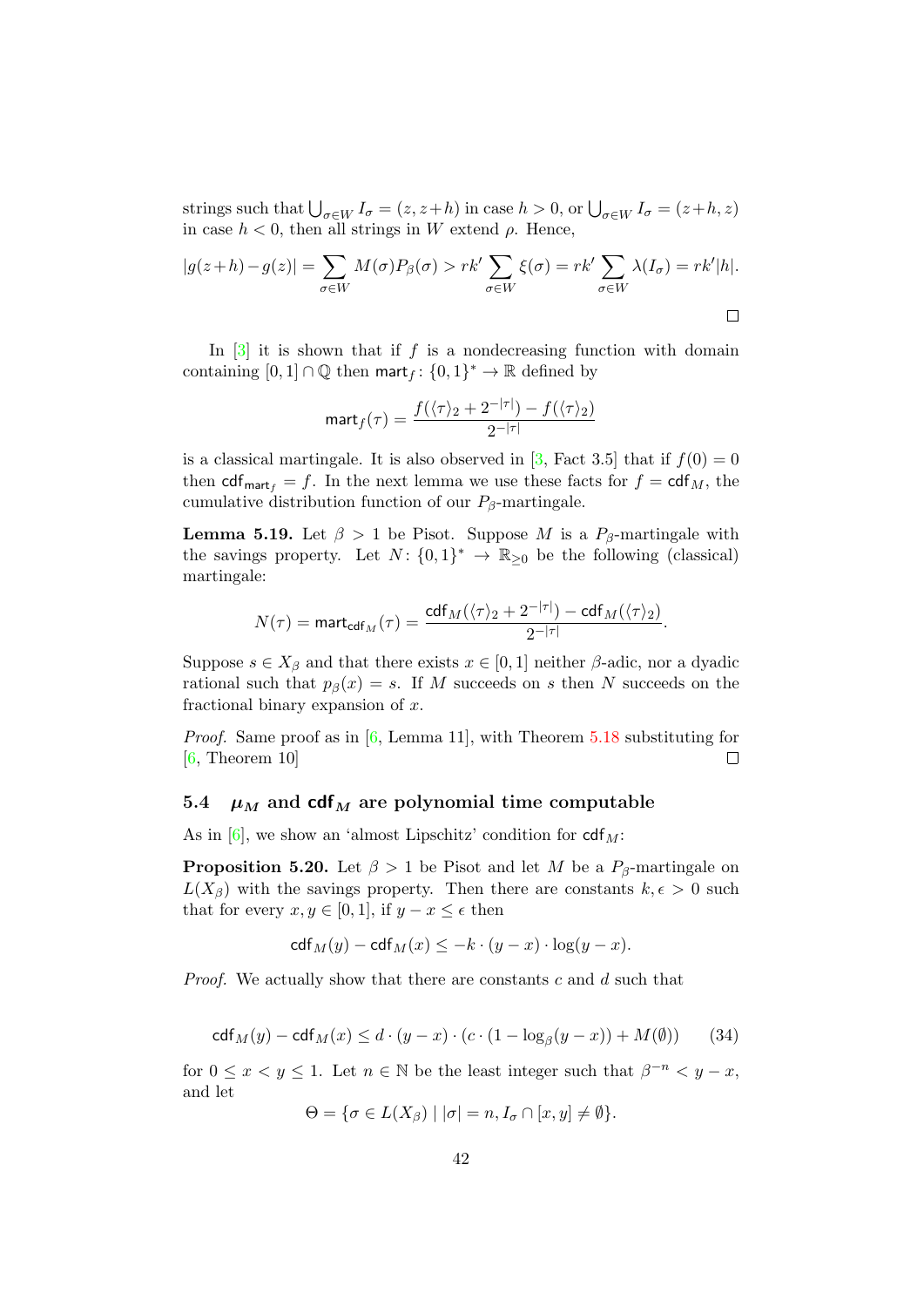strings such that  $\bigcup_{\sigma \in W} I_{\sigma} = (z, z+h)$  in case  $h > 0$ , or  $\bigcup_{\sigma \in W} I_{\sigma} = (z+h, z)$ in case  $h < 0$ , then all strings in W extend  $\rho$ . Hence,

$$
|g(z+h) - g(z)| = \sum_{\sigma \in W} M(\sigma) P_{\beta}(\sigma) > rk' \sum_{\sigma \in W} \xi(\sigma) = rk' \sum_{\sigma \in W} \lambda(I_{\sigma}) = rk'|h|.
$$

In  $\lceil 3 \rceil$  it is shown that if f is a nondecreasing function with domain containing  $[0,1] \cap \mathbb{Q}$  then mart $f: \{0,1\}^* \to \mathbb{R}$  defined by

$$
\text{mart}_f(\tau) = \frac{f(\langle \tau \rangle_2 + 2^{-|\tau|}) - f(\langle \tau \rangle_2)}{2^{-|\tau|}}
$$

is a classical martingale. It is also observed in [\[3,](#page-46-16) Fact 3.5] that if  $f(0) = 0$ then  $\text{cdf}_{\text{mart}_f} = f$ . In the next lemma we use these facts for  $f = \text{cdf}_M$ , the cumulative distribution function of our  $P_\beta$ -martingale.

**Lemma 5.19.** Let  $\beta > 1$  be Pisot. Suppose M is a  $P_\beta$ -martingale with the savings property. Let  $N: \{0,1\}^* \to \mathbb{R}_{\geq 0}$  be the following (classical) martingale:

$$
N(\tau) = \text{mart}_{\text{cdf}_M}(\tau) = \frac{\text{cdf}_M(\langle \tau \rangle_2 + 2^{-|\tau|}) - \text{cdf}_M(\langle \tau \rangle_2)}{2^{-|\tau|}}.
$$

Suppose  $s \in X_\beta$  and that there exists  $x \in [0,1]$  neither  $\beta$ -adic, nor a dyadic rational such that  $p_\beta(x) = s$ . If M succeeds on s then N succeeds on the fractional binary expansion of  $x$ .

Proof. Same proof as in [\[6,](#page-46-2) Lemma 11], with Theorem [5.18](#page-40-1) substituting for [\[6,](#page-46-2) Theorem 10]  $\Box$ 

#### <span id="page-41-0"></span>5.4  $\mu$ <sub>M</sub> and cdf<sub>M</sub> are polynomial time computable

As in  $[6]$ , we show an 'almost Lipschitz' condition for  $\text{cdf}_{M}$ :

<span id="page-41-2"></span>**Proposition 5.20.** Let  $\beta > 1$  be Pisot and let M be a  $P_{\beta}$ -martingale on  $L(X_\beta)$  with the savings property. Then there are constants  $k, \epsilon > 0$  such that for every  $x, y \in [0, 1]$ , if  $y - x \leq \epsilon$  then

$$
\mathsf{cdf}_M(y) - \mathsf{cdf}_M(x) \le -k \cdot (y - x) \cdot \log(y - x).
$$

Proof. We actually show that there are constants c and d such that

<span id="page-41-1"></span>
$$
\operatorname{cdf}_M(y) - \operatorname{cdf}_M(x) \le d \cdot (y - x) \cdot (c \cdot (1 - \log_\beta(y - x)) + M(\emptyset)) \tag{34}
$$

for  $0 \leq x < y \leq 1$ . Let  $n \in \mathbb{N}$  be the least integer such that  $\beta^{-n} < y - x$ , and let

$$
\Theta = \{ \sigma \in L(X_{\beta}) \mid |\sigma| = n, I_{\sigma} \cap [x, y] \neq \emptyset \}.
$$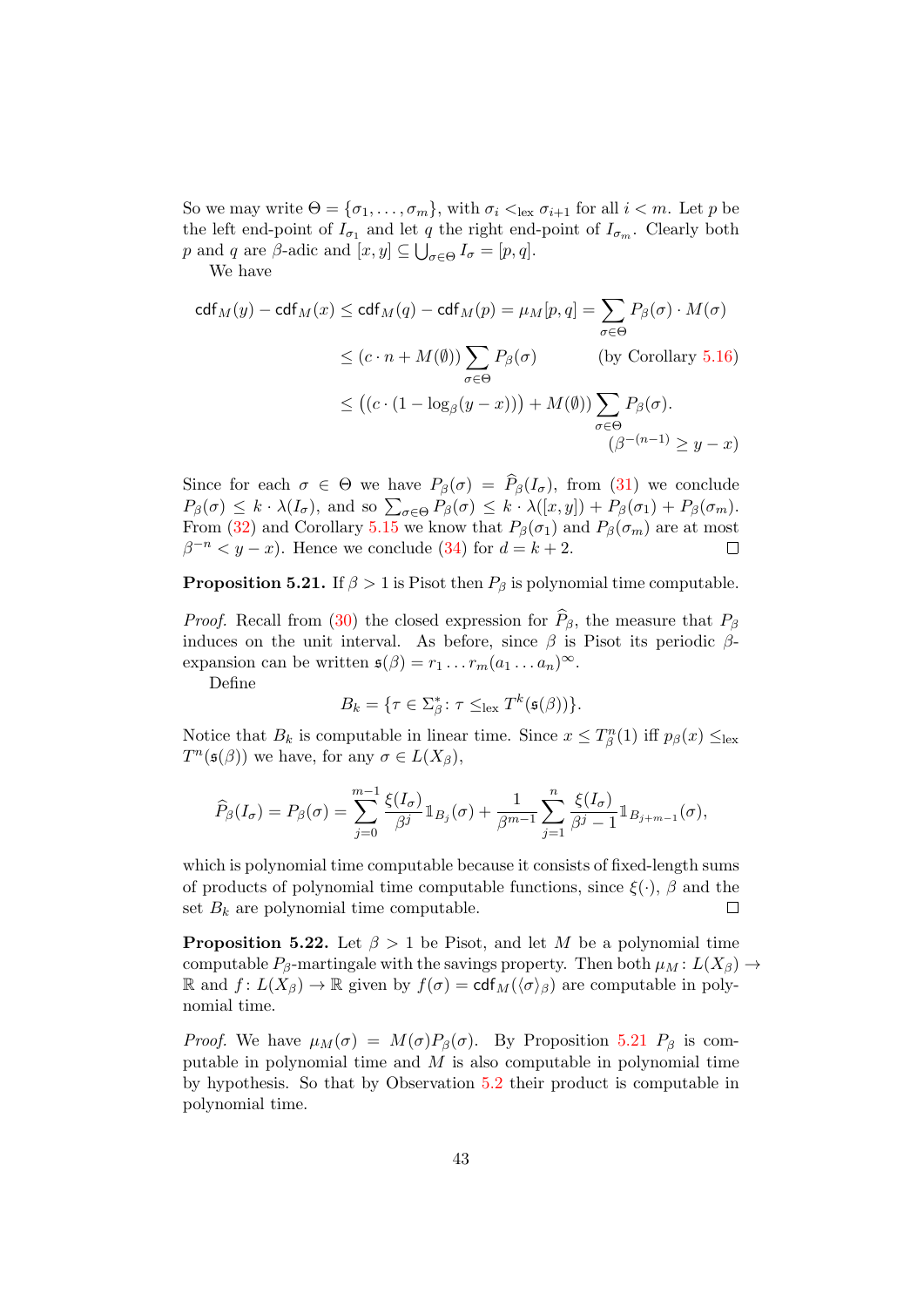So we may write  $\Theta = {\sigma_1, \ldots, \sigma_m}$ , with  $\sigma_i <_{\text{lex}} \sigma_{i+1}$  for all  $i < m$ . Let p be the left end-point of  $I_{\sigma_1}$  and let q the right end-point of  $I_{\sigma_m}$ . Clearly both p and q are  $\beta$ -adic and  $[x, y] \subseteq \bigcup_{\sigma \in \Theta} I_{\sigma} = [p, q]$ .

We have

$$
\operatorname{cdf}_M(y) - \operatorname{cdf}_M(x) \le \operatorname{cdf}_M(q) - \operatorname{cdf}_M(p) = \mu_M[p, q] = \sum_{\sigma \in \Theta} P_{\beta}(\sigma) \cdot M(\sigma)
$$
  

$$
\le (c \cdot n + M(\emptyset)) \sum_{\sigma \in \Theta} P_{\beta}(\sigma) \qquad \text{(by Corollary 5.16)}
$$
  

$$
\le ((c \cdot (1 - \log_{\beta}(y - x))) + M(\emptyset)) \sum_{\sigma \in \Theta} P_{\beta}(\sigma).
$$
  

$$
(\beta^{-(n-1)} \ge y - x)
$$

Since for each  $\sigma \in \Theta$  we have  $P_{\beta}(\sigma) = \widehat{P}_{\beta}(I_{\sigma})$ , from [\(31\)](#page-32-0) we conclude  $P_{\beta}(\sigma) \leq k \cdot \lambda(I_{\sigma}),$  and so  $\sum_{\sigma \in \Theta} P_{\beta}(\sigma) \leq k \cdot \lambda([x, y]) + P_{\beta}(\sigma_1) + P_{\beta}(\sigma_m).$ From [\(32\)](#page-36-1) and Corollary [5.15](#page-39-0) we know that  $P_{\beta}(\sigma_1)$  and  $P_{\beta}(\sigma_m)$  are at most  $\beta^{-n} < y - x$ ). Hence we conclude [\(34\)](#page-41-1) for  $d = k + 2$ .  $\Box$ 

#### <span id="page-42-0"></span>**Proposition 5.21.** If  $\beta > 1$  is Pisot then  $P_{\beta}$  is polynomial time computable.

*Proof.* Recall from [\(30\)](#page-32-1) the closed expression for  $\hat{P}_{\beta}$ , the measure that  $P_{\beta}$ induces on the unit interval. As before, since  $\beta$  is Pisot its periodic  $\beta$ expansion can be written  $\mathfrak{s}(\beta) = r_1 \dots r_m (a_1 \dots a_n)^{\infty}$ .

Define

$$
B_k = \{ \tau \in \Sigma_{\beta}^* \colon \tau \leq_{\text{lex}} T^k(\mathfrak{s}(\beta)) \}.
$$

Notice that  $B_k$  is computable in linear time. Since  $x \leq T_{\beta}^n(1)$  iff  $p_{\beta}(x) \leq_{\text{lex}}$  $T^n(\mathfrak{s}(\beta))$  we have, for any  $\sigma \in L(X_\beta)$ ,

$$
\widehat{P}_{\beta}(I_{\sigma})=P_{\beta}(\sigma)=\sum_{j=0}^{m-1}\frac{\xi(I_{\sigma})}{\beta^{j}}1\!\!1_{B_{j}}(\sigma)+\frac{1}{\beta^{m-1}}\sum_{j=1}^{n}\frac{\xi(I_{\sigma})}{\beta^{j}-1}1\!\!1_{B_{j+m-1}}(\sigma),
$$

which is polynomial time computable because it consists of fixed-length sums of products of polynomial time computable functions, since  $\xi(\cdot)$ ,  $\beta$  and the set  $B_k$  are polynomial time computable.  $\Box$ 

<span id="page-42-1"></span>**Proposition 5.22.** Let  $\beta > 1$  be Pisot, and let M be a polynomial time computable  $P_\beta$ -martingale with the savings property. Then both  $\mu_M : L(X_\beta) \to$ R and  $f: L(X_\beta) \to \mathbb{R}$  given by  $f(\sigma) = \text{cdf}_M(\langle \sigma \rangle_\beta)$  are computable in polynomial time.

*Proof.* We have  $\mu_M(\sigma) = M(\sigma)P_\beta(\sigma)$ . By Proposition [5.21](#page-42-0)  $P_\beta$  is computable in polynomial time and  $M$  is also computable in polynomial time by hypothesis. So that by Observation [5.2](#page-34-0) their product is computable in polynomial time.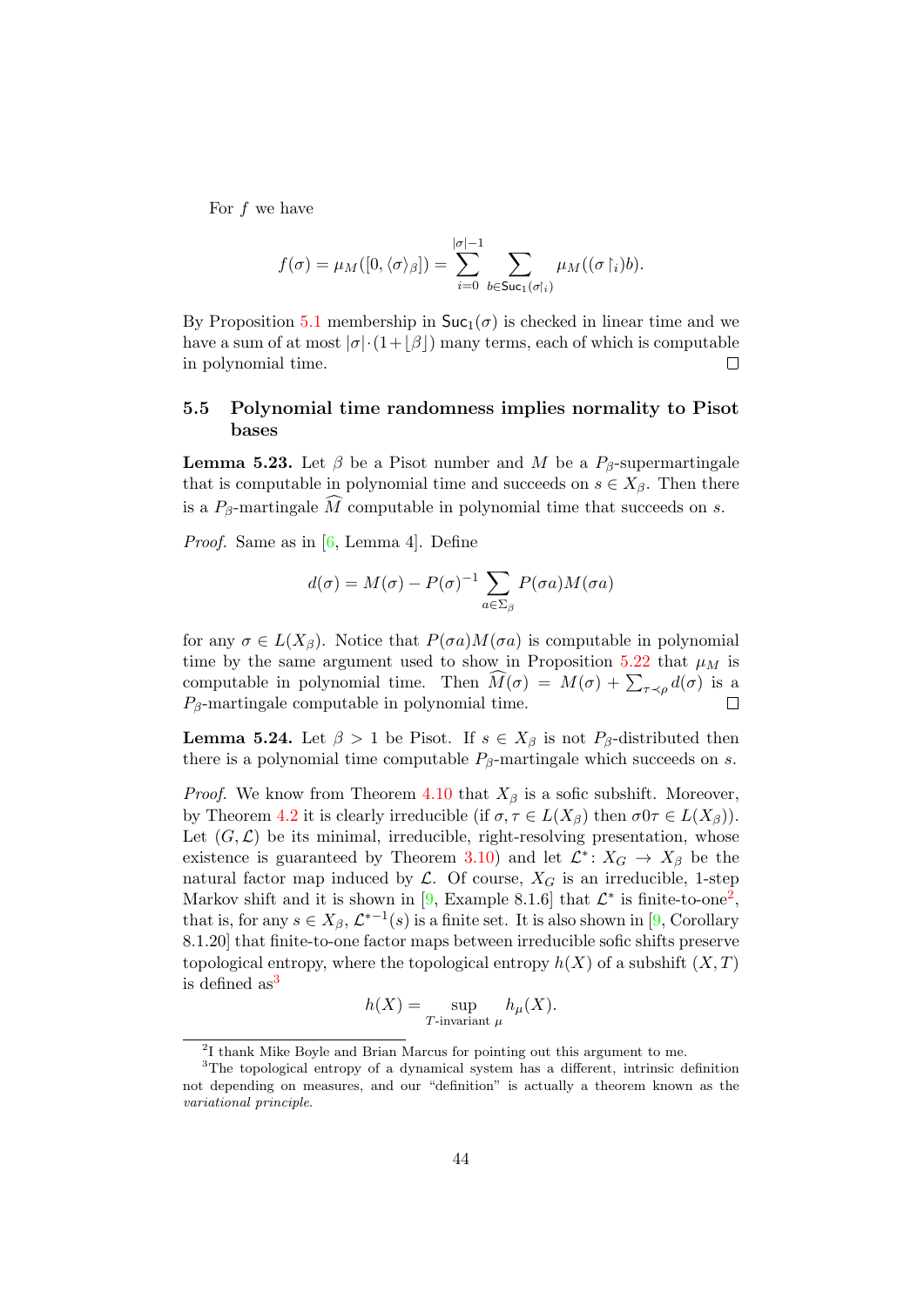For  $f$  we have

$$
f(\sigma) = \mu_M([0, \langle \sigma \rangle_{\beta}]) = \sum_{i=0}^{|\sigma|-1} \sum_{b \in \text{Suc}_1(\sigma|_i)} \mu_M((\sigma|_i)b).
$$

By Proposition [5.1](#page-33-4) membership in  $\text{Suc}_1(\sigma)$  is checked in linear time and we have a sum of at most  $|\sigma| \cdot (1+|\beta|)$  many terms, each of which is computable in polynomial time.  $\Box$ 

## <span id="page-43-0"></span>5.5 Polynomial time randomness implies normality to Pisot bases

<span id="page-43-3"></span>**Lemma 5.23.** Let  $\beta$  be a Pisot number and M be a  $P_{\beta}$ -supermartingale that is computable in polynomial time and succeeds on  $s \in X_\beta$ . Then there is a  $P_\beta$ -martingale  $\widehat{M}$  computable in polynomial time that succeeds on s.

Proof. Same as in [\[6,](#page-46-2) Lemma 4]. Define

$$
d(\sigma) = M(\sigma) - P(\sigma)^{-1} \sum_{a \in \Sigma_{\beta}} P(\sigma a) M(\sigma a)
$$

for any  $\sigma \in L(X_\beta)$ . Notice that  $P(\sigma a)M(\sigma a)$  is computable in polynomial time by the same argument used to show in Proposition [5.22](#page-42-1) that  $\mu$ M is computable in polynomial time. Then  $M(\sigma) = M(\sigma) + \sum_{\tau \prec \rho} d(\sigma)$  is a  $P_{\beta}$ -martingale computable in polynomial time.  $\Box$ 

<span id="page-43-4"></span>**Lemma 5.24.** Let  $\beta > 1$  be Pisot. If  $s \in X_\beta$  is not  $P_\beta$ -distributed then there is a polynomial time computable  $P_\beta$ -martingale which succeeds on s.

*Proof.* We know from Theorem [4.10](#page-33-3) that  $X_\beta$  is a sofic subshift. Moreover, by Theorem [4.2](#page-31-0) it is clearly irreducible (if  $\sigma, \tau \in L(X_\beta)$ ). Let  $(G, \mathcal{L})$  be its minimal, irreducible, right-resolving presentation, whose existence is guaranteed by Theorem [3.10\)](#page-17-3) and let  $\mathcal{L}^* \colon X_G \to X_\beta$  be the natural factor map induced by  $\mathcal{L}$ . Of course,  $X_G$  is an irreducible, 1-step Markov shift and it is shown in [\[9,](#page-46-14) Example 8.1.6] that  $\mathcal{L}^*$  is finite-to-one<sup>[2](#page-43-1)</sup>, that is, for any  $s \in X_\beta$ ,  $\mathcal{L}^{*-1}(s)$  is a finite set. It is also shown in [\[9,](#page-46-14) Corollary 8.1.20] that finite-to-one factor maps between irreducible sofic shifts preserve topological entropy, where the topological entropy  $h(X)$  of a subshift  $(X, T)$ is defined  $as<sup>3</sup>$  $as<sup>3</sup>$  $as<sup>3</sup>$ 

$$
h(X) = \sup_{T\text{-invariant }\mu} h_{\mu}(X).
$$

<span id="page-43-2"></span><span id="page-43-1"></span><sup>&</sup>lt;sup>2</sup>I thank Mike Boyle and Brian Marcus for pointing out this argument to me.

<sup>&</sup>lt;sup>3</sup>The topological entropy of a dynamical system has a different, intrinsic definition not depending on measures, and our "definition" is actually a theorem known as the variational principle.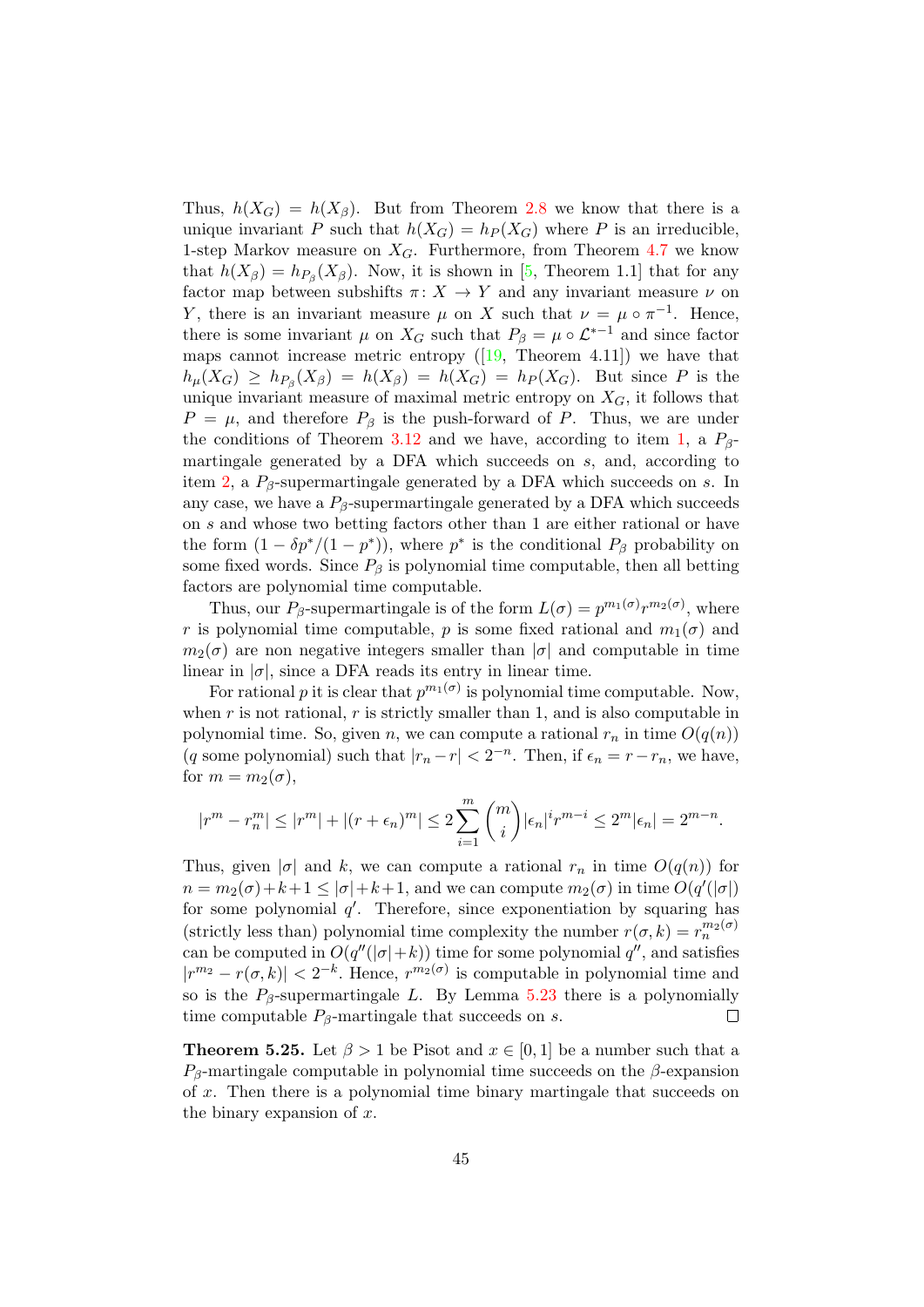Thus,  $h(X_G) = h(X_\beta)$ . But from Theorem [2.8](#page-6-1) we know that there is a unique invariant P such that  $h(X_G) = h_P(X_G)$  where P is an irreducible, 1-step Markov measure on  $X_G$ . Furthermore, from Theorem [4.7](#page-32-2) we know that  $h(X_\beta) = h_{P_\beta}(X_\beta)$ . Now, it is shown in [\[5,](#page-46-17) Theorem 1.1] that for any factor map between subshifts  $\pi: X \to Y$  and any invariant measure  $\nu$  on Y, there is an invariant measure  $\mu$  on X such that  $\nu = \mu \circ \pi^{-1}$ . Hence, there is some invariant  $\mu$  on  $X_G$  such that  $P_\beta = \mu \circ \mathcal{L}^{*-1}$  and since factor maps cannot increase metric entropy  $([19,$  $([19,$  Theorem 4.11]) we have that  $h_{\mu}(X_G) \geq h_{P_{\beta}}(X_{\beta}) = h(X_{\beta}) = h(X_G) = h_P(X_G)$ . But since P is the unique invariant measure of maximal metric entropy on  $X_G$ , it follows that  $P = \mu$ , and therefore  $P_\beta$  is the push-forward of P. Thus, we are under the conditions of Theorem [3.12](#page-17-1) and we have, according to item [1,](#page-17-0) a  $P_{\beta}$ martingale generated by a DFA which succeeds on s, and, according to item [2,](#page-18-0) a  $P_\beta$ -supermartingale generated by a DFA which succeeds on s. In any case, we have a  $P_\beta$ -supermartingale generated by a DFA which succeeds on s and whose two betting factors other than 1 are either rational or have the form  $(1 - \delta p^* / (1 - p^*))$ , where  $p^*$  is the conditional  $P_\beta$  probability on some fixed words. Since  $P_\beta$  is polynomial time computable, then all betting factors are polynomial time computable.

Thus, our  $P_{\beta}$ -supermartingale is of the form  $L(\sigma) = p^{m_1(\sigma)} r^{m_2(\sigma)}$ , where r is polynomial time computable, p is some fixed rational and  $m_1(\sigma)$  and  $m_2(\sigma)$  are non negative integers smaller than  $|\sigma|$  and computable in time linear in  $|\sigma|$ , since a DFA reads its entry in linear time.

For rational p it is clear that  $p^{m_1(\sigma)}$  is polynomial time computable. Now, when  $r$  is not rational,  $r$  is strictly smaller than 1, and is also computable in polynomial time. So, given n, we can compute a rational  $r_n$  in time  $O(q(n))$ (q some polynomial) such that  $|r_n - r| < 2^{-n}$ . Then, if  $\epsilon_n = r - r_n$ , we have, for  $m = m_2(\sigma)$ ,

$$
|r^{m} - r_{n}^{m}| \leq |r^{m}| + |(r + \epsilon_{n})^{m}| \leq 2 \sum_{i=1}^{m} {m \choose i} |\epsilon_{n}|^{i} r^{m-i} \leq 2^{m} |\epsilon_{n}| = 2^{m-n}.
$$

Thus, given  $|\sigma|$  and k, we can compute a rational  $r_n$  in time  $O(q(n))$  for  $n = m_2(\sigma) + k + 1 \leq |\sigma| + k + 1$ , and we can compute  $m_2(\sigma)$  in time  $O(q'(|\sigma|))$ for some polynomial  $q'$ . Therefore, since exponentiation by squaring has (strictly less than) polynomial time complexity the number  $r(\sigma, k) = r_n^{m_2(\sigma)}$ can be computed in  $O(q''(|\sigma|+k))$  time for some polynomial  $q''$ , and satisfies  $|r^{m_2} - r(\sigma, k)| < 2^{-k}$ . Hence,  $r^{m_2(\sigma)}$  is computable in polynomial time and so is the  $P_\beta$ -supermartingale L. By Lemma [5.23](#page-43-3) there is a polynomially time computable  $P_\beta$ -martingale that succeeds on s.  $\Box$ 

<span id="page-44-0"></span>**Theorem 5.25.** Let  $\beta > 1$  be Pisot and  $x \in [0, 1]$  be a number such that a  $P_\beta$ -martingale computable in polynomial time succeeds on the  $\beta$ -expansion of x. Then there is a polynomial time binary martingale that succeeds on the binary expansion of  $x$ .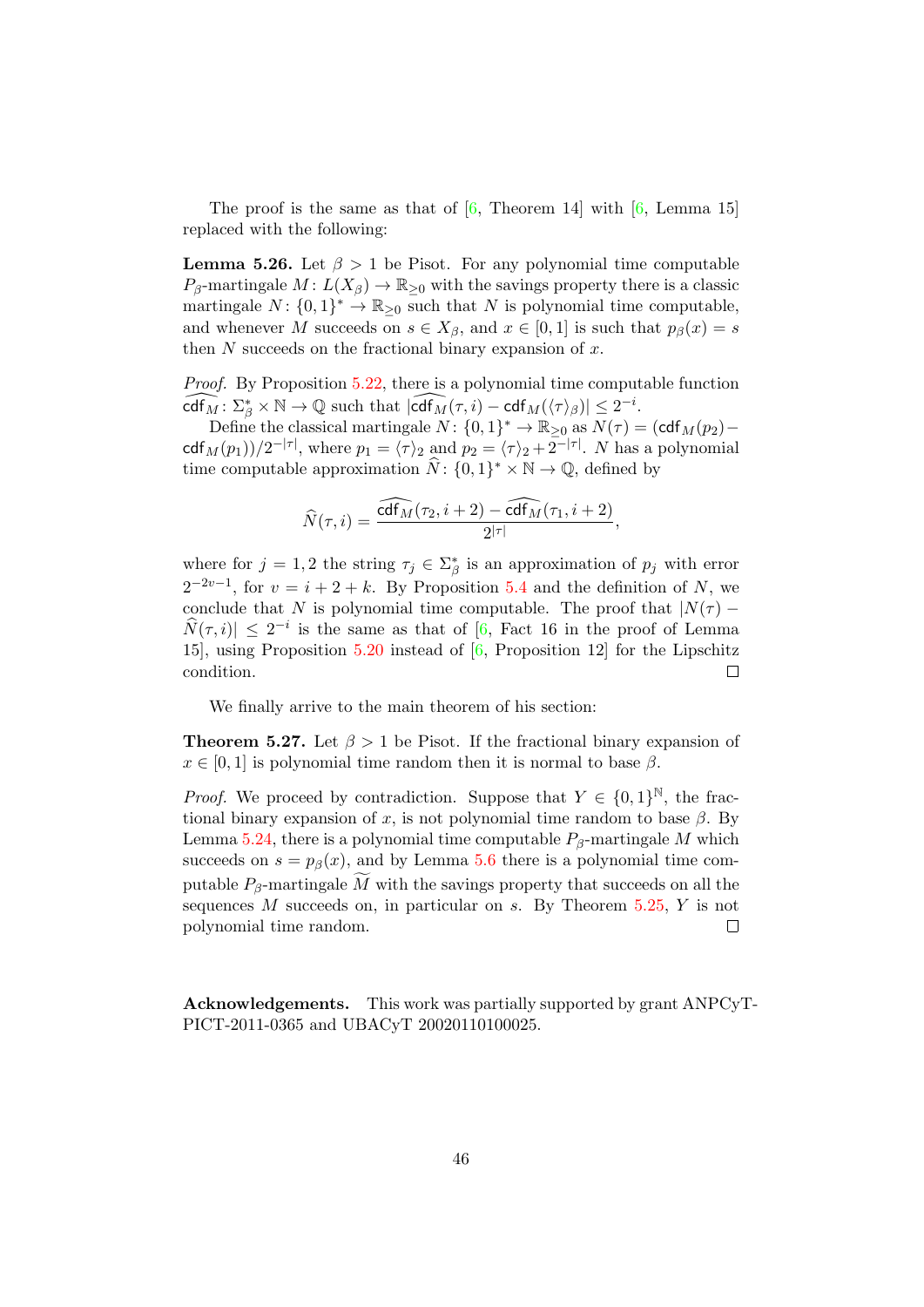The proof is the same as that of  $[6,$  Theorem 14 with  $[6,$  Lemma 15 replaced with the following:

**Lemma 5.26.** Let  $\beta > 1$  be Pisot. For any polynomial time computable  $P_\beta$ -martingale  $M: L(X_\beta) \to \mathbb{R}_{\geq 0}$  with the savings property there is a classic martingale  $N: \{0,1\}^* \to \mathbb{R}_{\geq 0}$  such that N is polynomial time computable, and whenever M succeeds on  $s \in X_\beta$ , and  $x \in [0,1]$  is such that  $p_\beta(x) = s$ then  $N$  succeeds on the fractional binary expansion of  $x$ .

Proof. By Proposition [5.22,](#page-42-1) there is a polynomial time computable function  $\widehat{\text{cdf}_M} : \Sigma^*_{\beta} \times \mathbb{N} \to \mathbb{Q}$  such that  $|\widehat{\text{cdf}_M}(\tau, i) - \text{cdf}_M(\langle \tau \rangle_{\beta})| \leq 2^{-i}$ .

Define the classical martingale  $N: \{0,1\}^* \to \mathbb{R}_{\geq 0}$  as  $N(\tau) = (\text{cdf}_M(p_2)$ cdf<sub>M</sub>(p<sub>1</sub>))/2<sup>-|τ|</sup>, where  $p_1 = \langle \tau \rangle_2$  and  $p_2 = \langle \tau \rangle_2 + 2^{-|\tau|}$ . N has a polynomial time computable approximation  $\widehat{N}$ :  $\{0, 1\}^* \times \mathbb{N} \to \mathbb{Q}$ , defined by

$$
\widehat{N}(\tau,i) = \frac{\widehat{\text{cdf}_M}(\tau_2,i+2) - \widehat{\text{cdf}_M}(\tau_1,i+2)}{2^{|\tau|}},
$$

where for  $j = 1, 2$  the string  $\tau_j \in \Sigma^*_{\beta}$  is an approximation of  $p_j$  with error  $2^{-2v-1}$ , for  $v = i + 2 + k$ . By Proposition [5.4](#page-34-3) and the definition of N, we conclude that N is polynomial time computable. The proof that  $|N(\tau) \widehat{N}(\tau, i)| \leq 2^{-i}$  is the same as that of  $[6,$  Fact 16 in the proof of Lemma 15], using Proposition [5.20](#page-41-2) instead of [\[6,](#page-46-2) Proposition 12] for the Lipschitz condition.  $\Box$ 

We finally arrive to the main theorem of his section:

**Theorem 5.27.** Let  $\beta > 1$  be Pisot. If the fractional binary expansion of  $x \in [0, 1]$  is polynomial time random then it is normal to base  $\beta$ .

*Proof.* We proceed by contradiction. Suppose that  $Y \in \{0,1\}^{\mathbb{N}}$ , the fractional binary expansion of x, is not polynomial time random to base  $\beta$ . By Lemma [5.24,](#page-43-4) there is a polynomial time computable  $P_\beta$ -martingale M which succeeds on  $s = p<sub>\beta</sub>(x)$ , and by Lemma [5.6](#page-36-2) there is a polynomial time computable  $P_\beta$ -martingale M with the savings property that succeeds on all the sequences  $M$  succeeds on, in particular on  $s$ . By Theorem [5.25,](#page-44-0)  $Y$  is not polynomial time random.  $\Box$ 

Acknowledgements. This work was partially supported by grant ANPCyT-PICT-2011-0365 and UBACyT 20020110100025.